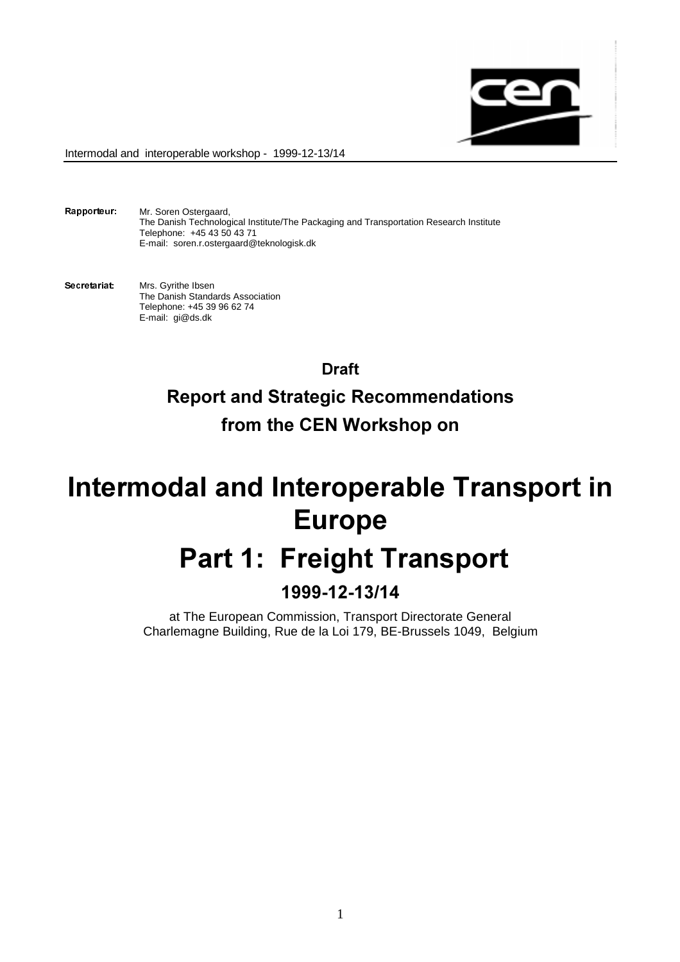

Rapporteur: Mr. Soren Ostergaard, The Danish Technological Institute/The Packaging and Transportation Research Institute Telephone: +45 43 50 43 71 E-mail: soren.r.ostergaard@teknologisk.dk

Secretariat: Mrs. Gyrithe Ibsen The Danish Standards Association Telephone: +45 39 96 62 74 E-mail: gi@ds.dk

> Draft Report and Strategic Recommendations from the CEN Workshop on

# Intermodal and Interoperable Transport in Europe

# Part 1: Freight Transport

# 1999-12-13/14

at The European Commission, Transport Directorate General Charlemagne Building, Rue de la Loi 179, BE-Brussels 1049, Belgium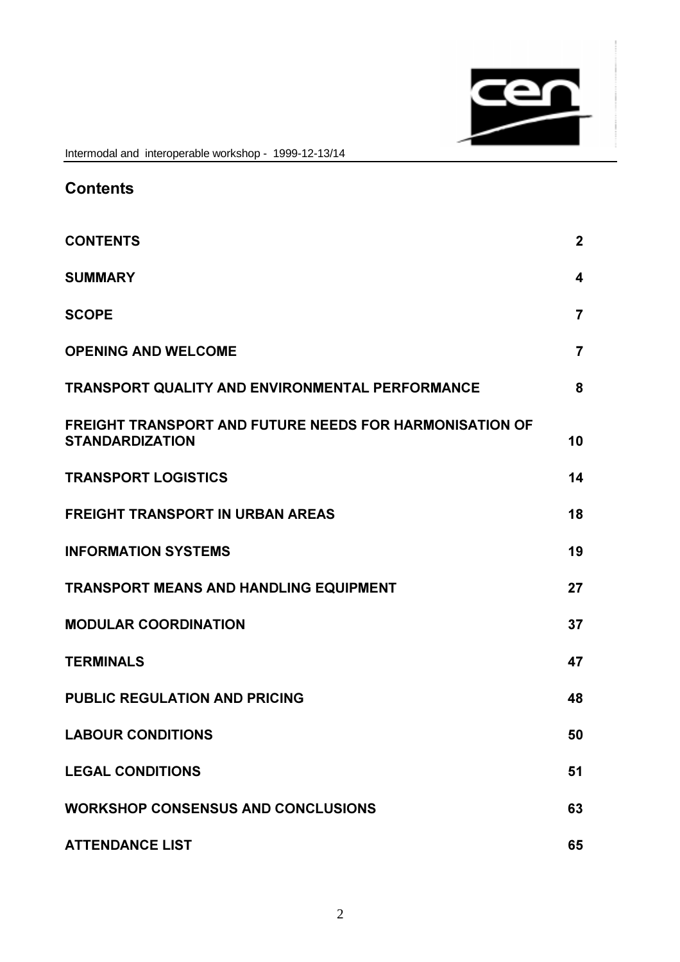

| <b>Contents</b>                                                                          |                |
|------------------------------------------------------------------------------------------|----------------|
| <b>CONTENTS</b>                                                                          | $\mathbf{2}$   |
| <b>SUMMARY</b>                                                                           | 4              |
| <b>SCOPE</b>                                                                             | $\overline{7}$ |
| <b>OPENING AND WELCOME</b>                                                               | $\overline{7}$ |
| <b>TRANSPORT QUALITY AND ENVIRONMENTAL PERFORMANCE</b>                                   | 8              |
| <b>FREIGHT TRANSPORT AND FUTURE NEEDS FOR HARMONISATION OF</b><br><b>STANDARDIZATION</b> | 10             |
| <b>TRANSPORT LOGISTICS</b>                                                               | 14             |
| <b>FREIGHT TRANSPORT IN URBAN AREAS</b>                                                  | 18             |
| <b>INFORMATION SYSTEMS</b>                                                               | 19             |
| <b>TRANSPORT MEANS AND HANDLING EQUIPMENT</b>                                            | 27             |
| <b>MODULAR COORDINATION</b>                                                              | 37             |
| <b>TERMINALS</b>                                                                         | 47             |
| <b>PUBLIC REGULATION AND PRICING</b>                                                     | 48             |
| <b>LABOUR CONDITIONS</b>                                                                 | 50             |
| <b>LEGAL CONDITIONS</b>                                                                  | 51             |
| <b>WORKSHOP CONSENSUS AND CONCLUSIONS</b>                                                | 63             |
| <b>ATTENDANCE LIST</b>                                                                   | 65             |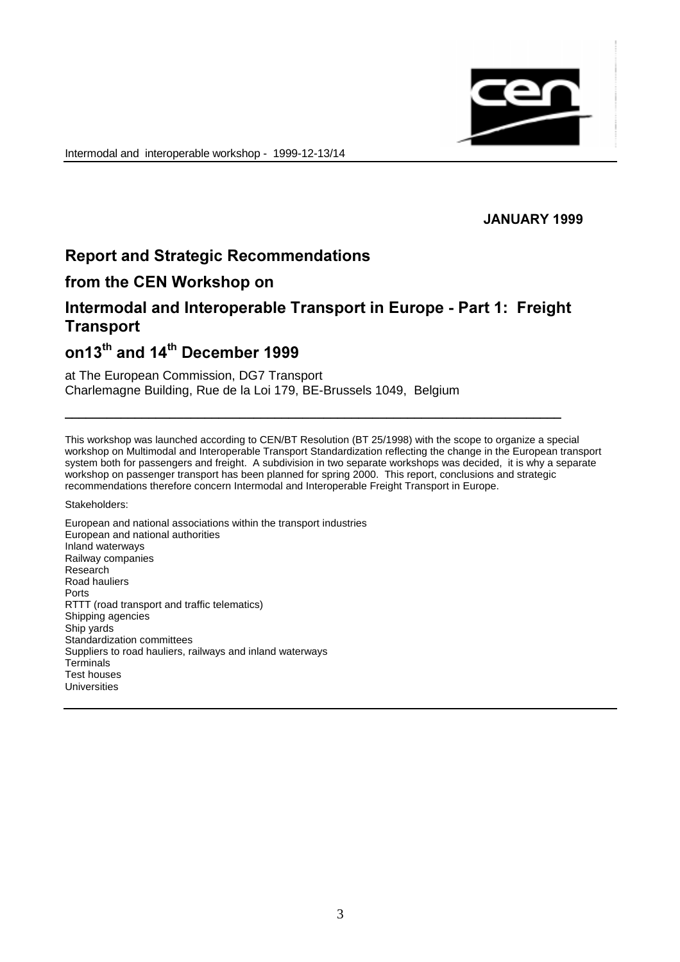

## **JANUARY 1999**

# Report and Strategic Recommendations

## from the CEN Workshop on

# Intermodal and Interoperable Transport in Europe - Part 1: Freight Transport

BBBBBBBBBBBBBBBBBBBBBBBBBBBBBBBBBBBBBBBBBBBBBBBBBBBBBBBBBBBBBBBBBBBBBBB

# on13<sup>th</sup> and 14<sup>th</sup> December 1999

#### at The European Commission, DG7 Transport Charlemagne Building, Rue de la Loi 179, BE-Brussels 1049, Belgium

This workshop was launched according to CEN/BT Resolution (BT 25/1998) with the scope to organize a special workshop on Multimodal and Interoperable Transport Standardization reflecting the change in the European transport system both for passengers and freight. A subdivision in two separate workshops was decided, it is why a separate workshop on passenger transport has been planned for spring 2000. This report, conclusions and strategic recommendations therefore concern Intermodal and Interoperable Freight Transport in Europe.

Stakeholders:

European and national associations within the transport industries European and national authorities Inland waterways Railway companies Research Road hauliers Ports RTTT (road transport and traffic telematics) Shipping agencies Ship yards Standardization committees Suppliers to road hauliers, railways and inland waterways **Terminals** Test houses Universities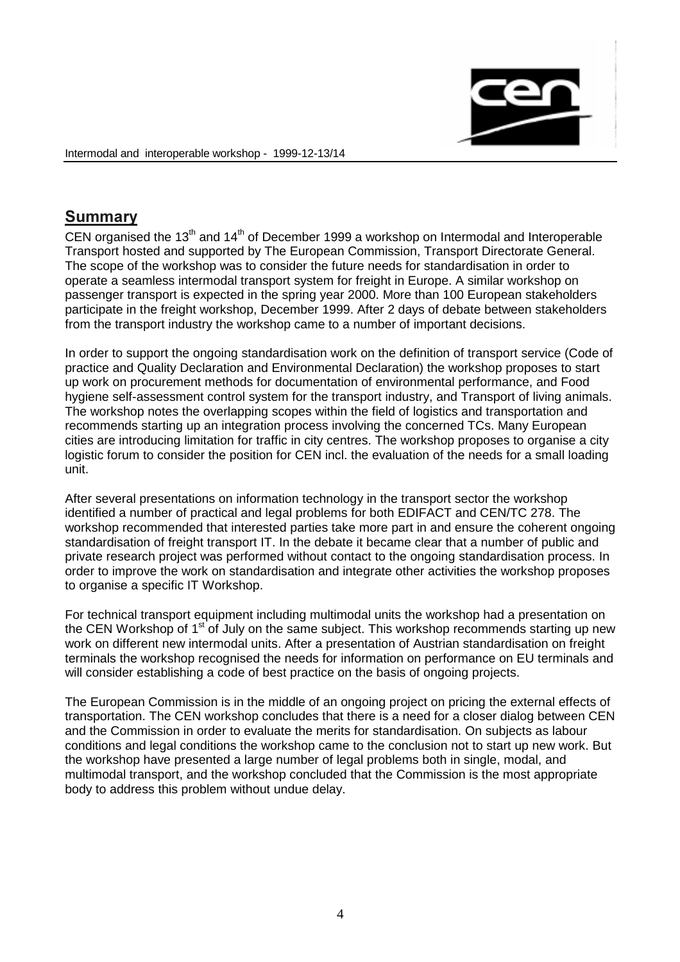

# Summary

CEN organised the 13<sup>th</sup> and 14<sup>th</sup> of December 1999 a workshop on Intermodal and Interoperable Transport hosted and supported by The European Commission, Transport Directorate General. The scope of the workshop was to consider the future needs for standardisation in order to operate a seamless intermodal transport system for freight in Europe. A similar workshop on passenger transport is expected in the spring year 2000. More than 100 European stakeholders participate in the freight workshop, December 1999. After 2 days of debate between stakeholders from the transport industry the workshop came to a number of important decisions.

In order to support the ongoing standardisation work on the definition of transport service (Code of practice and Quality Declaration and Environmental Declaration) the workshop proposes to start up work on procurement methods for documentation of environmental performance, and Food hygiene self-assessment control system for the transport industry, and Transport of living animals. The workshop notes the overlapping scopes within the field of logistics and transportation and recommends starting up an integration process involving the concerned TCs. Many European cities are introducing limitation for traffic in city centres. The workshop proposes to organise a city logistic forum to consider the position for CEN incl. the evaluation of the needs for a small loading unit.

After several presentations on information technology in the transport sector the workshop identified a number of practical and legal problems for both EDIFACT and CEN/TC 278. The workshop recommended that interested parties take more part in and ensure the coherent ongoing standardisation of freight transport IT. In the debate it became clear that a number of public and private research project was performed without contact to the ongoing standardisation process. In order to improve the work on standardisation and integrate other activities the workshop proposes to organise a specific IT Workshop.

For technical transport equipment including multimodal units the workshop had a presentation on the CEN Workshop of  $1<sup>st</sup>$  of July on the same subject. This workshop recommends starting up new work on different new intermodal units. After a presentation of Austrian standardisation on freight terminals the workshop recognised the needs for information on performance on EU terminals and will consider establishing a code of best practice on the basis of ongoing projects.

The European Commission is in the middle of an ongoing project on pricing the external effects of transportation. The CEN workshop concludes that there is a need for a closer dialog between CEN and the Commission in order to evaluate the merits for standardisation. On subjects as labour conditions and legal conditions the workshop came to the conclusion not to start up new work. But the workshop have presented a large number of legal problems both in single, modal, and multimodal transport, and the workshop concluded that the Commission is the most appropriate body to address this problem without undue delay.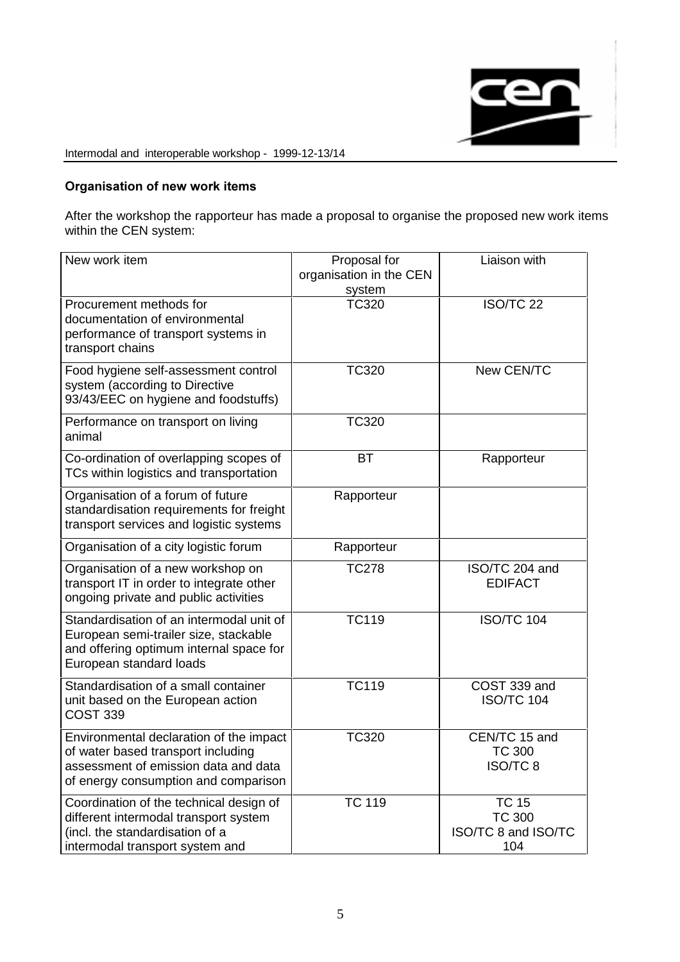

## Organisation of new work items

After the workshop the rapporteur has made a proposal to organise the proposed new work items within the CEN system:

| New work item                                                                                                                                                 | Proposal for<br>organisation in the CEN<br>system | Liaison with                                                |
|---------------------------------------------------------------------------------------------------------------------------------------------------------------|---------------------------------------------------|-------------------------------------------------------------|
| Procurement methods for<br>documentation of environmental<br>performance of transport systems in<br>transport chains                                          | <b>TC320</b>                                      | <b>ISO/TC 22</b>                                            |
| Food hygiene self-assessment control<br>system (according to Directive<br>93/43/EEC on hygiene and foodstuffs)                                                | <b>TC320</b>                                      | New CEN/TC                                                  |
| Performance on transport on living<br>animal                                                                                                                  | <b>TC320</b>                                      |                                                             |
| Co-ordination of overlapping scopes of<br>TCs within logistics and transportation                                                                             | <b>BT</b>                                         | Rapporteur                                                  |
| Organisation of a forum of future<br>standardisation requirements for freight<br>transport services and logistic systems                                      | Rapporteur                                        |                                                             |
| Organisation of a city logistic forum                                                                                                                         | Rapporteur                                        |                                                             |
| Organisation of a new workshop on<br>transport IT in order to integrate other<br>ongoing private and public activities                                        | <b>TC278</b>                                      | ISO/TC 204 and<br><b>EDIFACT</b>                            |
| Standardisation of an intermodal unit of<br>European semi-trailer size, stackable<br>and offering optimum internal space for<br>European standard loads       | <b>TC119</b>                                      | <b>ISO/TC 104</b>                                           |
| Standardisation of a small container<br>unit based on the European action<br><b>COST 339</b>                                                                  | <b>TC119</b>                                      | COST 339 and<br><b>ISO/TC 104</b>                           |
| Environmental declaration of the impact<br>of water based transport including<br>assessment of emission data and data<br>of energy consumption and comparison | <b>TC320</b>                                      | CEN/TC 15 and<br><b>TC 300</b><br>ISO/TC 8                  |
| Coordination of the technical design of<br>different intermodal transport system<br>(incl. the standardisation of a<br>intermodal transport system and        | <b>TC 119</b>                                     | <b>TC 15</b><br><b>TC 300</b><br>ISO/TC 8 and ISO/TC<br>104 |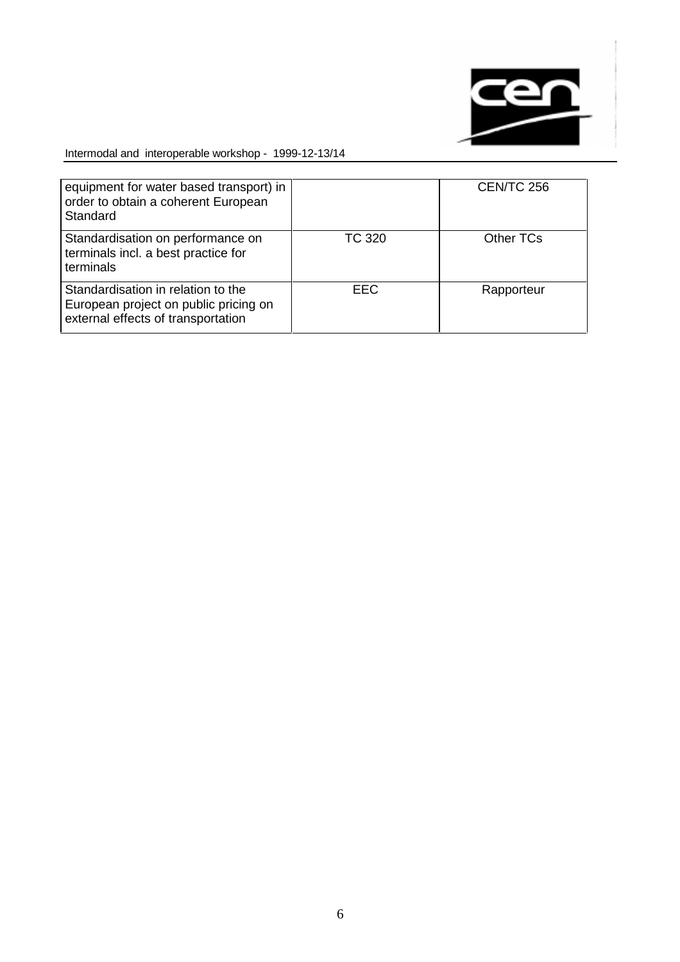

| equipment for water based transport) in<br>order to obtain a coherent European<br>Standard                        |            | <b>CEN/TC 256</b> |
|-------------------------------------------------------------------------------------------------------------------|------------|-------------------|
| Standardisation on performance on<br>terminals incl. a best practice for<br>terminals                             | TC 320     | Other TCs         |
| Standardisation in relation to the<br>European project on public pricing on<br>external effects of transportation | <b>EEC</b> | Rapporteur        |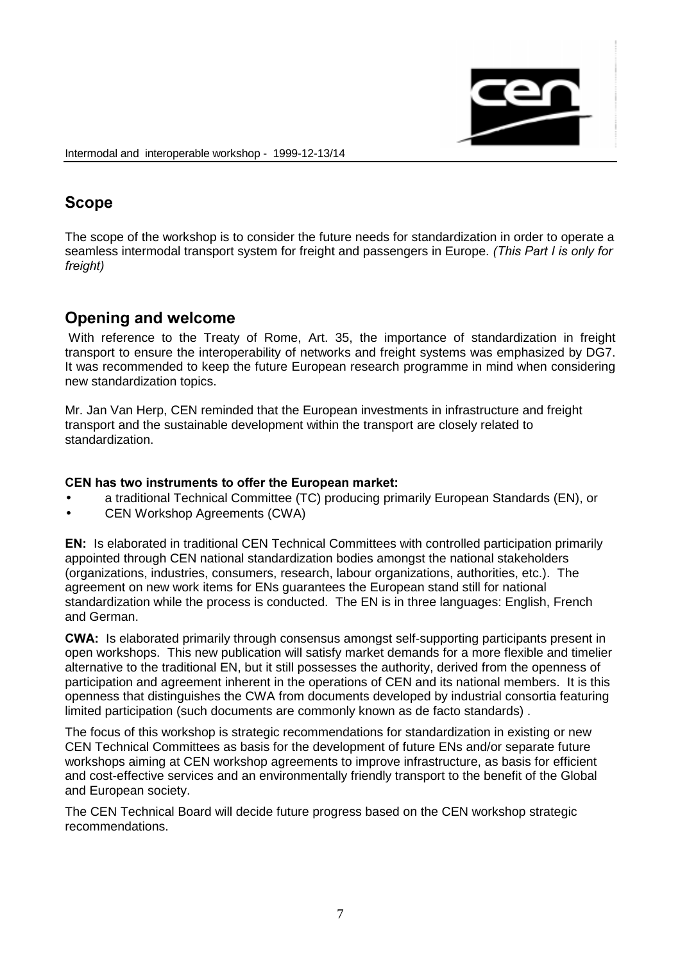

# Scope

The scope of the workshop is to consider the future needs for standardization in order to operate a seamless intermodal transport system for freight and passengers in Europe. (This Part I is only for freight)

# Opening and welcome

With reference to the Treaty of Rome, Art. 35, the importance of standardization in freight transport to ensure the interoperability of networks and freight systems was emphasized by DG7. It was recommended to keep the future European research programme in mind when considering new standardization topics.

Mr. Jan Van Herp, CEN reminded that the European investments in infrastructure and freight transport and the sustainable development within the transport are closely related to standardization.

## CEN has two instruments to offer the European market:

- a traditional Technical Committee (TC) producing primarily European Standards (EN), or
- CEN Workshop Agreements (CWA)

**EN:** Is elaborated in traditional CEN Technical Committees with controlled participation primarily appointed through CEN national standardization bodies amongst the national stakeholders (organizations, industries, consumers, research, labour organizations, authorities, etc.). The agreement on new work items for ENs guarantees the European stand still for national standardization while the process is conducted. The EN is in three languages: English, French and German.

**CWA:** Is elaborated primarily through consensus amongst self-supporting participants present in open workshops. This new publication will satisfy market demands for a more flexible and timelier alternative to the traditional EN, but it still possesses the authority, derived from the openness of participation and agreement inherent in the operations of CEN and its national members. It is this openness that distinguishes the CWA from documents developed by industrial consortia featuring limited participation (such documents are commonly known as de facto standards) .

The focus of this workshop is strategic recommendations for standardization in existing or new CEN Technical Committees as basis for the development of future ENs and/or separate future workshops aiming at CEN workshop agreements to improve infrastructure, as basis for efficient and cost-effective services and an environmentally friendly transport to the benefit of the Global and European society.

The CEN Technical Board will decide future progress based on the CEN workshop strategic recommendations.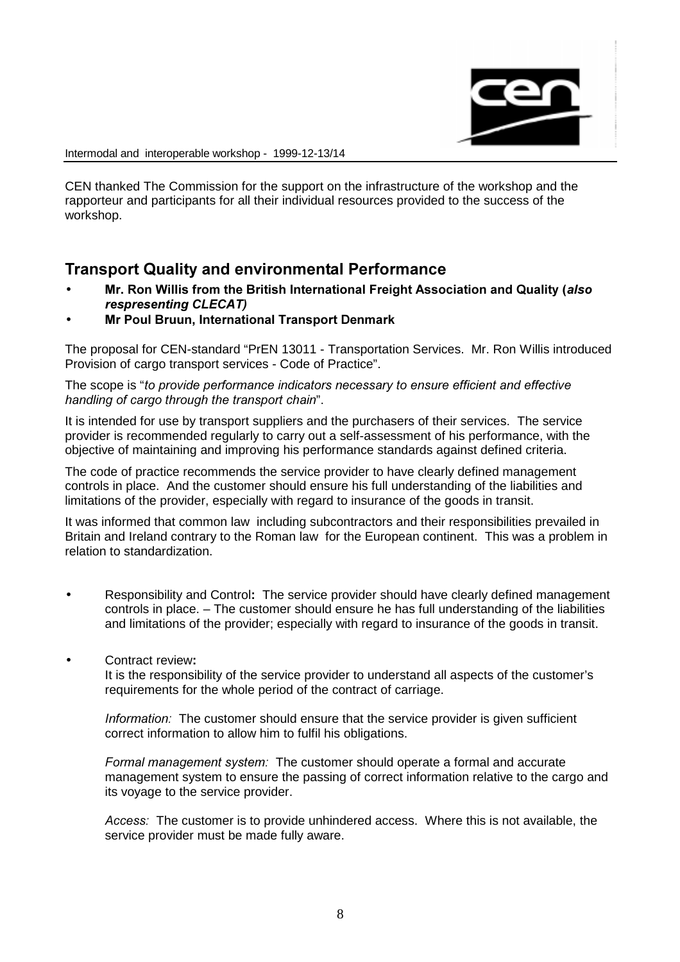

CEN thanked The Commission for the support on the infrastructure of the workshop and the rapporteur and participants for all their individual resources provided to the success of the workshop.

# **Transport Quality and environmental Performance**

- Mr. Ron Willis from the British International Freight Association and Quality (also respresenting CLECAT)
- **Mr Poul Bruun, International Transport Denmark**

The proposal for CEN-standard "PrEN 13011 - Transportation Services. Mr. Ron Willis introduced Provision of cargo transport services - Code of Practice".

The scope is "to provide performance indicators necessary to ensure efficient and effective handling of cargo through the transport chain".

It is intended for use by transport suppliers and the purchasers of their services. The service provider is recommended regularly to carry out a self-assessment of his performance, with the objective of maintaining and improving his performance standards against defined criteria.

The code of practice recommends the service provider to have clearly defined management controls in place. And the customer should ensure his full understanding of the liabilities and limitations of the provider, especially with regard to insurance of the goods in transit.

It was informed that common law including subcontractors and their responsibilities prevailed in Britain and Ireland contrary to the Roman law for the European continent. This was a problem in relation to standardization.

- Responsibility and Control: The service provider should have clearly defined management controls in place. – The customer should ensure he has full understanding of the liabilities and limitations of the provider; especially with regard to insurance of the goods in transit.
- Contract review:

It is the responsibility of the service provider to understand all aspects of the customer's requirements for the whole period of the contract of carriage.

Information: The customer should ensure that the service provider is given sufficient correct information to allow him to fulfil his obligations.

Formal management system: The customer should operate a formal and accurate management system to ensure the passing of correct information relative to the cargo and its voyage to the service provider.

Access: The customer is to provide unhindered access. Where this is not available, the service provider must be made fully aware.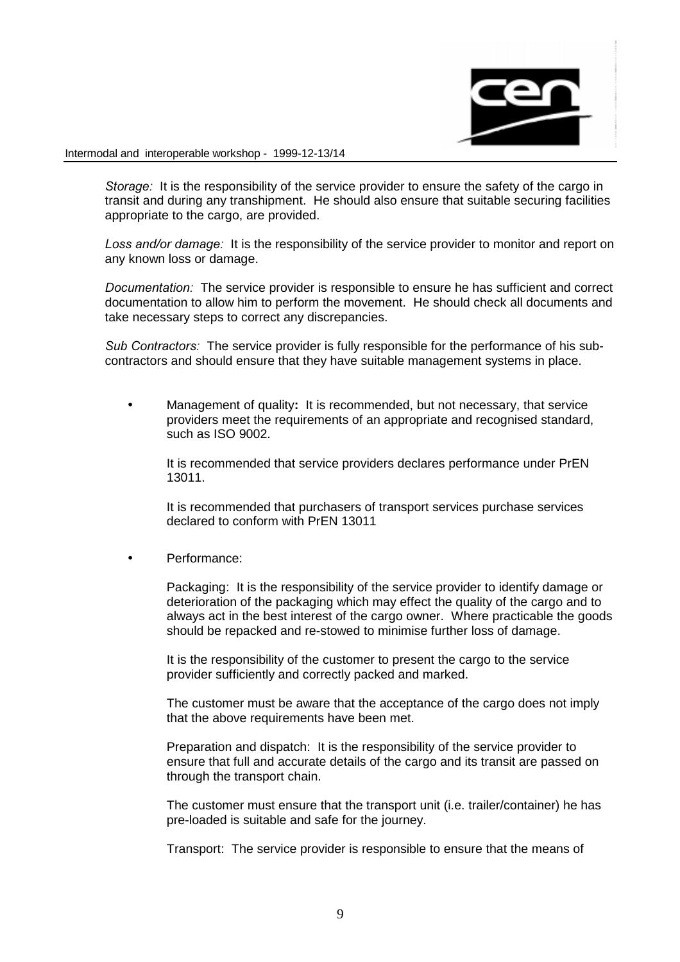

Storage: It is the responsibility of the service provider to ensure the safety of the cargo in transit and during any transhipment. He should also ensure that suitable securing facilities appropriate to the cargo, are provided.

Loss and/or damage: It is the responsibility of the service provider to monitor and report on any known loss or damage.

Documentation: The service provider is responsible to ensure he has sufficient and correct documentation to allow him to perform the movement. He should check all documents and take necessary steps to correct any discrepancies.

Sub Contractors: The service provider is fully responsible for the performance of his subcontractors and should ensure that they have suitable management systems in place.

Management of quality: It is recommended, but not necessary, that service providers meet the requirements of an appropriate and recognised standard, such as ISO 9002.

It is recommended that service providers declares performance under PrEN 13011.

It is recommended that purchasers of transport services purchase services declared to conform with PrEN 13011

• Performance:

Packaging: It is the responsibility of the service provider to identify damage or deterioration of the packaging which may effect the quality of the cargo and to always act in the best interest of the cargo owner. Where practicable the goods should be repacked and re-stowed to minimise further loss of damage.

It is the responsibility of the customer to present the cargo to the service provider sufficiently and correctly packed and marked.

The customer must be aware that the acceptance of the cargo does not imply that the above requirements have been met.

Preparation and dispatch: It is the responsibility of the service provider to ensure that full and accurate details of the cargo and its transit are passed on through the transport chain.

The customer must ensure that the transport unit (i.e. trailer/container) he has pre-loaded is suitable and safe for the journey.

Transport: The service provider is responsible to ensure that the means of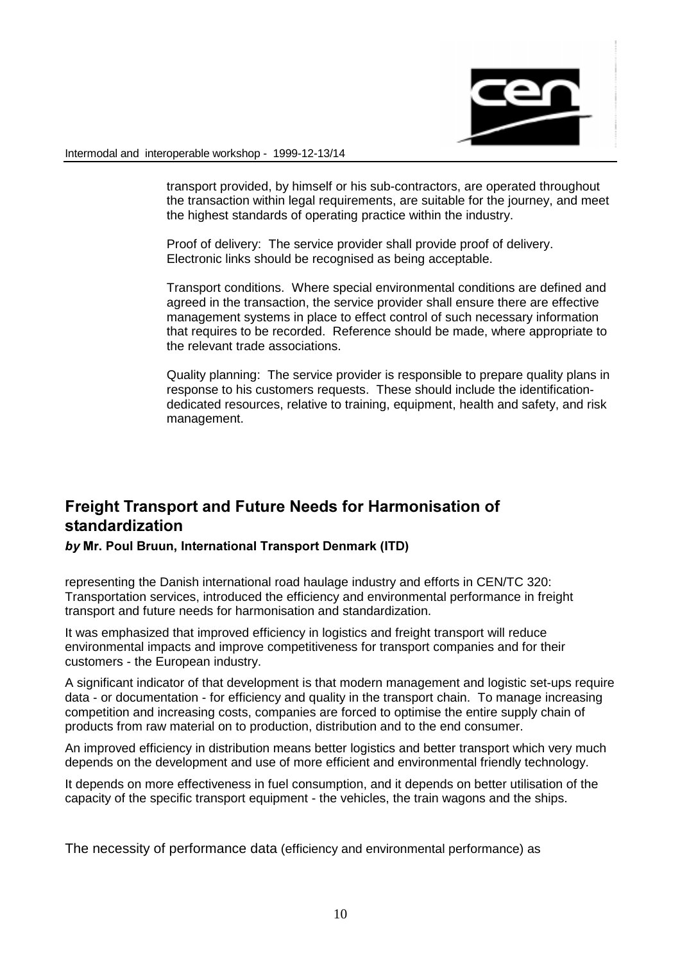

transport provided, by himself or his sub-contractors, are operated throughout the transaction within legal requirements, are suitable for the journey, and meet the highest standards of operating practice within the industry.

Proof of delivery: The service provider shall provide proof of delivery. Electronic links should be recognised as being acceptable.

Transport conditions. Where special environmental conditions are defined and agreed in the transaction, the service provider shall ensure there are effective management systems in place to effect control of such necessary information that requires to be recorded. Reference should be made, where appropriate to the relevant trade associations.

Quality planning: The service provider is responsible to prepare quality plans in response to his customers requests. These should include the identificationdedicated resources, relative to training, equipment, health and safety, and risk management.

# Freight Transport and Future Needs for Harmonisation of standardization

## by Mr. Poul Bruun, International Transport Denmark (ITD)

representing the Danish international road haulage industry and efforts in CEN/TC 320: Transportation services, introduced the efficiency and environmental performance in freight transport and future needs for harmonisation and standardization.

It was emphasized that improved efficiency in logistics and freight transport will reduce environmental impacts and improve competitiveness for transport companies and for their customers - the European industry.

A significant indicator of that development is that modern management and logistic set-ups require data - or documentation - for efficiency and quality in the transport chain. To manage increasing competition and increasing costs, companies are forced to optimise the entire supply chain of products from raw material on to production, distribution and to the end consumer.

An improved efficiency in distribution means better logistics and better transport which very much depends on the development and use of more efficient and environmental friendly technology.

It depends on more effectiveness in fuel consumption, and it depends on better utilisation of the capacity of the specific transport equipment - the vehicles, the train wagons and the ships.

The necessity of performance data (efficiency and environmental performance) as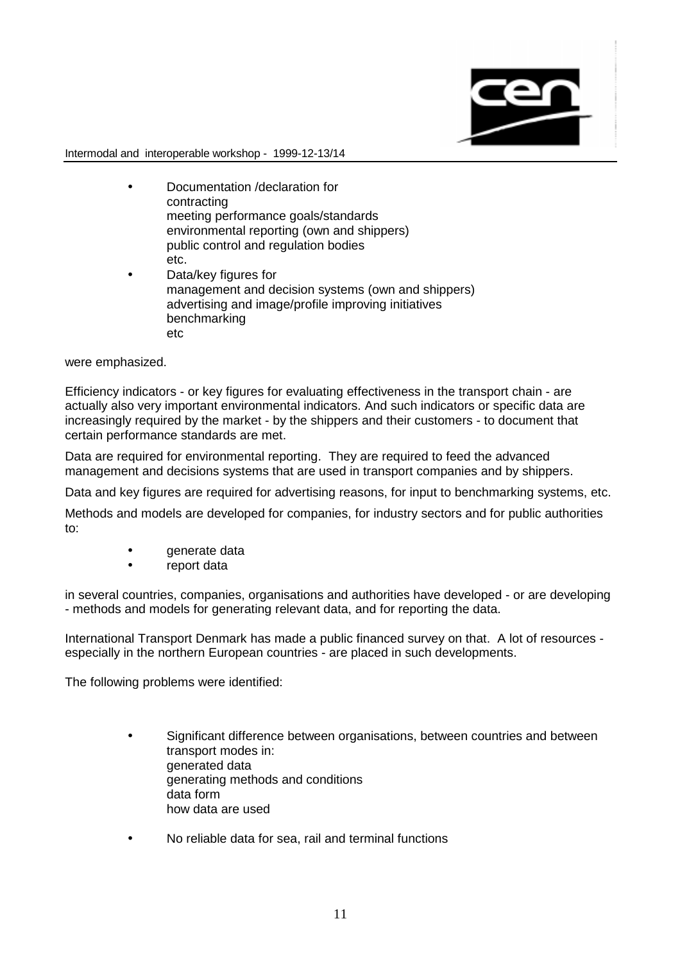

- Documentation /declaration for contracting meeting performance goals/standards environmental reporting (own and shippers) public control and regulation bodies etc.
- Data/key figures for management and decision systems (own and shippers) advertising and image/profile improving initiatives benchmarking etc

were emphasized.

Efficiency indicators - or key figures for evaluating effectiveness in the transport chain - are actually also very important environmental indicators. And such indicators or specific data are increasingly required by the market - by the shippers and their customers - to document that certain performance standards are met.

Data are required for environmental reporting. They are required to feed the advanced management and decisions systems that are used in transport companies and by shippers.

Data and key figures are required for advertising reasons, for input to benchmarking systems, etc.

Methods and models are developed for companies, for industry sectors and for public authorities to:

- generate data
- report data

in several countries, companies, organisations and authorities have developed - or are developing - methods and models for generating relevant data, and for reporting the data.

International Transport Denmark has made a public financed survey on that. A lot of resources especially in the northern European countries - are placed in such developments.

The following problems were identified:

- Significant difference between organisations, between countries and between transport modes in: generated data generating methods and conditions data form how data are used
- No reliable data for sea, rail and terminal functions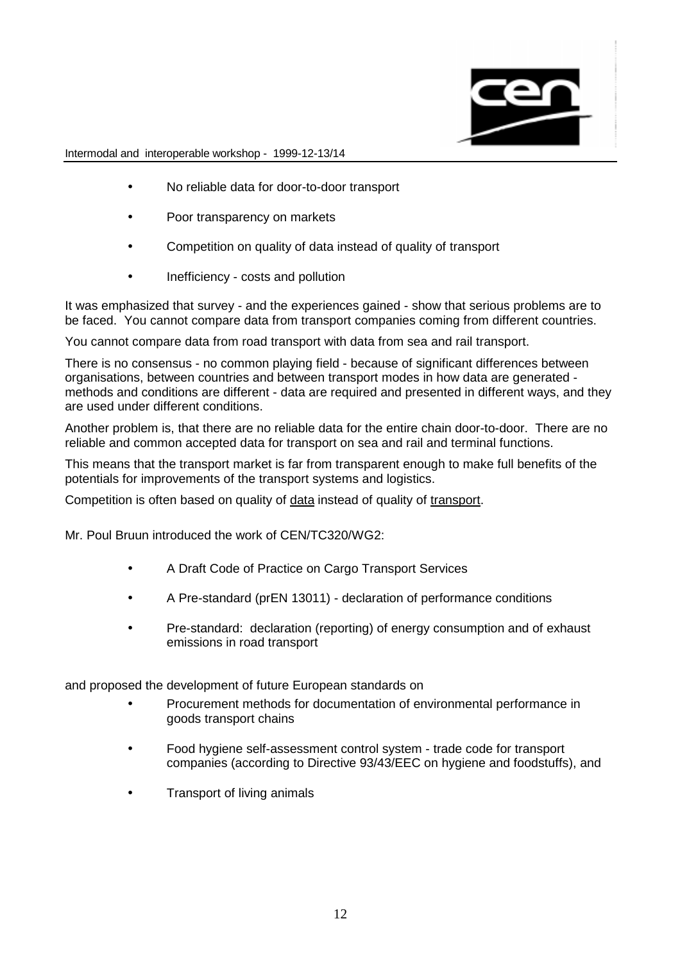

- No reliable data for door-to-door transport
- Poor transparency on markets
- Competition on quality of data instead of quality of transport
- Inefficiency costs and pollution

It was emphasized that survey - and the experiences gained - show that serious problems are to be faced. You cannot compare data from transport companies coming from different countries.

You cannot compare data from road transport with data from sea and rail transport.

There is no consensus - no common playing field - because of significant differences between organisations, between countries and between transport modes in how data are generated methods and conditions are different - data are required and presented in different ways, and they are used under different conditions.

Another problem is, that there are no reliable data for the entire chain door-to-door. There are no reliable and common accepted data for transport on sea and rail and terminal functions.

This means that the transport market is far from transparent enough to make full benefits of the potentials for improvements of the transport systems and logistics.

Competition is often based on quality of data instead of quality of transport.

Mr. Poul Bruun introduced the work of CEN/TC320/WG2:

- A Draft Code of Practice on Cargo Transport Services
- A Pre-standard (prEN 13011) declaration of performance conditions
- Pre-standard: declaration (reporting) of energy consumption and of exhaust emissions in road transport

and proposed the development of future European standards on

- Procurement methods for documentation of environmental performance in goods transport chains
- Food hygiene self-assessment control system trade code for transport companies (according to Directive 93/43/EEC on hygiene and foodstuffs), and
- Transport of living animals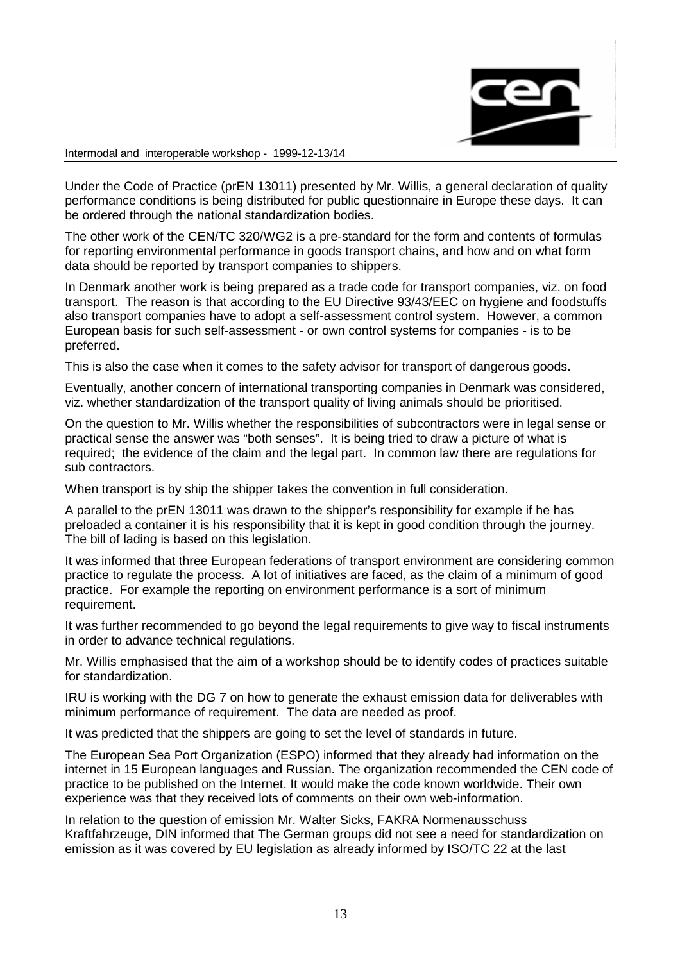

Under the Code of Practice (prEN 13011) presented by Mr. Willis, a general declaration of quality performance conditions is being distributed for public questionnaire in Europe these days. It can be ordered through the national standardization bodies.

The other work of the CEN/TC 320/WG2 is a pre-standard for the form and contents of formulas for reporting environmental performance in goods transport chains, and how and on what form data should be reported by transport companies to shippers.

In Denmark another work is being prepared as a trade code for transport companies, viz. on food transport. The reason is that according to the EU Directive 93/43/EEC on hygiene and foodstuffs also transport companies have to adopt a self-assessment control system. However, a common European basis for such self-assessment - or own control systems for companies - is to be preferred.

This is also the case when it comes to the safety advisor for transport of dangerous goods.

Eventually, another concern of international transporting companies in Denmark was considered, viz. whether standardization of the transport quality of living animals should be prioritised.

On the question to Mr. Willis whether the responsibilities of subcontractors were in legal sense or practical sense the answer was "both senses". It is being tried to draw a picture of what is required; the evidence of the claim and the legal part. In common law there are regulations for sub contractors.

When transport is by ship the shipper takes the convention in full consideration.

A parallel to the prEN 13011 was drawn to the shipper's responsibility for example if he has preloaded a container it is his responsibility that it is kept in good condition through the journey. The bill of lading is based on this legislation.

It was informed that three European federations of transport environment are considering common practice to regulate the process. A lot of initiatives are faced, as the claim of a minimum of good practice. For example the reporting on environment performance is a sort of minimum requirement.

It was further recommended to go beyond the legal requirements to give way to fiscal instruments in order to advance technical regulations.

Mr. Willis emphasised that the aim of a workshop should be to identify codes of practices suitable for standardization.

IRU is working with the DG 7 on how to generate the exhaust emission data for deliverables with minimum performance of requirement. The data are needed as proof.

It was predicted that the shippers are going to set the level of standards in future.

The European Sea Port Organization (ESPO) informed that they already had information on the internet in 15 European languages and Russian. The organization recommended the CEN code of practice to be published on the Internet. It would make the code known worldwide. Their own experience was that they received lots of comments on their own web-information.

In relation to the question of emission Mr. Walter Sicks, FAKRA Normenausschuss Kraftfahrzeuge, DIN informed that The German groups did not see a need for standardization on emission as it was covered by EU legislation as already informed by ISO/TC 22 at the last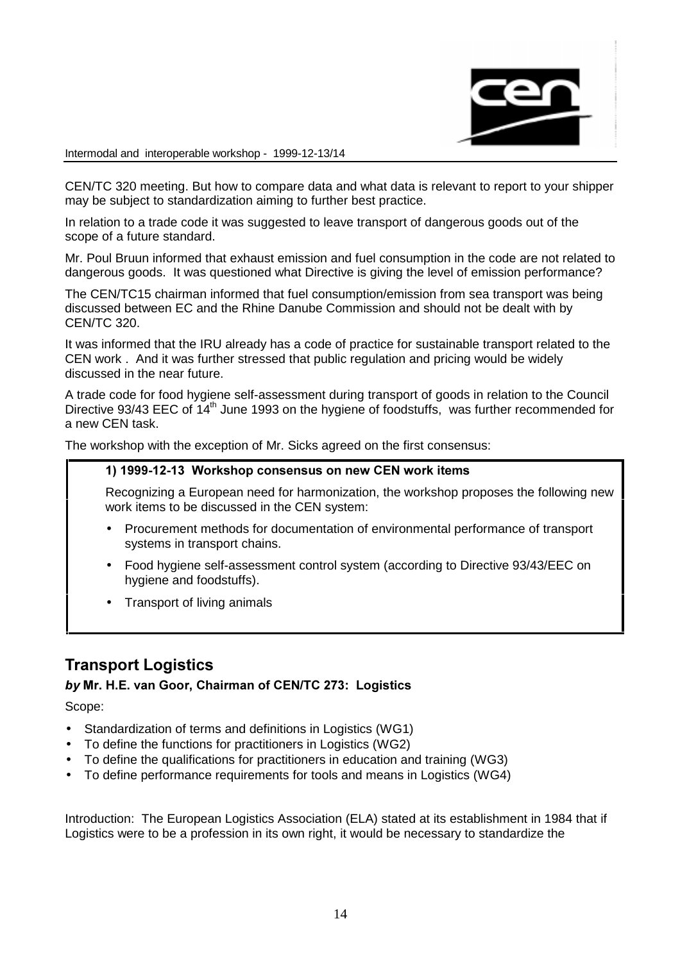

CEN/TC 320 meeting. But how to compare data and what data is relevant to report to your shipper may be subject to standardization aiming to further best practice.

In relation to a trade code it was suggested to leave transport of dangerous goods out of the scope of a future standard.

Mr. Poul Bruun informed that exhaust emission and fuel consumption in the code are not related to dangerous goods. It was questioned what Directive is giving the level of emission performance?

The CEN/TC15 chairman informed that fuel consumption/emission from sea transport was being discussed between EC and the Rhine Danube Commission and should not be dealt with by CEN/TC 320.

It was informed that the IRU already has a code of practice for sustainable transport related to the CEN work . And it was further stressed that public regulation and pricing would be widely discussed in the near future.

A trade code for food hygiene self-assessment during transport of goods in relation to the Council Directive 93/43 EEC of 14<sup>th</sup> June 1993 on the hygiene of foodstuffs, was further recommended for a new CEN task.

The workshop with the exception of Mr. Sicks agreed on the first consensus:

#### 1) 1999-12-13 Workshop consensus on new CEN work items

Recognizing a European need for harmonization, the workshop proposes the following new work items to be discussed in the CEN system:

- Procurement methods for documentation of environmental performance of transport systems in transport chains.
- Food hygiene self-assessment control system (according to Directive 93/43/EEC on hygiene and foodstuffs).
- Transport of living animals

# **Transport Logistics**

## by Mr. H.E. van Goor, Chairman of CEN/TC 273: Logistics

Scope:

- Standardization of terms and definitions in Logistics (WG1)
- To define the functions for practitioners in Logistics (WG2)
- To define the qualifications for practitioners in education and training (WG3)
- To define performance requirements for tools and means in Logistics (WG4)

Introduction: The European Logistics Association (ELA) stated at its establishment in 1984 that if Logistics were to be a profession in its own right, it would be necessary to standardize the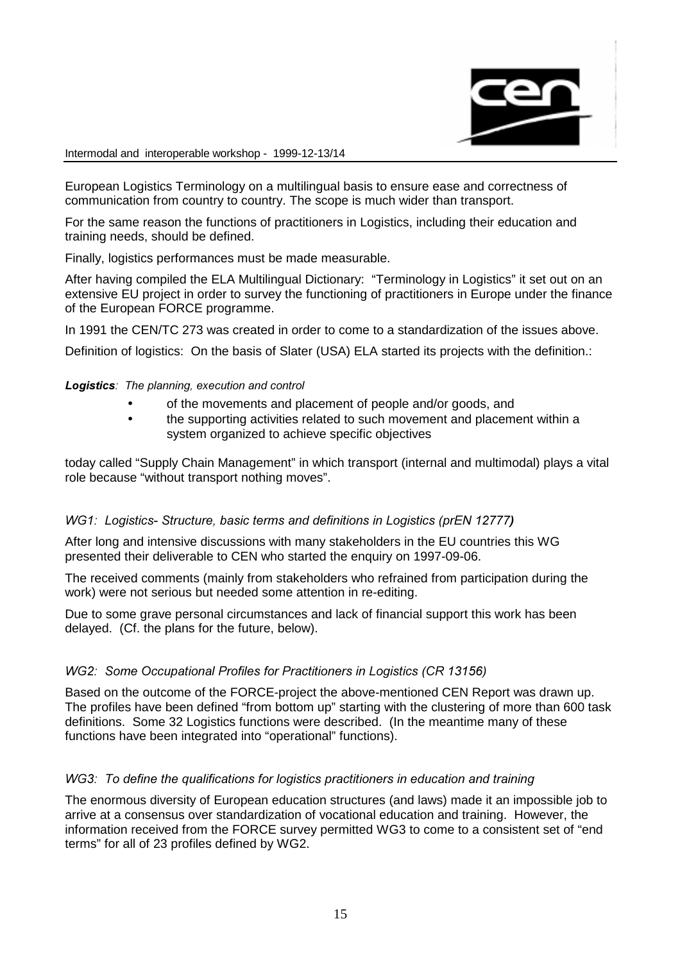

European Logistics Terminology on a multilingual basis to ensure ease and correctness of communication from country to country. The scope is much wider than transport.

For the same reason the functions of practitioners in Logistics, including their education and training needs, should be defined.

Finally, logistics performances must be made measurable.

After having compiled the ELA Multilingual Dictionary: "Terminology in Logistics" it set out on an extensive EU project in order to survey the functioning of practitioners in Europe under the finance of the European FORCE programme.

In 1991 the CEN/TC 273 was created in order to come to a standardization of the issues above.

Definition of logistics: On the basis of Slater (USA) ELA started its projects with the definition.:

#### Logistics: The planning, execution and control

- of the movements and placement of people and/or goods, and
- the supporting activities related to such movement and placement within a system organized to achieve specific objectives

today called "Supply Chain Management" in which transport (internal and multimodal) plays a vital role because "without transport nothing moves".

#### WG1: Logistics-Structure, basic terms and definitions in Logistics (prEN 12777)

After long and intensive discussions with many stakeholders in the EU countries this WG presented their deliverable to CEN who started the enquiry on 1997-09-06.

The received comments (mainly from stakeholders who refrained from participation during the work) were not serious but needed some attention in re-editing.

Due to some grave personal circumstances and lack of financial support this work has been delayed. (Cf. the plans for the future, below).

#### WG2: Some Occupational Profiles for Practitioners in Logistics (CR 13156)

Based on the outcome of the FORCE-project the above-mentioned CEN Report was drawn up. The profiles have been defined "from bottom up" starting with the clustering of more than 600 task definitions. Some 32 Logistics functions were described. (In the meantime many of these functions have been integrated into "operational" functions).

#### WG3: To define the qualifications for logistics practitioners in education and training

The enormous diversity of European education structures (and laws) made it an impossible job to arrive at a consensus over standardization of vocational education and training. However, the information received from the FORCE survey permitted WG3 to come to a consistent set of "end terms" for all of 23 profiles defined by WG2.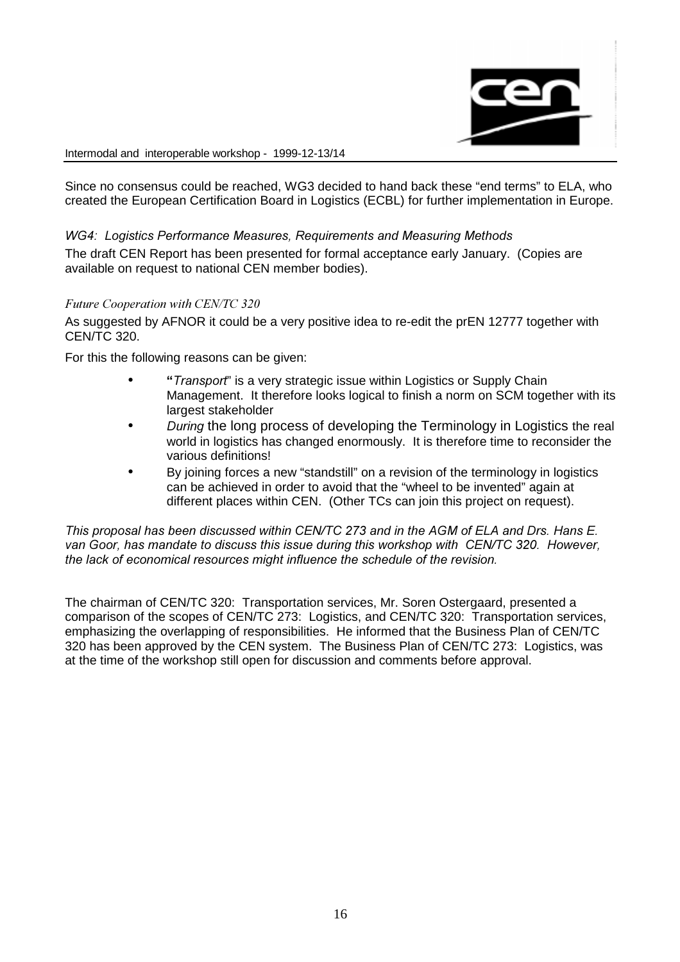

Since no consensus could be reached, WG3 decided to hand back these "end terms" to ELA, who created the European Certification Board in Logistics (ECBL) for further implementation in Europe.

## WG4: Logistics Performance Measures. Requirements and Measuring Methods

The draft CEN Report has been presented for formal acceptance early January. (Copies are available on request to national CEN member bodies).

#### Future Cooperation with CEN/TC 320

As suggested by AFNOR it could be a very positive idea to re-edit the prEN 12777 together with CEN/TC 320.

For this the following reasons can be given:

- "Transport" is a very strategic issue within Logistics or Supply Chain Management. It therefore looks logical to finish a norm on SCM together with its largest stakeholder
- During the long process of developing the Terminology in Logistics the real world in logistics has changed enormously. It is therefore time to reconsider the various definitions!
- By joining forces a new "standstill" on a revision of the terminology in logistics can be achieved in order to avoid that the "wheel to be invented" again at different places within CEN. (Other TCs can join this project on request).

This proposal has been discussed within CEN/TC 273 and in the AGM of ELA and Drs. Hans E. van Goor, has mandate to discuss this issue during this workshop with CEN/TC 320. However, the lack of economical resources might influence the schedule of the revision.

The chairman of CEN/TC 320: Transportation services, Mr. Soren Ostergaard, presented a comparison of the scopes of CEN/TC 273: Logistics, and CEN/TC 320: Transportation services, emphasizing the overlapping of responsibilities. He informed that the Business Plan of CEN/TC 320 has been approved by the CEN system. The Business Plan of CEN/TC 273: Logistics, was at the time of the workshop still open for discussion and comments before approval.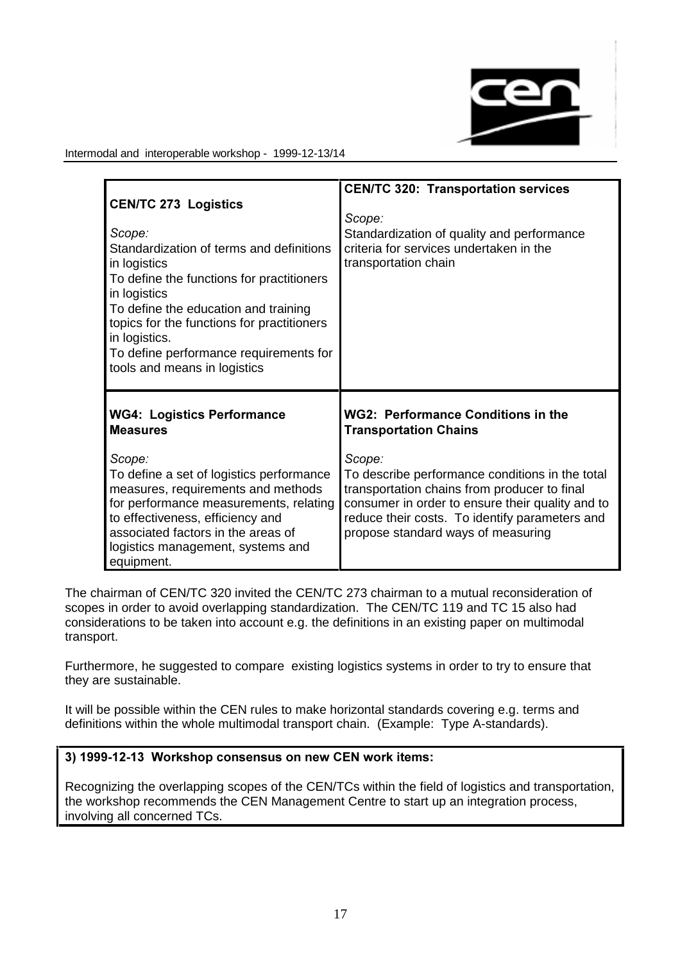

|                                                                                                                                                                                                                                                                 | <b>CEN/TC 320: Transportation services</b>                                                                                                                                                                                                            |
|-----------------------------------------------------------------------------------------------------------------------------------------------------------------------------------------------------------------------------------------------------------------|-------------------------------------------------------------------------------------------------------------------------------------------------------------------------------------------------------------------------------------------------------|
| <b>CEN/TC 273 Logistics</b><br>Scope:<br>Standardization of terms and definitions<br>in logistics<br>To define the functions for practitioners<br>in logistics<br>To define the education and training<br>topics for the functions for practitioners            | Scope:<br>Standardization of quality and performance<br>criteria for services undertaken in the<br>transportation chain                                                                                                                               |
| in logistics.<br>To define performance requirements for<br>tools and means in logistics                                                                                                                                                                         |                                                                                                                                                                                                                                                       |
| <b>WG4: Logistics Performance</b><br><b>Measures</b>                                                                                                                                                                                                            | <b>WG2: Performance Conditions in the</b><br><b>Transportation Chains</b>                                                                                                                                                                             |
| Scope:<br>To define a set of logistics performance<br>measures, requirements and methods<br>for performance measurements, relating<br>to effectiveness, efficiency and<br>associated factors in the areas of<br>logistics management, systems and<br>equipment. | Scope:<br>To describe performance conditions in the total<br>transportation chains from producer to final<br>consumer in order to ensure their quality and to<br>reduce their costs. To identify parameters and<br>propose standard ways of measuring |

The chairman of CEN/TC 320 invited the CEN/TC 273 chairman to a mutual reconsideration of scopes in order to avoid overlapping standardization. The CEN/TC 119 and TC 15 also had considerations to be taken into account e.g. the definitions in an existing paper on multimodal transport.

Furthermore, he suggested to compare existing logistics systems in order to try to ensure that they are sustainable.

It will be possible within the CEN rules to make horizontal standards covering e.g. terms and definitions within the whole multimodal transport chain. (Example: Type A-standards).

## 3) 1999-12-13 Workshop consensus on new CEN work items:

Recognizing the overlapping scopes of the CEN/TCs within the field of logistics and transportation, the workshop recommends the CEN Management Centre to start up an integration process, involving all concerned TCs.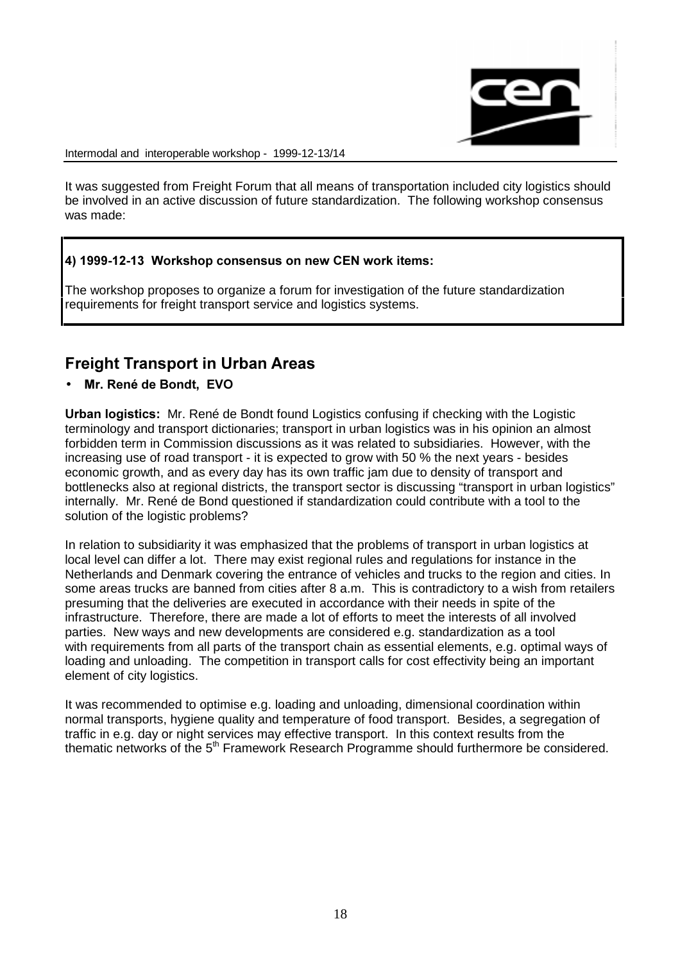

It was suggested from Freight Forum that all means of transportation included city logistics should be involved in an active discussion of future standardization. The following workshop consensus was made:

## 4) 1999-12-13 Workshop consensus on new CEN work items:

The workshop proposes to organize a forum for investigation of the future standardization requirements for freight transport service and logistics systems.

# **Freight Transport in Urban Areas**

• Mr. René de Bondt. EVO

Urban logistics: Mr. René de Bondt found Logistics confusing if checking with the Logistic terminology and transport dictionaries; transport in urban logistics was in his opinion an almost forbidden term in Commission discussions as it was related to subsidiaries. However, with the increasing use of road transport - it is expected to grow with 50 % the next years - besides economic growth, and as every day has its own traffic jam due to density of transport and bottlenecks also at regional districts, the transport sector is discussing "transport in urban logistics" internally. Mr. René de Bond questioned if standardization could contribute with a tool to the solution of the logistic problems?

In relation to subsidiarity it was emphasized that the problems of transport in urban logistics at local level can differ a lot. There may exist regional rules and regulations for instance in the Netherlands and Denmark covering the entrance of vehicles and trucks to the region and cities. In some areas trucks are banned from cities after 8 a.m. This is contradictory to a wish from retailers presuming that the deliveries are executed in accordance with their needs in spite of the infrastructure. Therefore, there are made a lot of efforts to meet the interests of all involved parties. New ways and new developments are considered e.g. standardization as a tool with requirements from all parts of the transport chain as essential elements, e.g. optimal ways of loading and unloading. The competition in transport calls for cost effectivity being an important element of city logistics.

It was recommended to optimise e.g. loading and unloading, dimensional coordination within normal transports, hygiene quality and temperature of food transport. Besides, a segregation of traffic in e.g. day or night services may effective transport. In this context results from the thematic networks of the  $5<sup>th</sup>$  Framework Research Programme should furthermore be considered.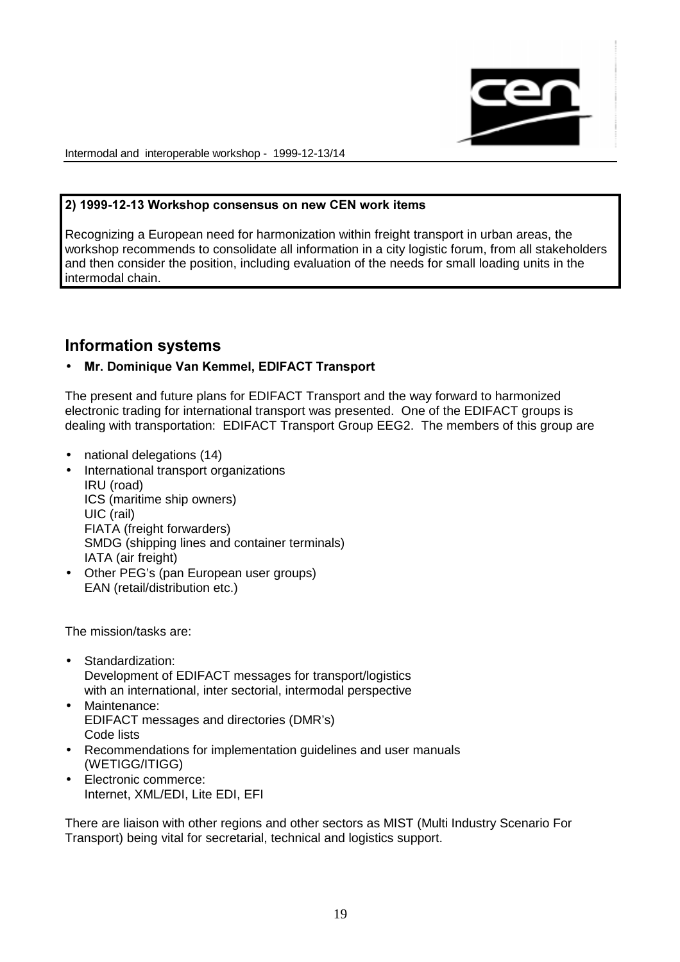

#### 2) 1999-12-13 Workshop consensus on new CEN work items

Recognizing a European need for harmonization within freight transport in urban areas, the workshop recommends to consolidate all information in a city logistic forum, from all stakeholders and then consider the position, including evaluation of the needs for small loading units in the intermodal chain.

# Information systems

## • Mr. Dominique Van Kemmel, EDIFACT Transport

The present and future plans for EDIFACT Transport and the way forward to harmonized electronic trading for international transport was presented. One of the EDIFACT groups is dealing with transportation: EDIFACT Transport Group EEG2. The members of this group are

- national delegations (14)
- International transport organizations IRU (road) ICS (maritime ship owners) UIC (rail) FIATA (freight forwarders) SMDG (shipping lines and container terminals) IATA (air freight)
- Other PEG's (pan European user groups) EAN (retail/distribution etc.)

The mission/tasks are:

- Standardization: Development of EDIFACT messages for transport/logistics with an international, inter sectorial, intermodal perspective
- Maintenance: EDIFACT messages and directories (DMR's) Code lists
- Recommendations for implementation guidelines and user manuals (WETIGG/ITIGG)
- Electronic commerce: Internet, XML/EDI, Lite EDI, EFI

There are liaison with other regions and other sectors as MIST (Multi Industry Scenario For Transport) being vital for secretarial, technical and logistics support.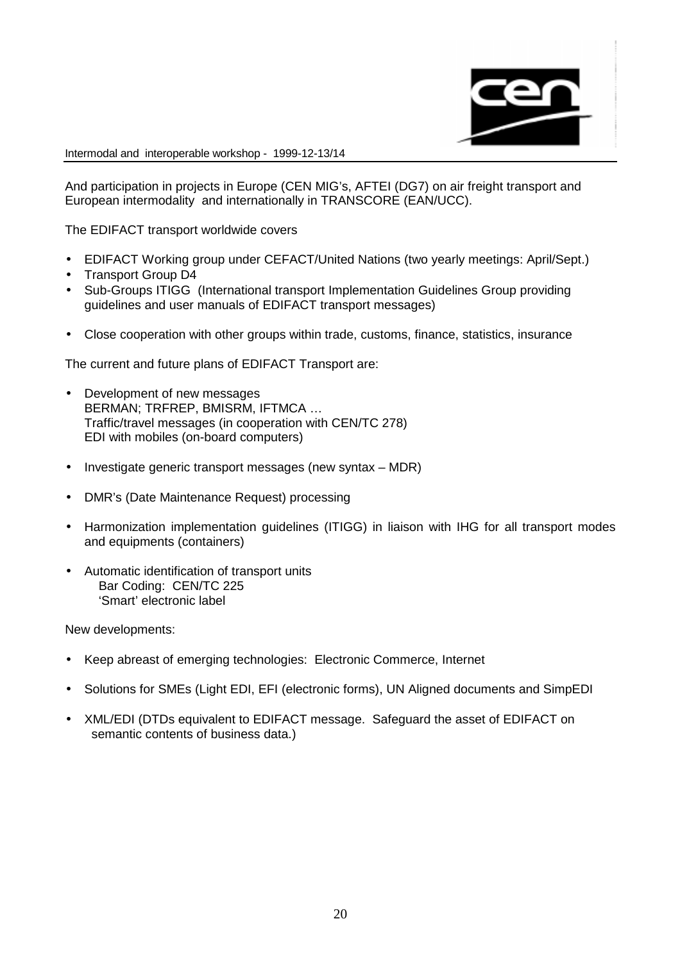

And participation in projects in Europe (CEN MIG's, AFTEI (DG7) on air freight transport and European intermodality and internationally in TRANSCORE (EAN/UCC).

The EDIFACT transport worldwide covers

- EDIFACT Working group under CEFACT/United Nations (two yearly meetings: April/Sept.)
- Transport Group D4
- Sub-Groups ITIGG (International transport Implementation Guidelines Group providing guidelines and user manuals of EDIFACT transport messages)
- Close cooperation with other groups within trade, customs, finance, statistics, insurance

The current and future plans of EDIFACT Transport are:

- Development of new messages BERMAN; TRFREP, BMISRM, IFTMCA … Traffic/travel messages (in cooperation with CEN/TC 278) EDI with mobiles (on-board computers)
- Investigate generic transport messages (new syntax MDR)
- DMR's (Date Maintenance Request) processing
- Harmonization implementation guidelines (ITIGG) in liaison with IHG for all transport modes and equipments (containers)
- Automatic identification of transport units Bar Coding: CEN/TC 225 'Smart' electronic label

New developments:

- Keep abreast of emerging technologies: Electronic Commerce, Internet
- Solutions for SMEs (Light EDI, EFI (electronic forms), UN Aligned documents and SimpEDI
- XML/EDI (DTDs equivalent to EDIFACT message. Safeguard the asset of EDIFACT on semantic contents of business data.)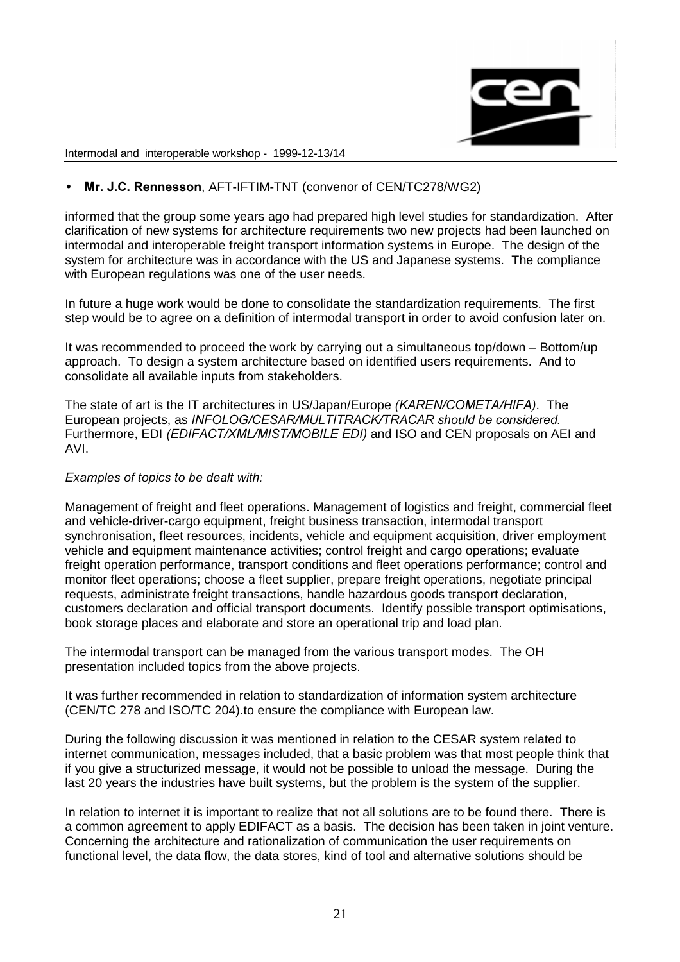

## • Mr. J.C. Rennesson. AFT-IFTIM-TNT (convenor of CEN/TC278/WG2)

informed that the group some years ago had prepared high level studies for standardization. After clarification of new systems for architecture requirements two new projects had been launched on intermodal and interoperable freight transport information systems in Europe. The design of the system for architecture was in accordance with the US and Japanese systems. The compliance with European regulations was one of the user needs.

In future a huge work would be done to consolidate the standardization requirements. The first step would be to agree on a definition of intermodal transport in order to avoid confusion later on.

It was recommended to proceed the work by carrying out a simultaneous top/down – Bottom/up approach. To design a system architecture based on identified users requirements. And to consolidate all available inputs from stakeholders.

The state of art is the IT architectures in US/Japan/Europe (KAREN/COMETA/HIFA). The European projects, as INFOLOG/CESAR/MULTITRACK/TRACAR should be considered. Furthermore, EDI (EDIFACT/XML/MIST/MOBILE EDI) and ISO and CEN proposals on AEI and AVI.

#### Examples of topics to be dealt with:

Management of freight and fleet operations. Management of logistics and freight, commercial fleet and vehicle-driver-cargo equipment, freight business transaction, intermodal transport synchronisation, fleet resources, incidents, vehicle and equipment acquisition, driver employment vehicle and equipment maintenance activities; control freight and cargo operations; evaluate freight operation performance, transport conditions and fleet operations performance; control and monitor fleet operations; choose a fleet supplier, prepare freight operations, negotiate principal requests, administrate freight transactions, handle hazardous goods transport declaration, customers declaration and official transport documents. Identify possible transport optimisations, book storage places and elaborate and store an operational trip and load plan.

The intermodal transport can be managed from the various transport modes. The OH presentation included topics from the above projects.

It was further recommended in relation to standardization of information system architecture (CEN/TC 278 and ISO/TC 204).to ensure the compliance with European law.

During the following discussion it was mentioned in relation to the CESAR system related to internet communication, messages included, that a basic problem was that most people think that if you give a structurized message, it would not be possible to unload the message. During the last 20 years the industries have built systems, but the problem is the system of the supplier.

In relation to internet it is important to realize that not all solutions are to be found there. There is a common agreement to apply EDIFACT as a basis. The decision has been taken in joint venture. Concerning the architecture and rationalization of communication the user requirements on functional level, the data flow, the data stores, kind of tool and alternative solutions should be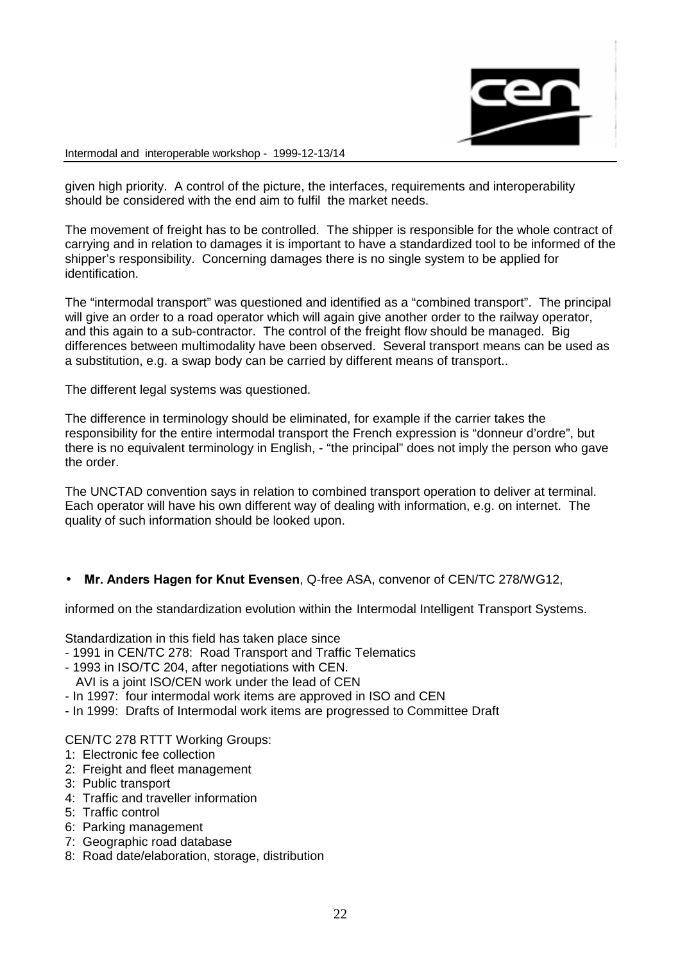

given high priority. A control of the picture, the interfaces, requirements and interoperability should be considered with the end aim to fulfil the market needs.

The movement of freight has to be controlled. The shipper is responsible for the whole contract of carrying and in relation to damages it is important to have a standardized tool to be informed of the shipper's responsibility. Concerning damages there is no single system to be applied for identification.

The "intermodal transport" was questioned and identified as a "combined transport". The principal will give an order to a road operator which will again give another order to the railway operator, and this again to a sub-contractor. The control of the freight flow should be managed. Big differences between multimodality have been observed. Several transport means can be used as a substitution, e.g. a swap body can be carried by different means of transport..

The different legal systems was questioned.

The difference in terminology should be eliminated, for example if the carrier takes the responsibility for the entire intermodal transport the French expression is "donneur d'ordre", but there is no equivalent terminology in English, - "the principal" does not imply the person who gave the order.

The UNCTAD convention says in relation to combined transport operation to deliver at terminal. Each operator will have his own different way of dealing with information, e.g. on internet. The quality of such information should be looked upon.

• Mr. Anders Hagen for Knut Evensen, Q-free ASA, convenor of CEN/TC 278/WG12,

informed on the standardization evolution within the Intermodal Intelligent Transport Systems.

Standardization in this field has taken place since

- 1991 in CEN/TC 278: Road Transport and Traffic Telematics
- 1993 in ISO/TC 204, after negotiations with CEN.
	- AVI is a joint ISO/CEN work under the lead of CEN
- In 1997: four intermodal work items are approved in ISO and CEN
- In 1999: Drafts of Intermodal work items are progressed to Committee Draft

#### CEN/TC 278 RTTT Working Groups:

- 1: Electronic fee collection
- 2: Freight and fleet management
- 3: Public transport
- 4: Traffic and traveller information
- 5: Traffic control
- 6: Parking management
- 7: Geographic road database
- 8: Road date/elaboration, storage, distribution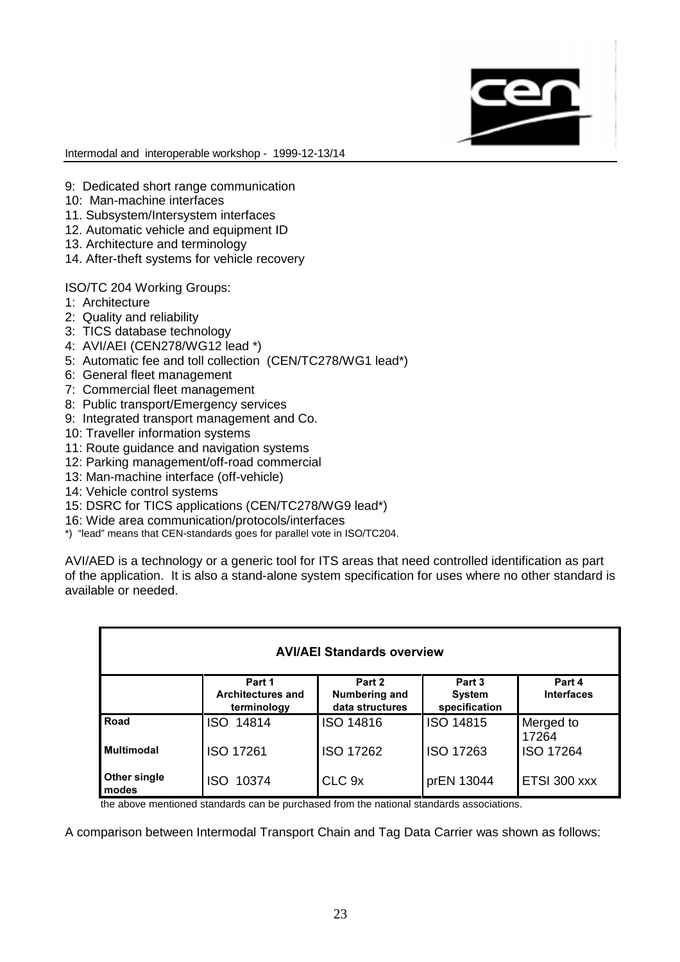

- 9: Dedicated short range communication
- 10: Man-machine interfaces
- 11. Subsystem/Intersystem interfaces
- 12. Automatic vehicle and equipment ID
- 13. Architecture and terminology
- 14. After-theft systems for vehicle recovery

ISO/TC 204 Working Groups:

- 1: Architecture
- 2: Quality and reliability
- 3: TICS database technology
- 4: AVI/AEI (CEN278/WG12 lead \*)
- 5: Automatic fee and toll collection (CEN/TC278/WG1 lead\*)
- 6: General fleet management
- 7: Commercial fleet management
- 8: Public transport/Emergency services
- 9: Integrated transport management and Co.
- 10: Traveller information systems
- 11: Route guidance and navigation systems
- 12: Parking management/off-road commercial
- 13: Man-machine interface (off-vehicle)
- 14: Vehicle control systems
- 15: DSRC for TICS applications (CEN/TC278/WG9 lead\*)
- 16: Wide area communication/protocols/interfaces
- \*) "lead" means that CEN-standards goes for parallel vote in ISO/TC204.

AVI/AED is a technology or a generic tool for ITS areas that need controlled identification as part of the application. It is also a stand-alone system specification for uses where no other standard is available or needed.

| <b>AVI/AEI Standards overview</b> |                                                   |                                            |                                          |                             |
|-----------------------------------|---------------------------------------------------|--------------------------------------------|------------------------------------------|-----------------------------|
|                                   | Part 1<br><b>Architectures and</b><br>terminology | Part 2<br>Numbering and<br>data structures | Part 3<br><b>System</b><br>specification | Part 4<br><b>Interfaces</b> |
| Road                              | 14814<br><b>ISO</b>                               | ISO 14816                                  | <b>ISO 14815</b>                         | Merged to<br>17264          |
| <b>Multimodal</b>                 | <b>ISO 17261</b>                                  | ISO 17262                                  | <b>ISO 17263</b>                         | <b>ISO 17264</b>            |
| Other single<br>modes             | 10374<br>ISO                                      | CLC 9x                                     | prEN 13044                               | ETSI 300 xxx                |

the above mentioned standards can be purchased from the national standards associations.

A comparison between Intermodal Transport Chain and Tag Data Carrier was shown as follows: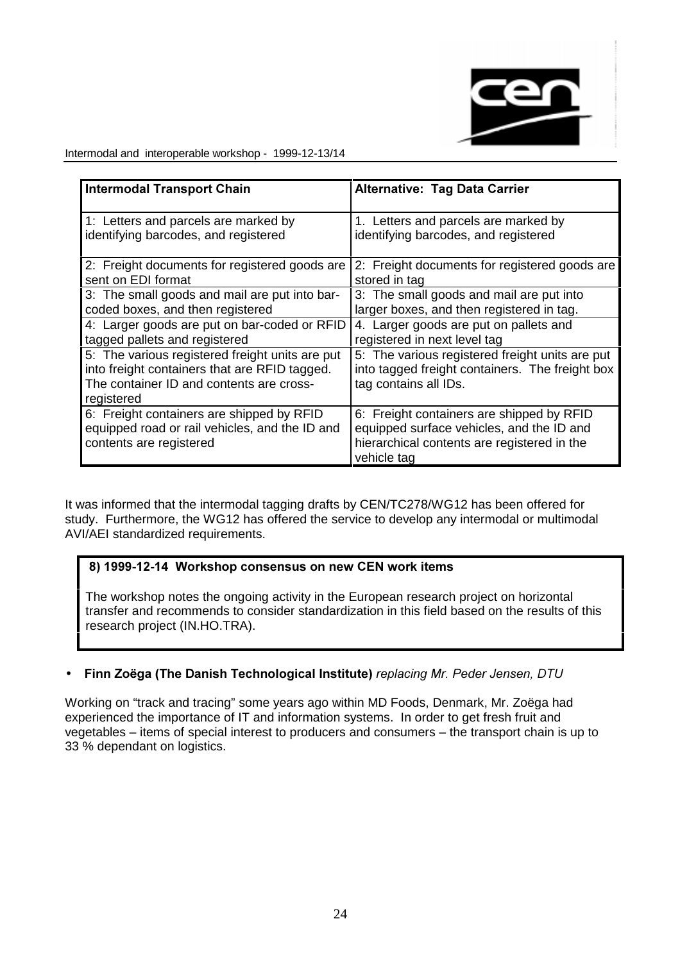

| <b>Intermodal Transport Chain</b>                                                                                                                          | <b>Alternative: Tag Data Carrier</b>                                                                                                                 |
|------------------------------------------------------------------------------------------------------------------------------------------------------------|------------------------------------------------------------------------------------------------------------------------------------------------------|
| 1: Letters and parcels are marked by                                                                                                                       | 1. Letters and parcels are marked by                                                                                                                 |
| identifying barcodes, and registered                                                                                                                       | identifying barcodes, and registered                                                                                                                 |
| 2: Freight documents for registered goods are                                                                                                              | 2: Freight documents for registered goods are                                                                                                        |
| sent on EDI format                                                                                                                                         | stored in tag                                                                                                                                        |
| 3: The small goods and mail are put into bar-                                                                                                              | 3: The small goods and mail are put into                                                                                                             |
| coded boxes, and then registered                                                                                                                           | larger boxes, and then registered in tag.                                                                                                            |
| 4: Larger goods are put on bar-coded or RFID                                                                                                               | 4. Larger goods are put on pallets and                                                                                                               |
| tagged pallets and registered                                                                                                                              | registered in next level tag                                                                                                                         |
| 5: The various registered freight units are put<br>into freight containers that are RFID tagged.<br>The container ID and contents are cross-<br>registered | 5: The various registered freight units are put<br>into tagged freight containers. The freight box<br>tag contains all IDs.                          |
| 6: Freight containers are shipped by RFID<br>equipped road or rail vehicles, and the ID and<br>contents are registered                                     | 6: Freight containers are shipped by RFID<br>equipped surface vehicles, and the ID and<br>hierarchical contents are registered in the<br>vehicle tag |

It was informed that the intermodal tagging drafts by CEN/TC278/WG12 has been offered for study. Furthermore, the WG12 has offered the service to develop any intermodal or multimodal AVI/AEI standardized requirements.

## 8) 1999-12-14 Workshop consensus on new CEN work items

The workshop notes the ongoing activity in the European research project on horizontal transfer and recommends to consider standardization in this field based on the results of this research project (IN.HO.TRA).

## • Finn Zoëga (The Danish Technological Institute) replacing Mr. Peder Jensen, DTU

Working on "track and tracing" some years ago within MD Foods, Denmark, Mr. Zoëga had experienced the importance of IT and information systems. In order to get fresh fruit and vegetables – items of special interest to producers and consumers – the transport chain is up to 33 % dependant on logistics.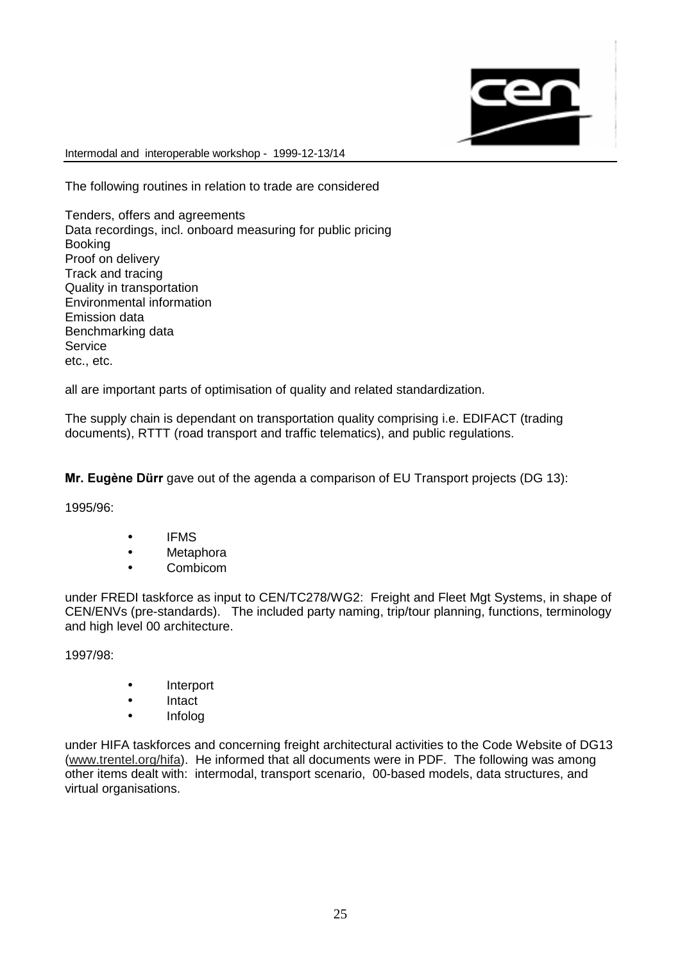

The following routines in relation to trade are considered

Tenders, offers and agreements Data recordings, incl. onboard measuring for public pricing Booking Proof on delivery Track and tracing Quality in transportation Environmental information Emission data Benchmarking data Service etc., etc.

all are important parts of optimisation of quality and related standardization.

The supply chain is dependant on transportation quality comprising i.e. EDIFACT (trading documents), RTTT (road transport and traffic telematics), and public regulations.

Mr. Eugène Dürr gave out of the agenda a comparison of EU Transport projects (DG 13):

1995/96:

- IFMS
- Metaphora
- Combicom

under FREDI taskforce as input to CEN/TC278/WG2: Freight and Fleet Mgt Systems, in shape of CEN/ENVs (pre-standards). The included party naming, trip/tour planning, functions, terminology and high level 00 architecture.

1997/98:

- **Interport**
- Intact
- Infolog

under HIFA taskforces and concerning freight architectural activities to the Code Website of DG13 (www.trentel.org/hifa). He informed that all documents were in PDF. The following was among other items dealt with: intermodal, transport scenario, 00-based models, data structures, and virtual organisations.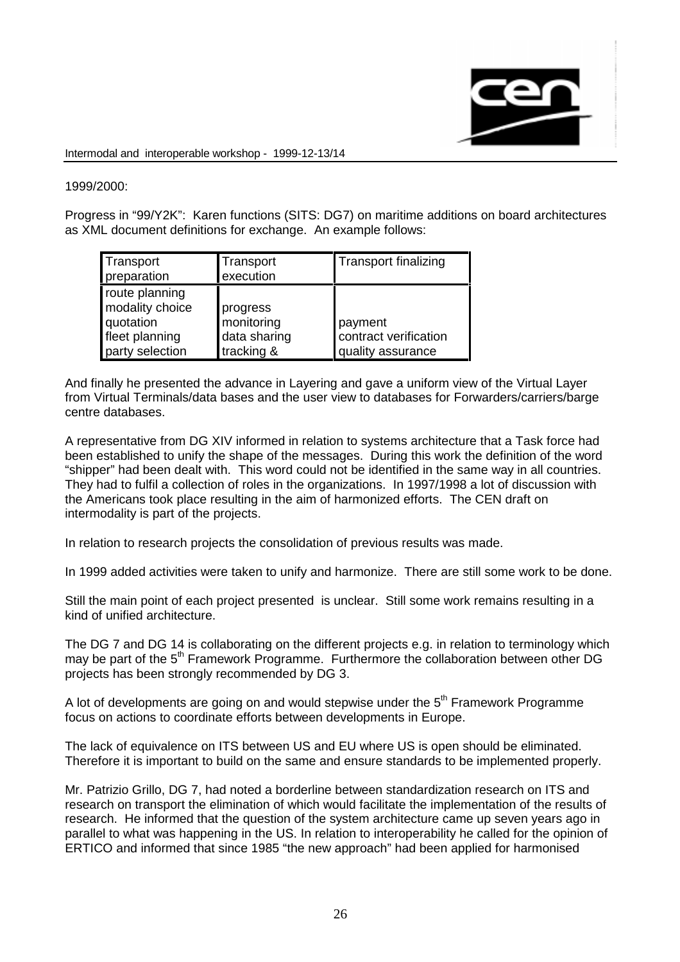

## 1999/2000:

Progress in "99/Y2K": Karen functions (SITS: DG7) on maritime additions on board architectures as XML document definitions for exchange. An example follows:

| Transport<br>preparation                                                            | Transport<br>execution                               | <b>Transport finalizing</b>                           |
|-------------------------------------------------------------------------------------|------------------------------------------------------|-------------------------------------------------------|
| route planning<br>modality choice<br>quotation<br>fleet planning<br>party selection | progress<br>monitoring<br>data sharing<br>tracking & | payment<br>contract verification<br>quality assurance |

And finally he presented the advance in Layering and gave a uniform view of the Virtual Layer from Virtual Terminals/data bases and the user view to databases for Forwarders/carriers/barge centre databases.

A representative from DG XIV informed in relation to systems architecture that a Task force had been established to unify the shape of the messages. During this work the definition of the word "shipper" had been dealt with. This word could not be identified in the same way in all countries. They had to fulfil a collection of roles in the organizations. In 1997/1998 a lot of discussion with the Americans took place resulting in the aim of harmonized efforts. The CEN draft on intermodality is part of the projects.

In relation to research projects the consolidation of previous results was made.

In 1999 added activities were taken to unify and harmonize. There are still some work to be done.

Still the main point of each project presented is unclear. Still some work remains resulting in a kind of unified architecture.

The DG 7 and DG 14 is collaborating on the different projects e.g. in relation to terminology which may be part of the 5<sup>th</sup> Framework Programme. Furthermore the collaboration between other DG projects has been strongly recommended by DG 3.

A lot of developments are going on and would stepwise under the  $5<sup>th</sup>$  Framework Programme focus on actions to coordinate efforts between developments in Europe.

The lack of equivalence on ITS between US and EU where US is open should be eliminated. Therefore it is important to build on the same and ensure standards to be implemented properly.

Mr. Patrizio Grillo, DG 7, had noted a borderline between standardization research on ITS and research on transport the elimination of which would facilitate the implementation of the results of research. He informed that the question of the system architecture came up seven years ago in parallel to what was happening in the US. In relation to interoperability he called for the opinion of ERTICO and informed that since 1985 "the new approach" had been applied for harmonised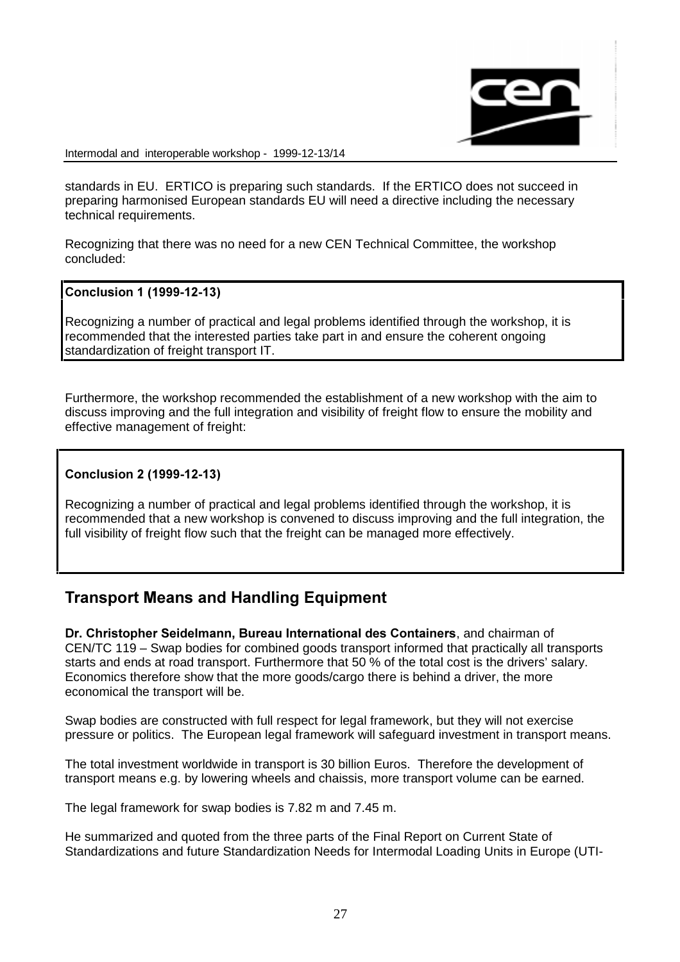

standards in EU. ERTICO is preparing such standards. If the ERTICO does not succeed in preparing harmonised European standards EU will need a directive including the necessary technical requirements.

Recognizing that there was no need for a new CEN Technical Committee, the workshop concluded:

#### Conclusion 1 (1999-12-13)

Recognizing a number of practical and legal problems identified through the workshop, it is recommended that the interested parties take part in and ensure the coherent ongoing standardization of freight transport IT.

Furthermore, the workshop recommended the establishment of a new workshop with the aim to discuss improving and the full integration and visibility of freight flow to ensure the mobility and effective management of freight:

#### Conclusion 2 (1999-12-13)

Recognizing a number of practical and legal problems identified through the workshop, it is recommended that a new workshop is convened to discuss improving and the full integration, the full visibility of freight flow such that the freight can be managed more effectively.

# **Transport Means and Handling Equipment**

Dr. Christopher Seidelmann. Bureau International des Containers, and chairman of CEN/TC 119 – Swap bodies for combined goods transport informed that practically all transports starts and ends at road transport. Furthermore that 50 % of the total cost is the drivers' salary. Economics therefore show that the more goods/cargo there is behind a driver, the more economical the transport will be.

Swap bodies are constructed with full respect for legal framework, but they will not exercise pressure or politics. The European legal framework will safeguard investment in transport means.

The total investment worldwide in transport is 30 billion Euros. Therefore the development of transport means e.g. by lowering wheels and chaissis, more transport volume can be earned.

The legal framework for swap bodies is 7.82 m and 7.45 m.

He summarized and quoted from the three parts of the Final Report on Current State of Standardizations and future Standardization Needs for Intermodal Loading Units in Europe (UTI-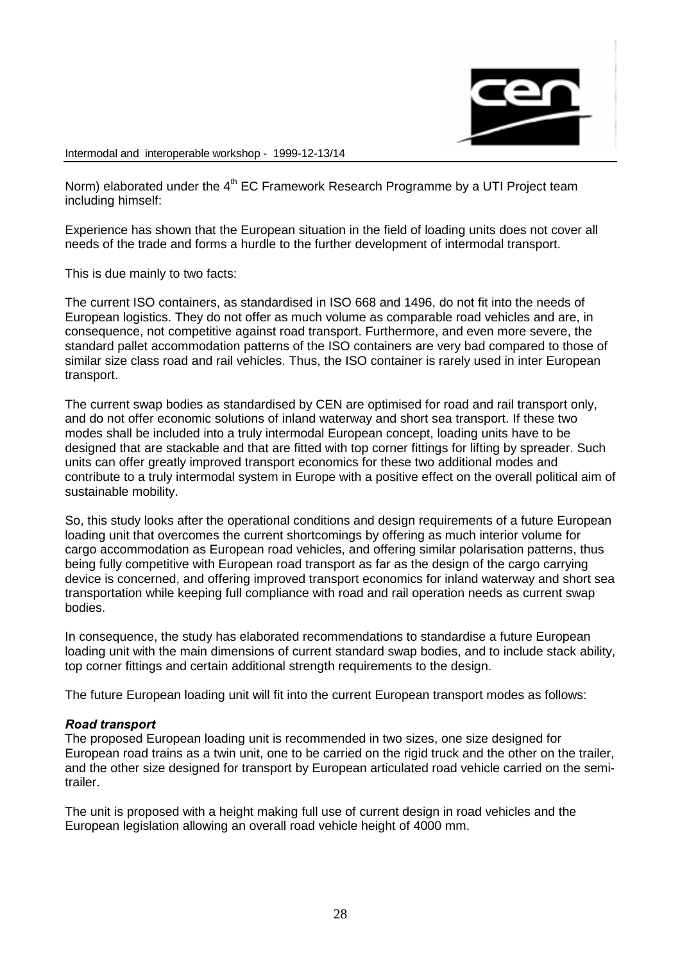

Norm) elaborated under the  $4<sup>th</sup>$  EC Framework Research Programme by a UTI Project team including himself:

Experience has shown that the European situation in the field of loading units does not cover all needs of the trade and forms a hurdle to the further development of intermodal transport.

This is due mainly to two facts:

The current ISO containers, as standardised in ISO 668 and 1496, do not fit into the needs of European logistics. They do not offer as much volume as comparable road vehicles and are, in consequence, not competitive against road transport. Furthermore, and even more severe, the standard pallet accommodation patterns of the ISO containers are very bad compared to those of similar size class road and rail vehicles. Thus, the ISO container is rarely used in inter European transport.

The current swap bodies as standardised by CEN are optimised for road and rail transport only, and do not offer economic solutions of inland waterway and short sea transport. If these two modes shall be included into a truly intermodal European concept, loading units have to be designed that are stackable and that are fitted with top corner fittings for lifting by spreader. Such units can offer greatly improved transport economics for these two additional modes and contribute to a truly intermodal system in Europe with a positive effect on the overall political aim of sustainable mobility.

So, this study looks after the operational conditions and design requirements of a future European loading unit that overcomes the current shortcomings by offering as much interior volume for cargo accommodation as European road vehicles, and offering similar polarisation patterns, thus being fully competitive with European road transport as far as the design of the cargo carrying device is concerned, and offering improved transport economics for inland waterway and short sea transportation while keeping full compliance with road and rail operation needs as current swap bodies.

In consequence, the study has elaborated recommendations to standardise a future European loading unit with the main dimensions of current standard swap bodies, and to include stack ability, top corner fittings and certain additional strength requirements to the design.

The future European loading unit will fit into the current European transport modes as follows:

#### Road transport

The proposed European loading unit is recommended in two sizes, one size designed for European road trains as a twin unit, one to be carried on the rigid truck and the other on the trailer, and the other size designed for transport by European articulated road vehicle carried on the semitrailer.

The unit is proposed with a height making full use of current design in road vehicles and the European legislation allowing an overall road vehicle height of 4000 mm.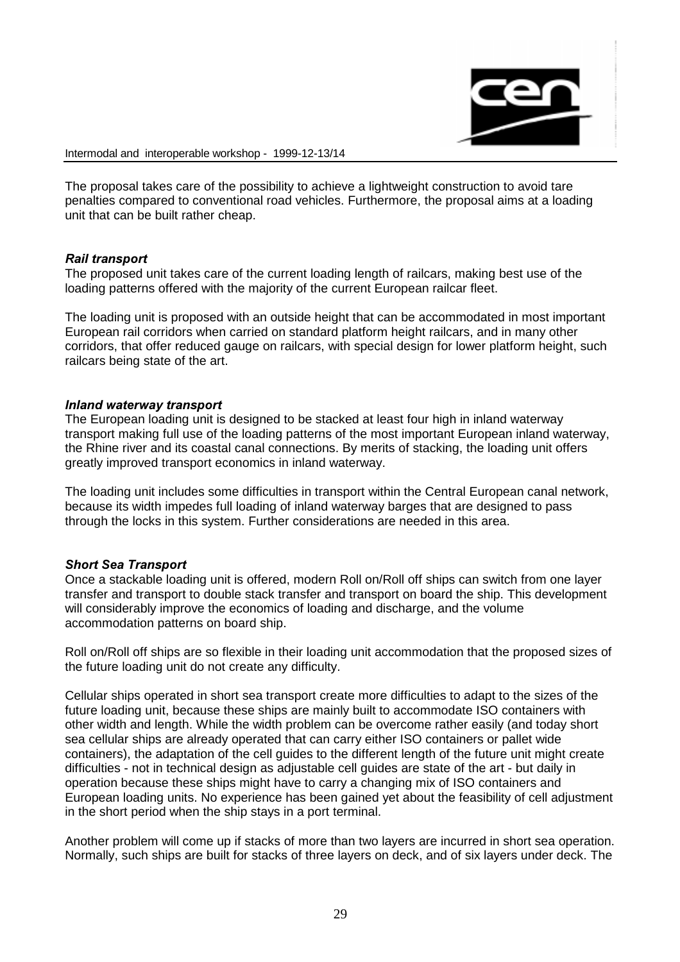

The proposal takes care of the possibility to achieve a lightweight construction to avoid tare penalties compared to conventional road vehicles. Furthermore, the proposal aims at a loading unit that can be built rather cheap.

#### Rail transport

The proposed unit takes care of the current loading length of railcars, making best use of the loading patterns offered with the majority of the current European railcar fleet.

The loading unit is proposed with an outside height that can be accommodated in most important European rail corridors when carried on standard platform height railcars, and in many other corridors, that offer reduced gauge on railcars, with special design for lower platform height, such railcars being state of the art.

#### Inland waterway transport

The European loading unit is designed to be stacked at least four high in inland waterway transport making full use of the loading patterns of the most important European inland waterway, the Rhine river and its coastal canal connections. By merits of stacking, the loading unit offers greatly improved transport economics in inland waterway.

The loading unit includes some difficulties in transport within the Central European canal network, because its width impedes full loading of inland waterway barges that are designed to pass through the locks in this system. Further considerations are needed in this area.

#### **Short Sea Transport**

Once a stackable loading unit is offered, modern Roll on/Roll off ships can switch from one layer transfer and transport to double stack transfer and transport on board the ship. This development will considerably improve the economics of loading and discharge, and the volume accommodation patterns on board ship.

Roll on/Roll off ships are so flexible in their loading unit accommodation that the proposed sizes of the future loading unit do not create any difficulty.

Cellular ships operated in short sea transport create more difficulties to adapt to the sizes of the future loading unit, because these ships are mainly built to accommodate ISO containers with other width and length. While the width problem can be overcome rather easily (and today short sea cellular ships are already operated that can carry either ISO containers or pallet wide containers), the adaptation of the cell guides to the different length of the future unit might create difficulties - not in technical design as adjustable cell guides are state of the art - but daily in operation because these ships might have to carry a changing mix of ISO containers and European loading units. No experience has been gained yet about the feasibility of cell adjustment in the short period when the ship stays in a port terminal.

Another problem will come up if stacks of more than two layers are incurred in short sea operation. Normally, such ships are built for stacks of three layers on deck, and of six layers under deck. The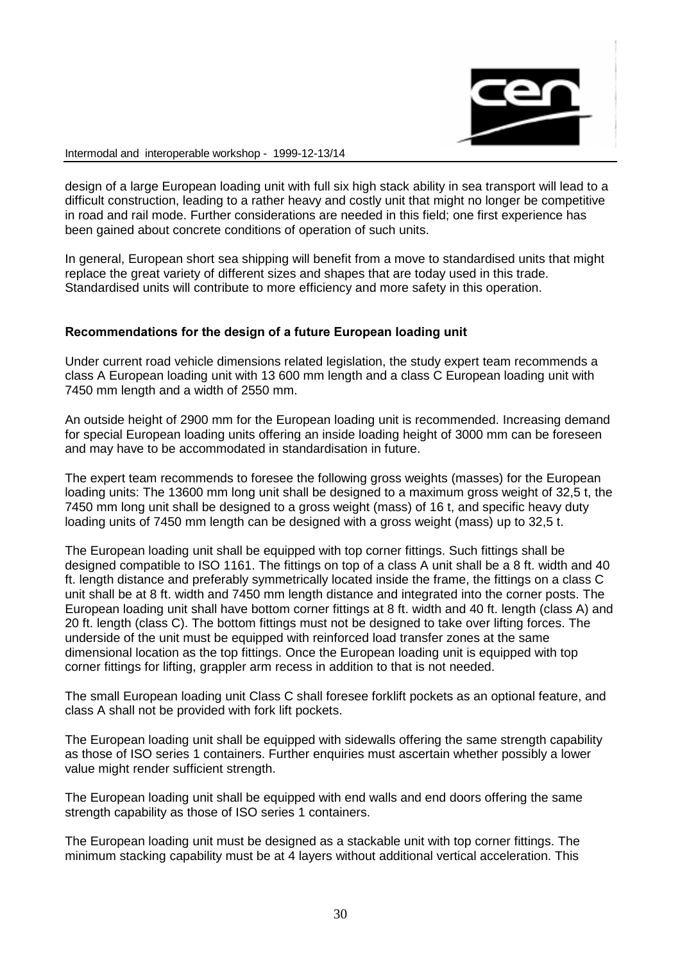

design of a large European loading unit with full six high stack ability in sea transport will lead to a difficult construction, leading to a rather heavy and costly unit that might no longer be competitive in road and rail mode. Further considerations are needed in this field; one first experience has been gained about concrete conditions of operation of such units.

In general, European short sea shipping will benefit from a move to standardised units that might replace the great variety of different sizes and shapes that are today used in this trade. Standardised units will contribute to more efficiency and more safety in this operation.

#### Recommendations for the design of a future European loading unit

Under current road vehicle dimensions related legislation, the study expert team recommends a class A European loading unit with 13 600 mm length and a class C European loading unit with 7450 mm length and a width of 2550 mm.

An outside height of 2900 mm for the European loading unit is recommended. Increasing demand for special European loading units offering an inside loading height of 3000 mm can be foreseen and may have to be accommodated in standardisation in future.

The expert team recommends to foresee the following gross weights (masses) for the European loading units: The 13600 mm long unit shall be designed to a maximum gross weight of 32,5 t, the 7450 mm long unit shall be designed to a gross weight (mass) of 16 t, and specific heavy duty loading units of 7450 mm length can be designed with a gross weight (mass) up to 32,5 t.

The European loading unit shall be equipped with top corner fittings. Such fittings shall be designed compatible to ISO 1161. The fittings on top of a class A unit shall be a 8 ft. width and 40 ft. length distance and preferably symmetrically located inside the frame, the fittings on a class C unit shall be at 8 ft. width and 7450 mm length distance and integrated into the corner posts. The European loading unit shall have bottom corner fittings at 8 ft. width and 40 ft. length (class A) and 20 ft. length (class C). The bottom fittings must not be designed to take over lifting forces. The underside of the unit must be equipped with reinforced load transfer zones at the same dimensional location as the top fittings. Once the European loading unit is equipped with top corner fittings for lifting, grappler arm recess in addition to that is not needed.

The small European loading unit Class C shall foresee forklift pockets as an optional feature, and class A shall not be provided with fork lift pockets.

The European loading unit shall be equipped with sidewalls offering the same strength capability as those of ISO series 1 containers. Further enquiries must ascertain whether possibly a lower value might render sufficient strength.

The European loading unit shall be equipped with end walls and end doors offering the same strength capability as those of ISO series 1 containers.

The European loading unit must be designed as a stackable unit with top corner fittings. The minimum stacking capability must be at 4 layers without additional vertical acceleration. This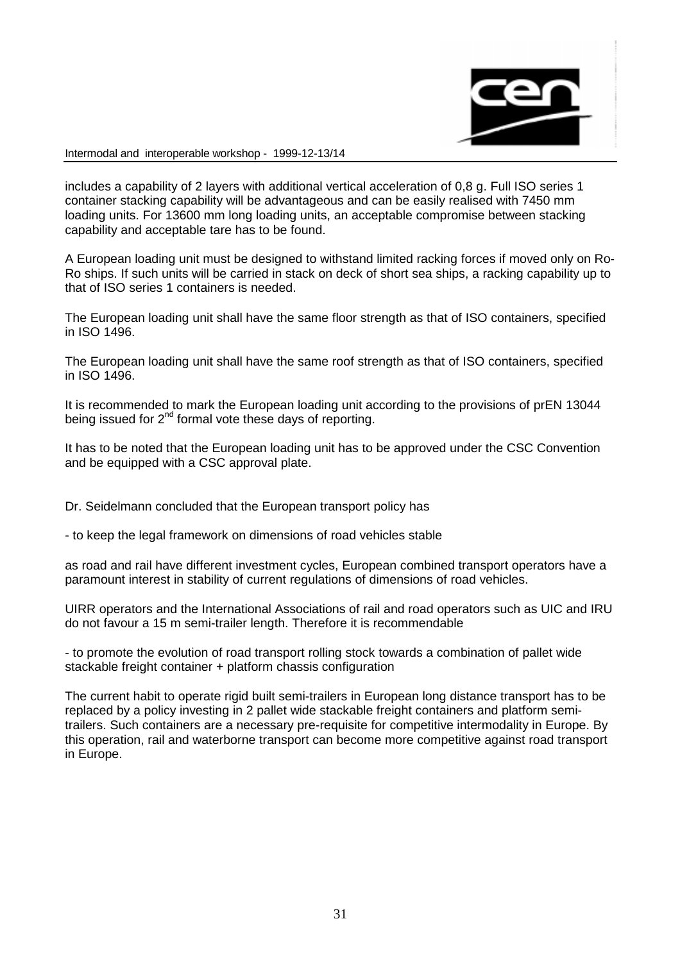

includes a capability of 2 layers with additional vertical acceleration of 0,8 g. Full ISO series 1 container stacking capability will be advantageous and can be easily realised with 7450 mm loading units. For 13600 mm long loading units, an acceptable compromise between stacking capability and acceptable tare has to be found.

A European loading unit must be designed to withstand limited racking forces if moved only on Ro-Ro ships. If such units will be carried in stack on deck of short sea ships, a racking capability up to that of ISO series 1 containers is needed.

The European loading unit shall have the same floor strength as that of ISO containers, specified in ISO 1496.

The European loading unit shall have the same roof strength as that of ISO containers, specified in ISO 1496.

It is recommended to mark the European loading unit according to the provisions of prEN 13044 being issued for  $2^{nd}$  formal vote these days of reporting.

It has to be noted that the European loading unit has to be approved under the CSC Convention and be equipped with a CSC approval plate.

Dr. Seidelmann concluded that the European transport policy has

- to keep the legal framework on dimensions of road vehicles stable

as road and rail have different investment cycles, European combined transport operators have a paramount interest in stability of current regulations of dimensions of road vehicles.

UIRR operators and the International Associations of rail and road operators such as UIC and IRU do not favour a 15 m semi-trailer length. Therefore it is recommendable

- to promote the evolution of road transport rolling stock towards a combination of pallet wide stackable freight container + platform chassis configuration

The current habit to operate rigid built semi-trailers in European long distance transport has to be replaced by a policy investing in 2 pallet wide stackable freight containers and platform semitrailers. Such containers are a necessary pre-requisite for competitive intermodality in Europe. By this operation, rail and waterborne transport can become more competitive against road transport in Europe.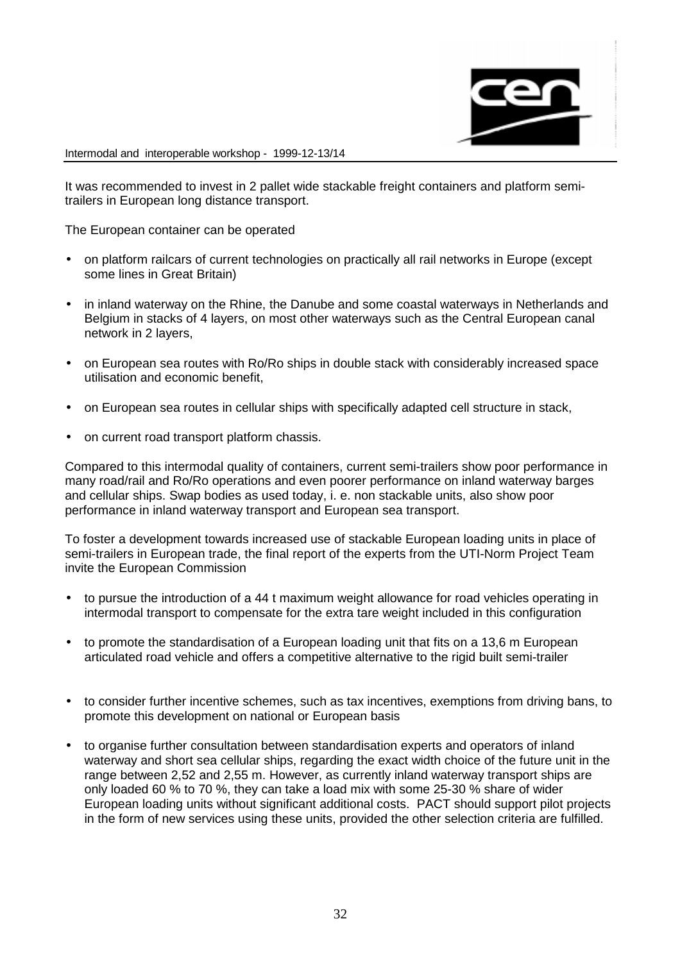

It was recommended to invest in 2 pallet wide stackable freight containers and platform semitrailers in European long distance transport.

The European container can be operated

- on platform railcars of current technologies on practically all rail networks in Europe (except some lines in Great Britain)
- in inland waterway on the Rhine, the Danube and some coastal waterways in Netherlands and Belgium in stacks of 4 layers, on most other waterways such as the Central European canal network in 2 layers,
- on European sea routes with Ro/Ro ships in double stack with considerably increased space utilisation and economic benefit,
- on European sea routes in cellular ships with specifically adapted cell structure in stack,
- on current road transport platform chassis.

Compared to this intermodal quality of containers, current semi-trailers show poor performance in many road/rail and Ro/Ro operations and even poorer performance on inland waterway barges and cellular ships. Swap bodies as used today, i. e. non stackable units, also show poor performance in inland waterway transport and European sea transport.

To foster a development towards increased use of stackable European loading units in place of semi-trailers in European trade, the final report of the experts from the UTI-Norm Project Team invite the European Commission

- to pursue the introduction of a 44 t maximum weight allowance for road vehicles operating in intermodal transport to compensate for the extra tare weight included in this configuration
- to promote the standardisation of a European loading unit that fits on a 13,6 m European articulated road vehicle and offers a competitive alternative to the rigid built semi-trailer
- to consider further incentive schemes, such as tax incentives, exemptions from driving bans, to promote this development on national or European basis
- to organise further consultation between standardisation experts and operators of inland waterway and short sea cellular ships, regarding the exact width choice of the future unit in the range between 2,52 and 2,55 m. However, as currently inland waterway transport ships are only loaded 60 % to 70 %, they can take a load mix with some 25-30 % share of wider European loading units without significant additional costs. PACT should support pilot projects in the form of new services using these units, provided the other selection criteria are fulfilled.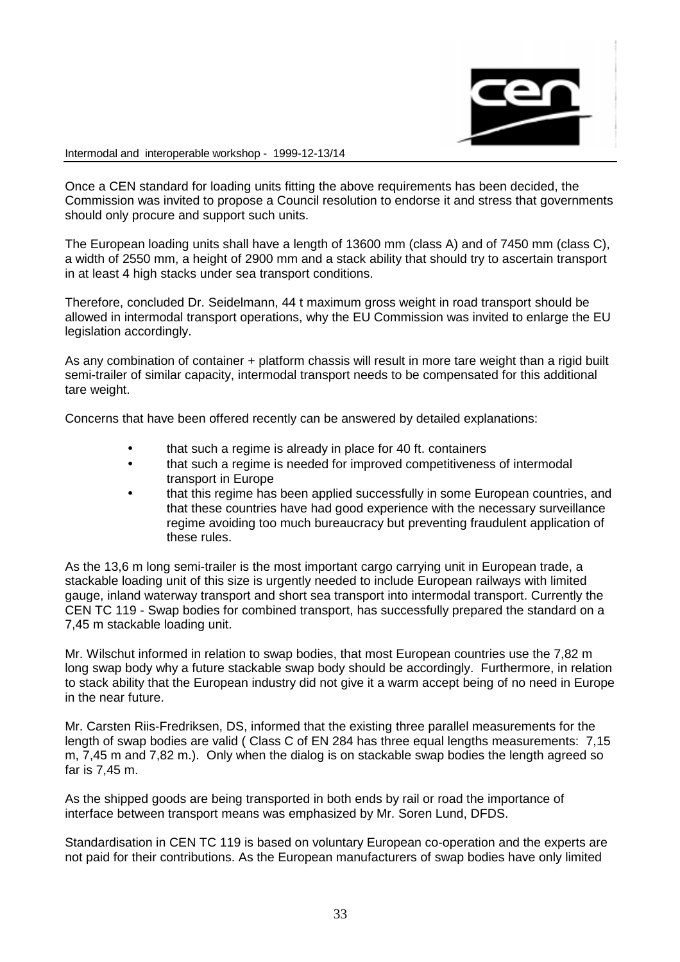

Once a CEN standard for loading units fitting the above requirements has been decided, the Commission was invited to propose a Council resolution to endorse it and stress that governments should only procure and support such units.

The European loading units shall have a length of 13600 mm (class A) and of 7450 mm (class C), a width of 2550 mm, a height of 2900 mm and a stack ability that should try to ascertain transport in at least 4 high stacks under sea transport conditions.

Therefore, concluded Dr. Seidelmann, 44 t maximum gross weight in road transport should be allowed in intermodal transport operations, why the EU Commission was invited to enlarge the EU legislation accordingly.

As any combination of container + platform chassis will result in more tare weight than a rigid built semi-trailer of similar capacity, intermodal transport needs to be compensated for this additional tare weight.

Concerns that have been offered recently can be answered by detailed explanations:

- that such a regime is already in place for 40 ft. containers
- that such a regime is needed for improved competitiveness of intermodal transport in Europe
- that this regime has been applied successfully in some European countries, and that these countries have had good experience with the necessary surveillance regime avoiding too much bureaucracy but preventing fraudulent application of these rules.

As the 13,6 m long semi-trailer is the most important cargo carrying unit in European trade, a stackable loading unit of this size is urgently needed to include European railways with limited gauge, inland waterway transport and short sea transport into intermodal transport. Currently the CEN TC 119 - Swap bodies for combined transport, has successfully prepared the standard on a 7,45 m stackable loading unit.

Mr. Wilschut informed in relation to swap bodies, that most European countries use the 7,82 m long swap body why a future stackable swap body should be accordingly. Furthermore, in relation to stack ability that the European industry did not give it a warm accept being of no need in Europe in the near future.

Mr. Carsten Riis-Fredriksen, DS, informed that the existing three parallel measurements for the length of swap bodies are valid ( Class C of EN 284 has three equal lengths measurements: 7,15 m, 7,45 m and 7,82 m.). Only when the dialog is on stackable swap bodies the length agreed so far is 7,45 m.

As the shipped goods are being transported in both ends by rail or road the importance of interface between transport means was emphasized by Mr. Soren Lund, DFDS.

Standardisation in CEN TC 119 is based on voluntary European co-operation and the experts are not paid for their contributions. As the European manufacturers of swap bodies have only limited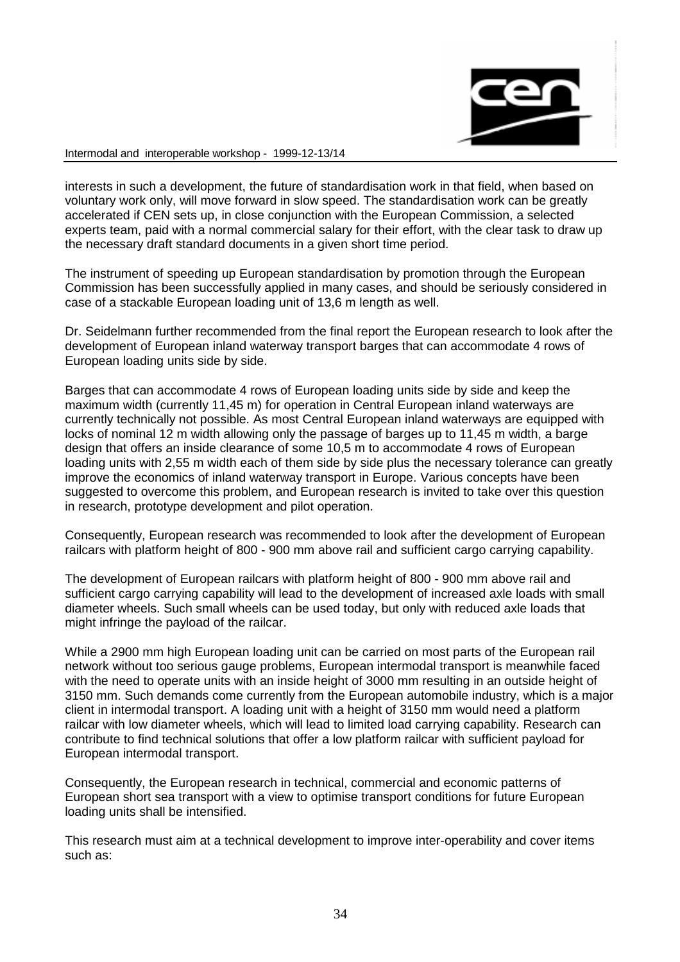

interests in such a development, the future of standardisation work in that field, when based on voluntary work only, will move forward in slow speed. The standardisation work can be greatly accelerated if CEN sets up, in close conjunction with the European Commission, a selected experts team, paid with a normal commercial salary for their effort, with the clear task to draw up the necessary draft standard documents in a given short time period.

The instrument of speeding up European standardisation by promotion through the European Commission has been successfully applied in many cases, and should be seriously considered in case of a stackable European loading unit of 13,6 m length as well.

Dr. Seidelmann further recommended from the final report the European research to look after the development of European inland waterway transport barges that can accommodate 4 rows of European loading units side by side.

Barges that can accommodate 4 rows of European loading units side by side and keep the maximum width (currently 11,45 m) for operation in Central European inland waterways are currently technically not possible. As most Central European inland waterways are equipped with locks of nominal 12 m width allowing only the passage of barges up to 11,45 m width, a barge design that offers an inside clearance of some 10,5 m to accommodate 4 rows of European loading units with 2,55 m width each of them side by side plus the necessary tolerance can greatly improve the economics of inland waterway transport in Europe. Various concepts have been suggested to overcome this problem, and European research is invited to take over this question in research, prototype development and pilot operation.

Consequently, European research was recommended to look after the development of European railcars with platform height of 800 - 900 mm above rail and sufficient cargo carrying capability.

The development of European railcars with platform height of 800 - 900 mm above rail and sufficient cargo carrying capability will lead to the development of increased axle loads with small diameter wheels. Such small wheels can be used today, but only with reduced axle loads that might infringe the payload of the railcar.

While a 2900 mm high European loading unit can be carried on most parts of the European rail network without too serious gauge problems, European intermodal transport is meanwhile faced with the need to operate units with an inside height of 3000 mm resulting in an outside height of 3150 mm. Such demands come currently from the European automobile industry, which is a major client in intermodal transport. A loading unit with a height of 3150 mm would need a platform railcar with low diameter wheels, which will lead to limited load carrying capability. Research can contribute to find technical solutions that offer a low platform railcar with sufficient payload for European intermodal transport.

Consequently, the European research in technical, commercial and economic patterns of European short sea transport with a view to optimise transport conditions for future European loading units shall be intensified.

This research must aim at a technical development to improve inter-operability and cover items such as: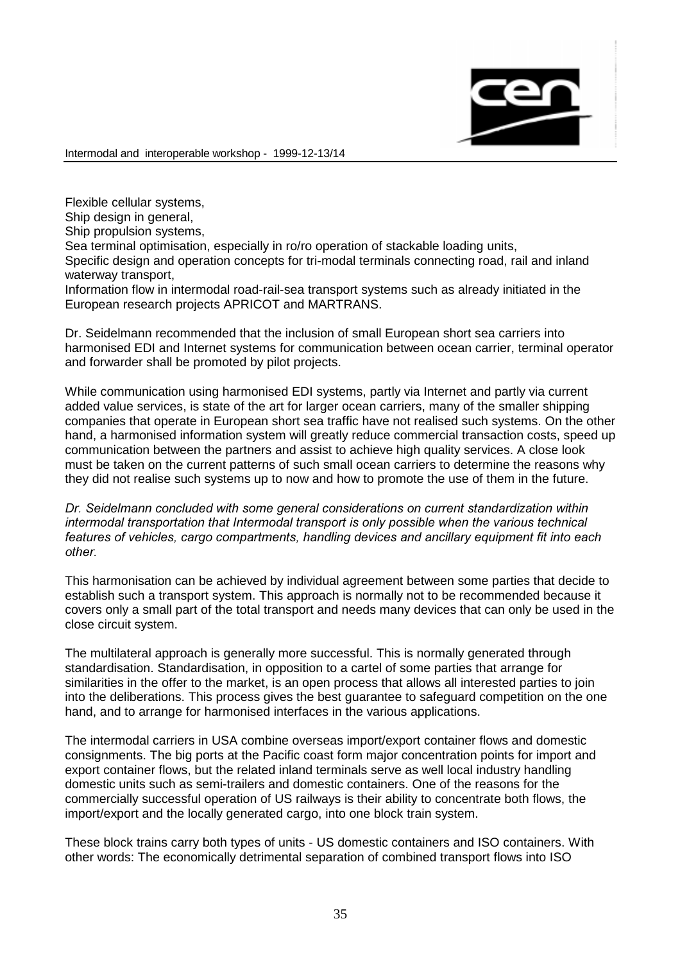

Flexible cellular systems, Ship design in general, Ship propulsion systems, Sea terminal optimisation, especially in ro/ro operation of stackable loading units, Specific design and operation concepts for tri-modal terminals connecting road, rail and inland waterway transport.

Information flow in intermodal road-rail-sea transport systems such as already initiated in the European research projects APRICOT and MARTRANS.

Dr. Seidelmann recommended that the inclusion of small European short sea carriers into harmonised EDI and Internet systems for communication between ocean carrier, terminal operator and forwarder shall be promoted by pilot projects.

While communication using harmonised EDI systems, partly via Internet and partly via current added value services, is state of the art for larger ocean carriers, many of the smaller shipping companies that operate in European short sea traffic have not realised such systems. On the other hand, a harmonised information system will greatly reduce commercial transaction costs, speed up communication between the partners and assist to achieve high quality services. A close look must be taken on the current patterns of such small ocean carriers to determine the reasons why they did not realise such systems up to now and how to promote the use of them in the future.

Dr. Seidelmann concluded with some general considerations on current standardization within intermodal transportation that Intermodal transport is only possible when the various technical features of vehicles, cargo compartments, handling devices and ancillary equipment fit into each other

This harmonisation can be achieved by individual agreement between some parties that decide to establish such a transport system. This approach is normally not to be recommended because it covers only a small part of the total transport and needs many devices that can only be used in the close circuit system.

The multilateral approach is generally more successful. This is normally generated through standardisation. Standardisation, in opposition to a cartel of some parties that arrange for similarities in the offer to the market, is an open process that allows all interested parties to join into the deliberations. This process gives the best guarantee to safeguard competition on the one hand, and to arrange for harmonised interfaces in the various applications.

The intermodal carriers in USA combine overseas import/export container flows and domestic consignments. The big ports at the Pacific coast form major concentration points for import and export container flows, but the related inland terminals serve as well local industry handling domestic units such as semi-trailers and domestic containers. One of the reasons for the commercially successful operation of US railways is their ability to concentrate both flows, the import/export and the locally generated cargo, into one block train system.

These block trains carry both types of units - US domestic containers and ISO containers. With other words: The economically detrimental separation of combined transport flows into ISO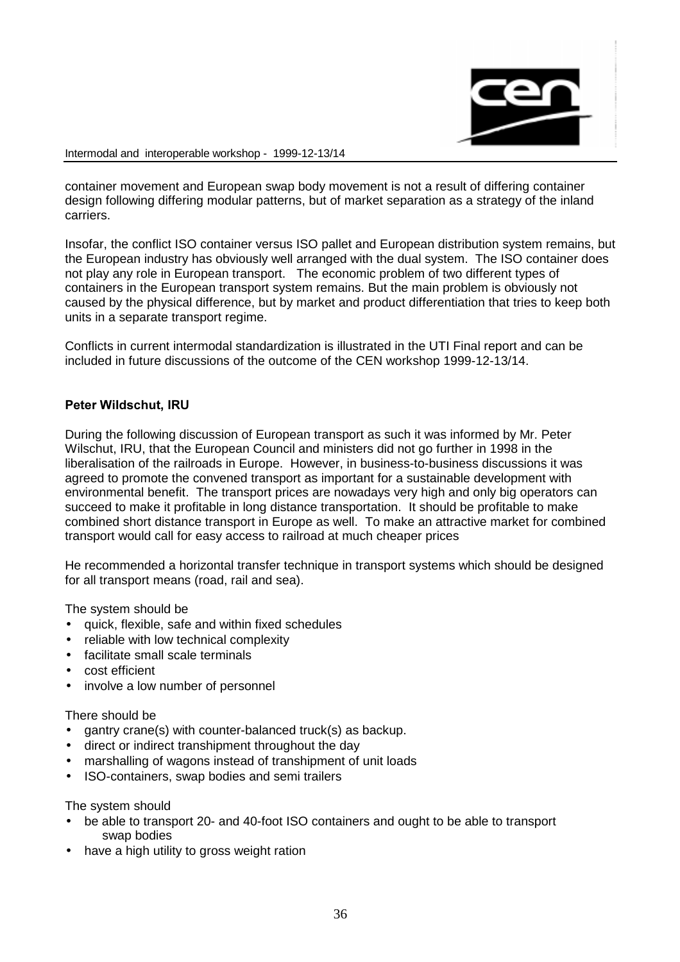

container movement and European swap body movement is not a result of differing container design following differing modular patterns, but of market separation as a strategy of the inland carriers.

Insofar, the conflict ISO container versus ISO pallet and European distribution system remains, but the European industry has obviously well arranged with the dual system. The ISO container does not play any role in European transport. The economic problem of two different types of containers in the European transport system remains. But the main problem is obviously not caused by the physical difference, but by market and product differentiation that tries to keep both units in a separate transport regime.

Conflicts in current intermodal standardization is illustrated in the UTI Final report and can be included in future discussions of the outcome of the CEN workshop 1999-12-13/14.

## Peter Wildschut, IRU

During the following discussion of European transport as such it was informed by Mr. Peter Wilschut, IRU, that the European Council and ministers did not go further in 1998 in the liberalisation of the railroads in Europe. However, in business-to-business discussions it was agreed to promote the convened transport as important for a sustainable development with environmental benefit. The transport prices are nowadays very high and only big operators can succeed to make it profitable in long distance transportation. It should be profitable to make combined short distance transport in Europe as well. To make an attractive market for combined transport would call for easy access to railroad at much cheaper prices

He recommended a horizontal transfer technique in transport systems which should be designed for all transport means (road, rail and sea).

The system should be

- quick, flexible, safe and within fixed schedules
- reliable with low technical complexity
- facilitate small scale terminals
- cost efficient
- involve a low number of personnel

There should be

- gantry crane(s) with counter-balanced truck(s) as backup.
- direct or indirect transhipment throughout the day
- marshalling of wagons instead of transhipment of unit loads
- ISO-containers, swap bodies and semi trailers

The system should

- be able to transport 20- and 40-foot ISO containers and ought to be able to transport swap bodies
- have a high utility to gross weight ration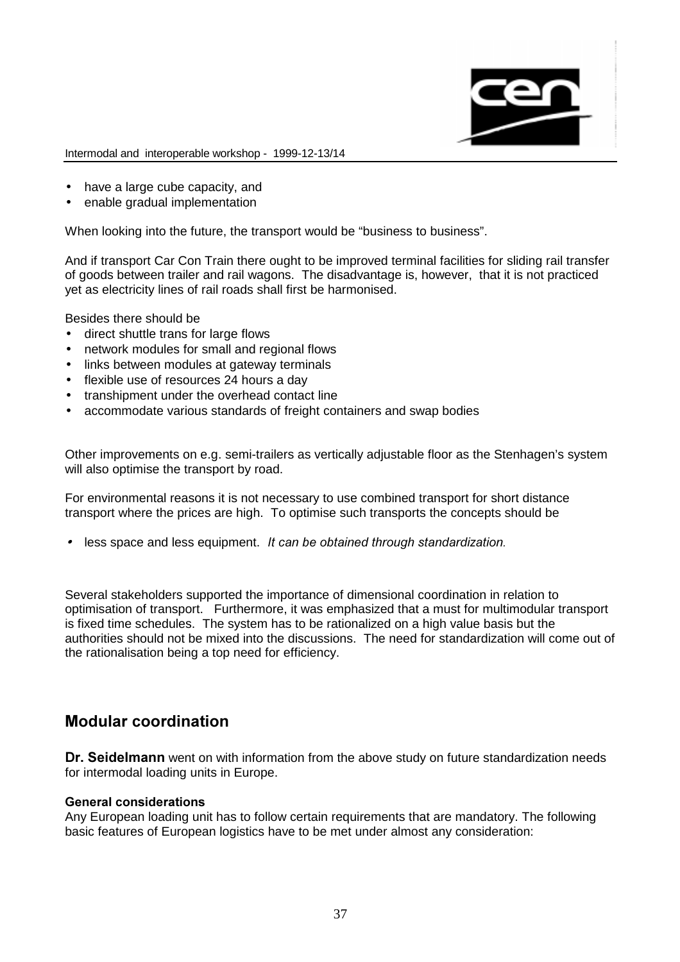

- have a large cube capacity, and
- enable gradual implementation

When looking into the future, the transport would be "business to business".

And if transport Car Con Train there ought to be improved terminal facilities for sliding rail transfer of goods between trailer and rail wagons. The disadvantage is, however, that it is not practiced yet as electricity lines of rail roads shall first be harmonised.

Besides there should be

- direct shuttle trans for large flows
- network modules for small and regional flows
- links between modules at gateway terminals
- flexible use of resources 24 hours a day
- transhipment under the overhead contact line
- accommodate various standards of freight containers and swap bodies

Other improvements on e.g. semi-trailers as vertically adjustable floor as the Stenhagen's system will also optimise the transport by road.

For environmental reasons it is not necessary to use combined transport for short distance transport where the prices are high. To optimise such transports the concepts should be

 $\bullet$  less space and less equipment. It can be obtained through standardization.

Several stakeholders supported the importance of dimensional coordination in relation to optimisation of transport. Furthermore, it was emphasized that a must for multimodular transport is fixed time schedules. The system has to be rationalized on a high value basis but the authorities should not be mixed into the discussions. The need for standardization will come out of the rationalisation being a top need for efficiency.

# Modular coordination

Dr. Seidelmann went on with information from the above study on future standardization needs for intermodal loading units in Europe.

### General considerations

Any European loading unit has to follow certain requirements that are mandatory. The following basic features of European logistics have to be met under almost any consideration: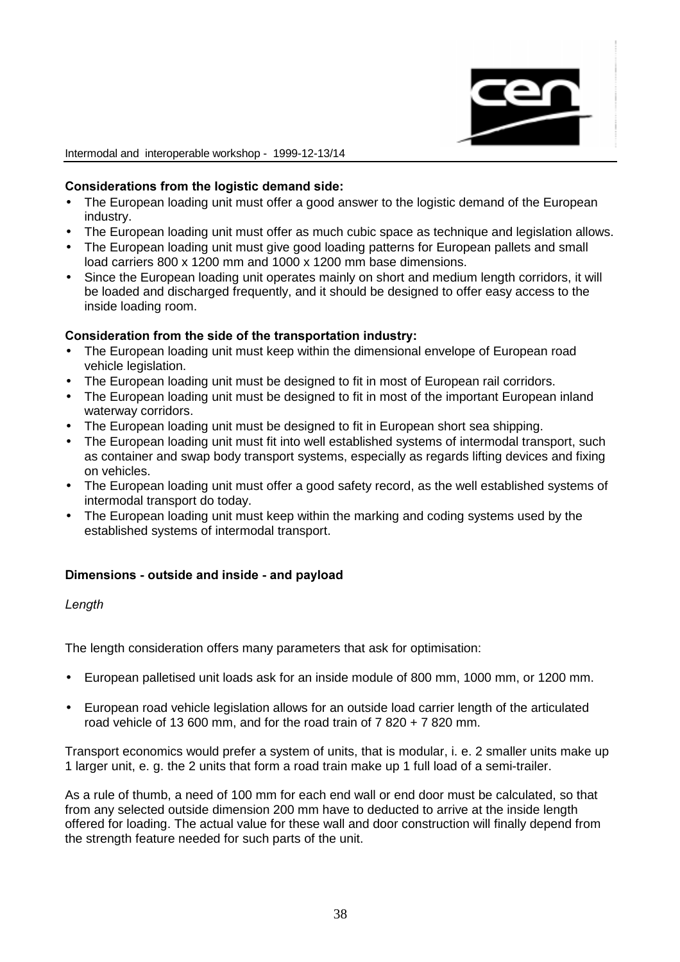

### Considerations from the logistic demand side:

- The European loading unit must offer a good answer to the logistic demand of the European industry.
- The European loading unit must offer as much cubic space as technique and legislation allows.
- The European loading unit must give good loading patterns for European pallets and small load carriers 800 x 1200 mm and 1000 x 1200 mm base dimensions.
- Since the European loading unit operates mainly on short and medium length corridors, it will be loaded and discharged frequently, and it should be designed to offer easy access to the inside loading room.

### Consideration from the side of the transportation industry:

- The European loading unit must keep within the dimensional envelope of European road vehicle legislation.
- The European loading unit must be designed to fit in most of European rail corridors.
- The European loading unit must be designed to fit in most of the important European inland waterway corridors.
- The European loading unit must be designed to fit in European short sea shipping.
- The European loading unit must fit into well established systems of intermodal transport, such as container and swap body transport systems, especially as regards lifting devices and fixing on vehicles.
- The European loading unit must offer a good safety record, as the well established systems of intermodal transport do today.
- The European loading unit must keep within the marking and coding systems used by the established systems of intermodal transport.

# Dimensions - outside and inside - and payload

Length

The length consideration offers many parameters that ask for optimisation:

- European palletised unit loads ask for an inside module of 800 mm, 1000 mm, or 1200 mm.
- European road vehicle legislation allows for an outside load carrier length of the articulated road vehicle of 13 600 mm, and for the road train of  $7.820 + 7.820$  mm.

Transport economics would prefer a system of units, that is modular, i. e. 2 smaller units make up 1 larger unit, e. g. the 2 units that form a road train make up 1 full load of a semi-trailer.

As a rule of thumb, a need of 100 mm for each end wall or end door must be calculated, so that from any selected outside dimension 200 mm have to deducted to arrive at the inside length offered for loading. The actual value for these wall and door construction will finally depend from the strength feature needed for such parts of the unit.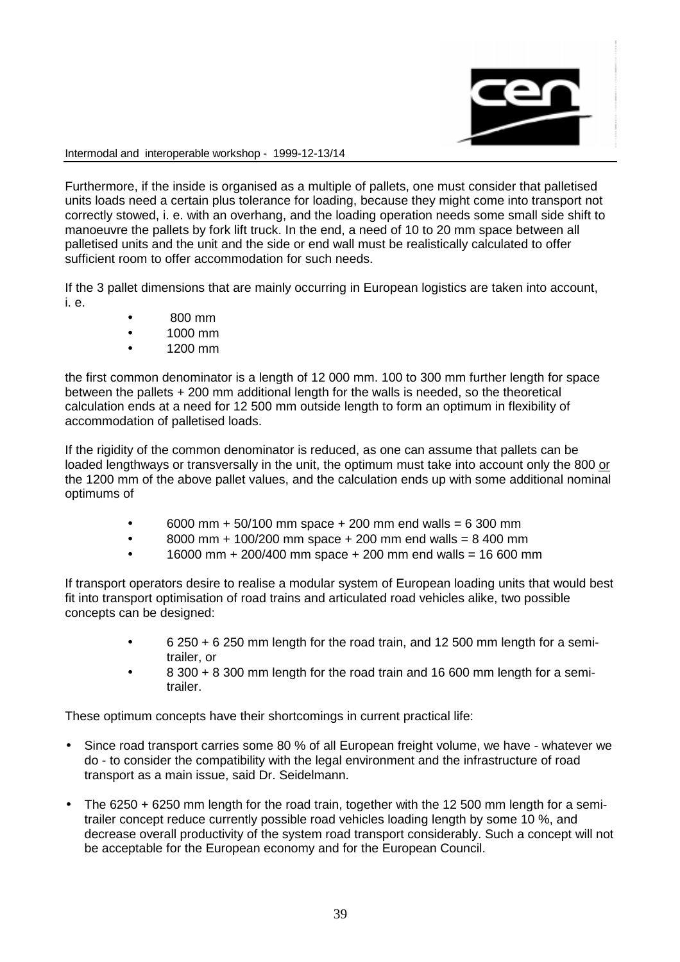

Furthermore, if the inside is organised as a multiple of pallets, one must consider that palletised units loads need a certain plus tolerance for loading, because they might come into transport not correctly stowed, i. e. with an overhang, and the loading operation needs some small side shift to manoeuvre the pallets by fork lift truck. In the end, a need of 10 to 20 mm space between all palletised units and the unit and the side or end wall must be realistically calculated to offer sufficient room to offer accommodation for such needs.

If the 3 pallet dimensions that are mainly occurring in European logistics are taken into account, i. e.

- 800 mm
- 1000 mm
- 1200 mm

the first common denominator is a length of 12 000 mm. 100 to 300 mm further length for space between the pallets + 200 mm additional length for the walls is needed, so the theoretical calculation ends at a need for 12 500 mm outside length to form an optimum in flexibility of accommodation of palletised loads.

If the rigidity of the common denominator is reduced, as one can assume that pallets can be loaded lengthways or transversally in the unit, the optimum must take into account only the 800 or the 1200 mm of the above pallet values, and the calculation ends up with some additional nominal optimums of

- 6000 mm + 50/100 mm space + 200 mm end walls = 6 300 mm
- $\bullet$  8000 mm + 100/200 mm space + 200 mm end walls = 8 400 mm
- 16000 mm + 200/400 mm space + 200 mm end walls = 16 600 mm

If transport operators desire to realise a modular system of European loading units that would best fit into transport optimisation of road trains and articulated road vehicles alike, two possible concepts can be designed:

- 6 250 + 6 250 mm length for the road train, and 12 500 mm length for a semitrailer, or
- 8 300 + 8 300 mm length for the road train and 16 600 mm length for a semitrailer.

These optimum concepts have their shortcomings in current practical life:

- Since road transport carries some 80 % of all European freight volume, we have whatever we do - to consider the compatibility with the legal environment and the infrastructure of road transport as a main issue, said Dr. Seidelmann.
- The 6250 + 6250 mm length for the road train, together with the 12 500 mm length for a semitrailer concept reduce currently possible road vehicles loading length by some 10 %, and decrease overall productivity of the system road transport considerably. Such a concept will not be acceptable for the European economy and for the European Council.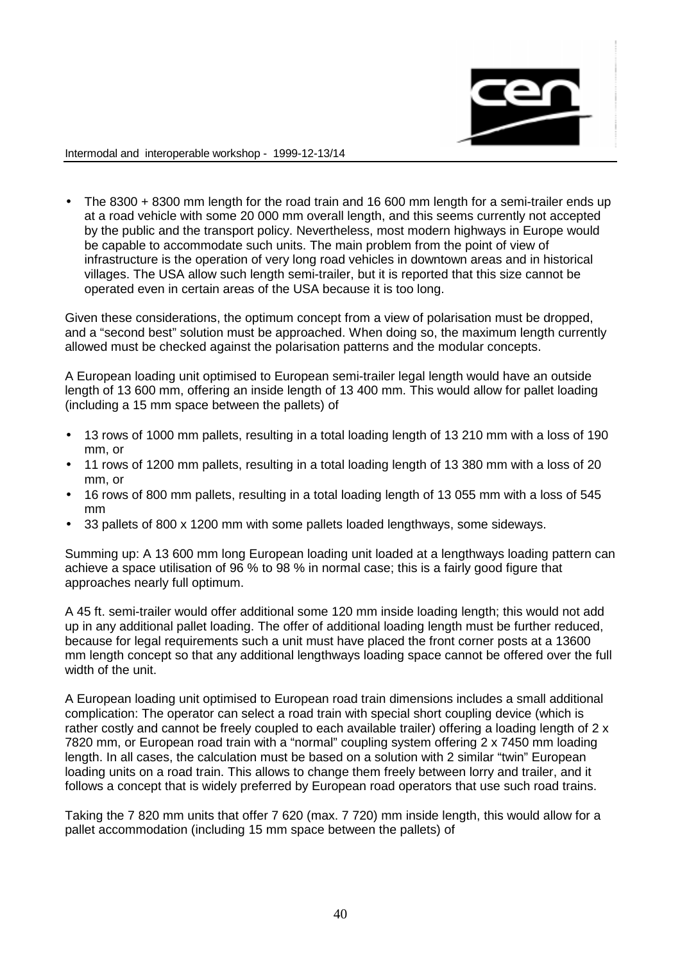

• The 8300 + 8300 mm length for the road train and 16 600 mm length for a semi-trailer ends up at a road vehicle with some 20 000 mm overall length, and this seems currently not accepted by the public and the transport policy. Nevertheless, most modern highways in Europe would be capable to accommodate such units. The main problem from the point of view of infrastructure is the operation of very long road vehicles in downtown areas and in historical villages. The USA allow such length semi-trailer, but it is reported that this size cannot be operated even in certain areas of the USA because it is too long.

Given these considerations, the optimum concept from a view of polarisation must be dropped, and a "second best" solution must be approached. When doing so, the maximum length currently allowed must be checked against the polarisation patterns and the modular concepts.

A European loading unit optimised to European semi-trailer legal length would have an outside length of 13 600 mm, offering an inside length of 13 400 mm. This would allow for pallet loading (including a 15 mm space between the pallets) of

- 13 rows of 1000 mm pallets, resulting in a total loading length of 13 210 mm with a loss of 190 mm, or
- 11 rows of 1200 mm pallets, resulting in a total loading length of 13 380 mm with a loss of 20 mm, or
- 16 rows of 800 mm pallets, resulting in a total loading length of 13 055 mm with a loss of 545 mm
- 33 pallets of 800 x 1200 mm with some pallets loaded lengthways, some sideways.

Summing up: A 13 600 mm long European loading unit loaded at a lengthways loading pattern can achieve a space utilisation of 96 % to 98 % in normal case; this is a fairly good figure that approaches nearly full optimum.

A 45 ft. semi-trailer would offer additional some 120 mm inside loading length; this would not add up in any additional pallet loading. The offer of additional loading length must be further reduced, because for legal requirements such a unit must have placed the front corner posts at a 13600 mm length concept so that any additional lengthways loading space cannot be offered over the full width of the unit.

A European loading unit optimised to European road train dimensions includes a small additional complication: The operator can select a road train with special short coupling device (which is rather costly and cannot be freely coupled to each available trailer) offering a loading length of 2 x 7820 mm, or European road train with a "normal" coupling system offering 2 x 7450 mm loading length. In all cases, the calculation must be based on a solution with 2 similar "twin" European loading units on a road train. This allows to change them freely between lorry and trailer, and it follows a concept that is widely preferred by European road operators that use such road trains.

Taking the 7 820 mm units that offer 7 620 (max. 7 720) mm inside length, this would allow for a pallet accommodation (including 15 mm space between the pallets) of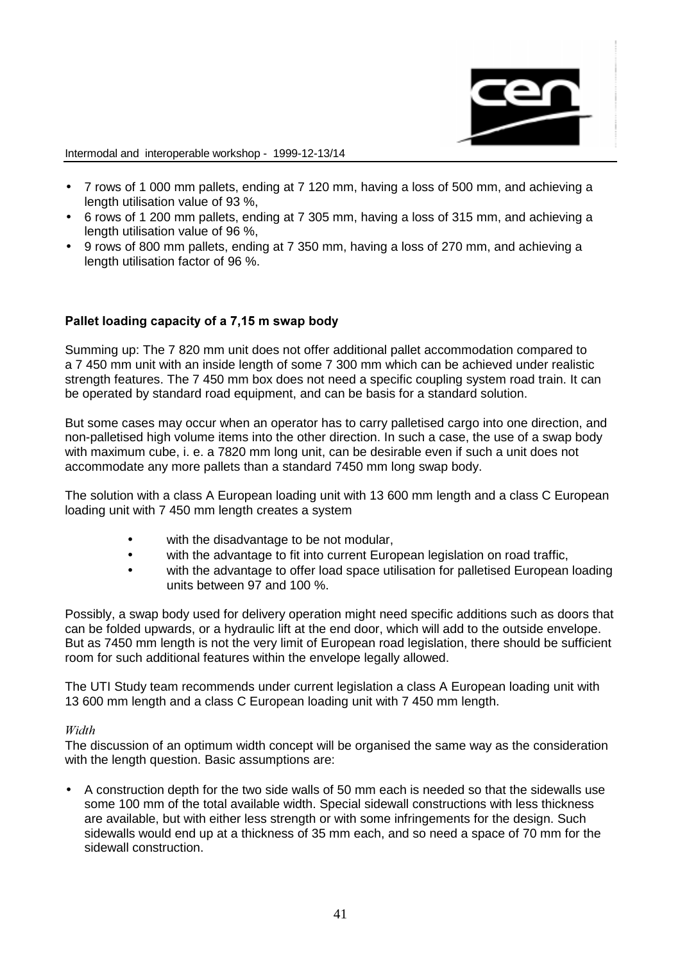

- 7 rows of 1 000 mm pallets, ending at 7 120 mm, having a loss of 500 mm, and achieving a length utilisation value of 93 %,
- 6 rows of 1 200 mm pallets, ending at 7 305 mm, having a loss of 315 mm, and achieving a length utilisation value of 96 %,
- 9 rows of 800 mm pallets, ending at 7 350 mm, having a loss of 270 mm, and achieving a length utilisation factor of 96 %.

# Pallet loading capacity of a 7,15 m swap body

Summing up: The 7 820 mm unit does not offer additional pallet accommodation compared to a 7 450 mm unit with an inside length of some 7 300 mm which can be achieved under realistic strength features. The 7 450 mm box does not need a specific coupling system road train. It can be operated by standard road equipment, and can be basis for a standard solution.

But some cases may occur when an operator has to carry palletised cargo into one direction, and non-palletised high volume items into the other direction. In such a case, the use of a swap body with maximum cube, i. e. a 7820 mm long unit, can be desirable even if such a unit does not accommodate any more pallets than a standard 7450 mm long swap body.

The solution with a class A European loading unit with 13 600 mm length and a class C European loading unit with 7 450 mm length creates a system

- with the disadvantage to be not modular,
- with the advantage to fit into current European legislation on road traffic,
- with the advantage to offer load space utilisation for palletised European loading units between 97 and 100 %.

Possibly, a swap body used for delivery operation might need specific additions such as doors that can be folded upwards, or a hydraulic lift at the end door, which will add to the outside envelope. But as 7450 mm length is not the very limit of European road legislation, there should be sufficient room for such additional features within the envelope legally allowed.

The UTI Study team recommends under current legislation a class A European loading unit with 13 600 mm length and a class C European loading unit with 7 450 mm length.

### Width

The discussion of an optimum width concept will be organised the same way as the consideration with the length question. Basic assumptions are:

• A construction depth for the two side walls of 50 mm each is needed so that the sidewalls use some 100 mm of the total available width. Special sidewall constructions with less thickness are available, but with either less strength or with some infringements for the design. Such sidewalls would end up at a thickness of 35 mm each, and so need a space of 70 mm for the sidewall construction.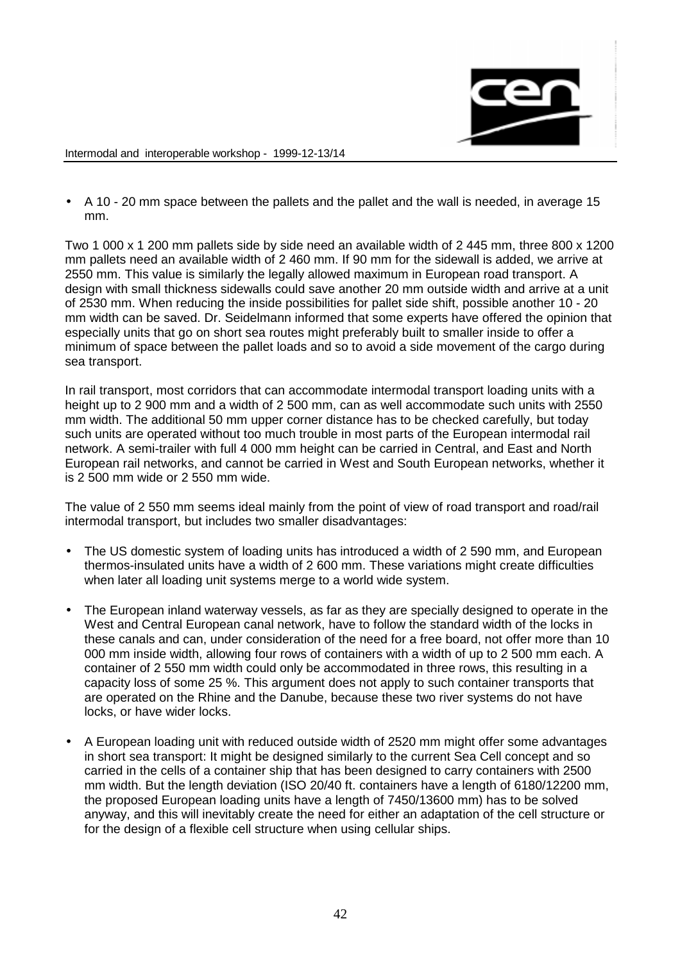

• A 10 - 20 mm space between the pallets and the pallet and the wall is needed, in average 15 mm.

Two 1 000 x 1 200 mm pallets side by side need an available width of 2 445 mm, three 800 x 1200 mm pallets need an available width of 2 460 mm. If 90 mm for the sidewall is added, we arrive at 2550 mm. This value is similarly the legally allowed maximum in European road transport. A design with small thickness sidewalls could save another 20 mm outside width and arrive at a unit of 2530 mm. When reducing the inside possibilities for pallet side shift, possible another 10 - 20 mm width can be saved. Dr. Seidelmann informed that some experts have offered the opinion that especially units that go on short sea routes might preferably built to smaller inside to offer a minimum of space between the pallet loads and so to avoid a side movement of the cargo during sea transport.

In rail transport, most corridors that can accommodate intermodal transport loading units with a height up to 2 900 mm and a width of 2 500 mm, can as well accommodate such units with 2550 mm width. The additional 50 mm upper corner distance has to be checked carefully, but today such units are operated without too much trouble in most parts of the European intermodal rail network. A semi-trailer with full 4 000 mm height can be carried in Central, and East and North European rail networks, and cannot be carried in West and South European networks, whether it is 2 500 mm wide or 2 550 mm wide.

The value of 2 550 mm seems ideal mainly from the point of view of road transport and road/rail intermodal transport, but includes two smaller disadvantages:

- The US domestic system of loading units has introduced a width of 2590 mm, and European thermos-insulated units have a width of 2 600 mm. These variations might create difficulties when later all loading unit systems merge to a world wide system.
- The European inland waterway vessels, as far as they are specially designed to operate in the West and Central European canal network, have to follow the standard width of the locks in these canals and can, under consideration of the need for a free board, not offer more than 10 000 mm inside width, allowing four rows of containers with a width of up to 2 500 mm each. A container of 2 550 mm width could only be accommodated in three rows, this resulting in a capacity loss of some 25 %. This argument does not apply to such container transports that are operated on the Rhine and the Danube, because these two river systems do not have locks, or have wider locks.
- A European loading unit with reduced outside width of 2520 mm might offer some advantages in short sea transport: It might be designed similarly to the current Sea Cell concept and so carried in the cells of a container ship that has been designed to carry containers with 2500 mm width. But the length deviation (ISO 20/40 ft. containers have a length of 6180/12200 mm, the proposed European loading units have a length of 7450/13600 mm) has to be solved anyway, and this will inevitably create the need for either an adaptation of the cell structure or for the design of a flexible cell structure when using cellular ships.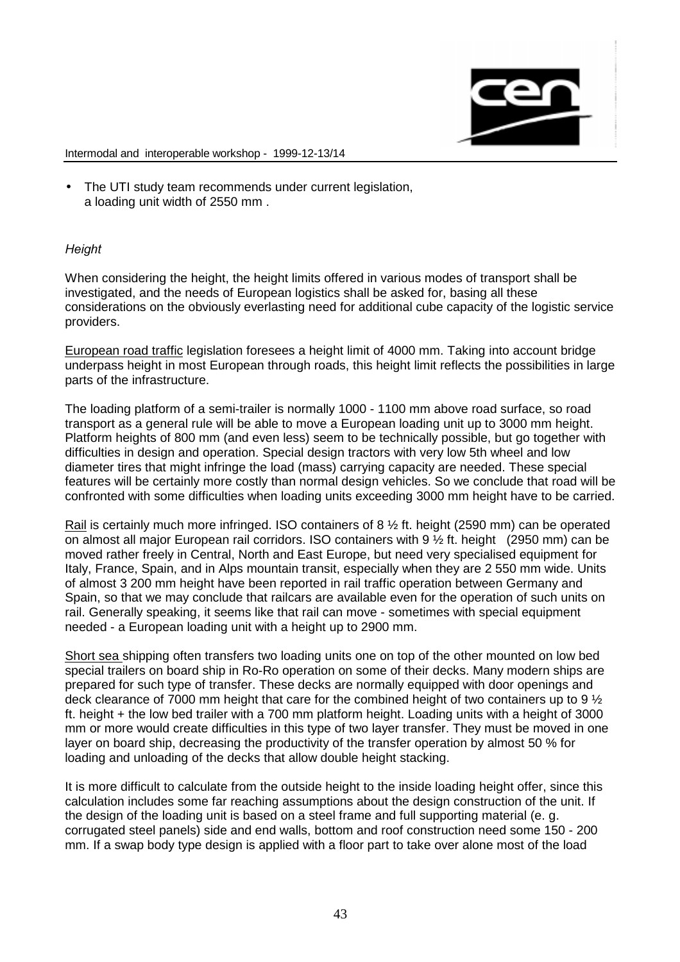

• The UTI study team recommends under current legislation, a loading unit width of 2550 mm .

# Height

When considering the height, the height limits offered in various modes of transport shall be investigated, and the needs of European logistics shall be asked for, basing all these considerations on the obviously everlasting need for additional cube capacity of the logistic service providers.

European road traffic legislation foresees a height limit of 4000 mm. Taking into account bridge underpass height in most European through roads, this height limit reflects the possibilities in large parts of the infrastructure.

The loading platform of a semi-trailer is normally 1000 - 1100 mm above road surface, so road transport as a general rule will be able to move a European loading unit up to 3000 mm height. Platform heights of 800 mm (and even less) seem to be technically possible, but go together with difficulties in design and operation. Special design tractors with very low 5th wheel and low diameter tires that might infringe the load (mass) carrying capacity are needed. These special features will be certainly more costly than normal design vehicles. So we conclude that road will be confronted with some difficulties when loading units exceeding 3000 mm height have to be carried.

Rail is certainly much more infringed. ISO containers of 8 ½ ft. height (2590 mm) can be operated on almost all major European rail corridors. ISO containers with 9 ½ ft. height (2950 mm) can be moved rather freely in Central, North and East Europe, but need very specialised equipment for Italy, France, Spain, and in Alps mountain transit, especially when they are 2 550 mm wide. Units of almost 3 200 mm height have been reported in rail traffic operation between Germany and Spain, so that we may conclude that railcars are available even for the operation of such units on rail. Generally speaking, it seems like that rail can move - sometimes with special equipment needed - a European loading unit with a height up to 2900 mm.

Short sea shipping often transfers two loading units one on top of the other mounted on low bed special trailers on board ship in Ro-Ro operation on some of their decks. Many modern ships are prepared for such type of transfer. These decks are normally equipped with door openings and deck clearance of 7000 mm height that care for the combined height of two containers up to 9 ½ ft. height + the low bed trailer with a 700 mm platform height. Loading units with a height of 3000 mm or more would create difficulties in this type of two layer transfer. They must be moved in one layer on board ship, decreasing the productivity of the transfer operation by almost 50 % for loading and unloading of the decks that allow double height stacking.

It is more difficult to calculate from the outside height to the inside loading height offer, since this calculation includes some far reaching assumptions about the design construction of the unit. If the design of the loading unit is based on a steel frame and full supporting material (e. g. corrugated steel panels) side and end walls, bottom and roof construction need some 150 - 200 mm. If a swap body type design is applied with a floor part to take over alone most of the load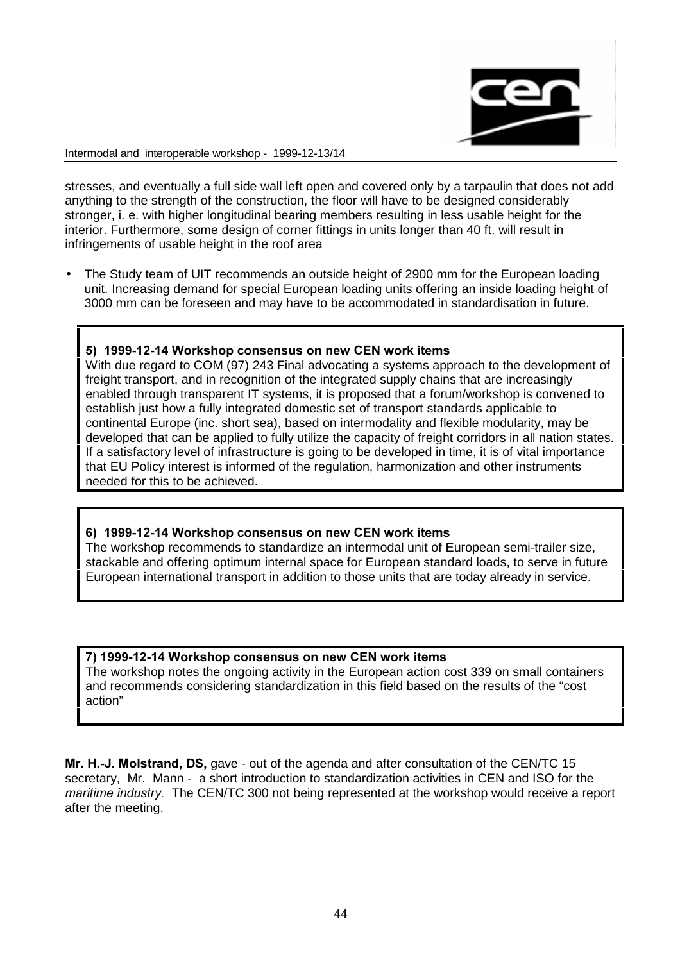

stresses, and eventually a full side wall left open and covered only by a tarpaulin that does not add anything to the strength of the construction, the floor will have to be designed considerably stronger, i. e. with higher longitudinal bearing members resulting in less usable height for the interior. Furthermore, some design of corner fittings in units longer than 40 ft. will result in infringements of usable height in the roof area

• The Study team of UIT recommends an outside height of 2900 mm for the European loading unit. Increasing demand for special European loading units offering an inside loading height of 3000 mm can be foreseen and may have to be accommodated in standardisation in future.

### 5) 1999-12-14 Workshop consensus on new CEN work items

With due regard to COM (97) 243 Final advocating a systems approach to the development of freight transport, and in recognition of the integrated supply chains that are increasingly enabled through transparent IT systems, it is proposed that a forum/workshop is convened to establish just how a fully integrated domestic set of transport standards applicable to continental Europe (inc. short sea), based on intermodality and flexible modularity, may be developed that can be applied to fully utilize the capacity of freight corridors in all nation states. If a satisfactory level of infrastructure is going to be developed in time, it is of vital importance that EU Policy interest is informed of the regulation, harmonization and other instruments needed for this to be achieved.

# 6) 1999-12-14 Workshop consensus on new CEN work items

The workshop recommends to standardize an intermodal unit of European semi-trailer size, stackable and offering optimum internal space for European standard loads, to serve in future European international transport in addition to those units that are today already in service.

### 7) 1999-12-14 Workshop consensus on new CEN work items

The workshop notes the ongoing activity in the European action cost 339 on small containers and recommends considering standardization in this field based on the results of the "cost action"

Mr. H.-J. Molstrand, DS, gave - out of the agenda and after consultation of the CEN/TC 15 secretary, Mr. Mann - a short introduction to standardization activities in CEN and ISO for the maritime industry. The CEN/TC 300 not being represented at the workshop would receive a report after the meeting.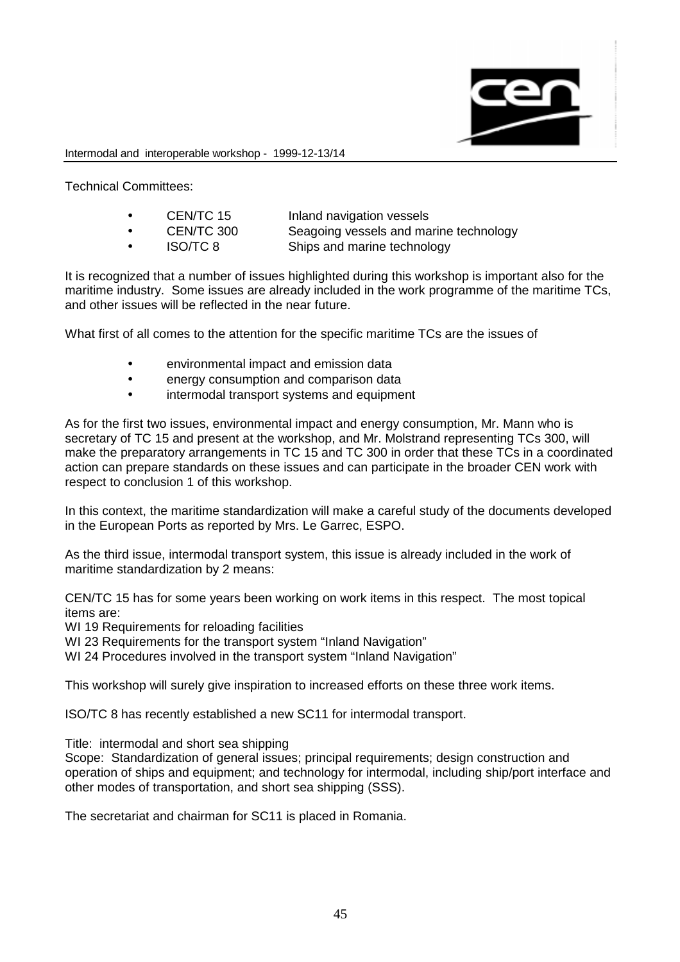

Technical Committees:

| CEN/TC 15<br>Inland navigation vessels |  |
|----------------------------------------|--|
|----------------------------------------|--|

- CEN/TC 300 Seagoing vessels and marine technology
- 
- ISO/TC 8 Ships and marine technology

It is recognized that a number of issues highlighted during this workshop is important also for the maritime industry. Some issues are already included in the work programme of the maritime TCs, and other issues will be reflected in the near future.

What first of all comes to the attention for the specific maritime TCs are the issues of

- environmental impact and emission data
- energy consumption and comparison data
- intermodal transport systems and equipment

As for the first two issues, environmental impact and energy consumption, Mr. Mann who is secretary of TC 15 and present at the workshop, and Mr. Molstrand representing TCs 300, will make the preparatory arrangements in TC 15 and TC 300 in order that these TCs in a coordinated action can prepare standards on these issues and can participate in the broader CEN work with respect to conclusion 1 of this workshop.

In this context, the maritime standardization will make a careful study of the documents developed in the European Ports as reported by Mrs. Le Garrec, ESPO.

As the third issue, intermodal transport system, this issue is already included in the work of maritime standardization by 2 means:

CEN/TC 15 has for some years been working on work items in this respect. The most topical items are:

WI 19 Requirements for reloading facilities

WI 23 Requirements for the transport system "Inland Navigation"

WI 24 Procedures involved in the transport system "Inland Navigation"

This workshop will surely give inspiration to increased efforts on these three work items.

ISO/TC 8 has recently established a new SC11 for intermodal transport.

Title: intermodal and short sea shipping

Scope: Standardization of general issues; principal requirements; design construction and operation of ships and equipment; and technology for intermodal, including ship/port interface and other modes of transportation, and short sea shipping (SSS).

The secretariat and chairman for SC11 is placed in Romania.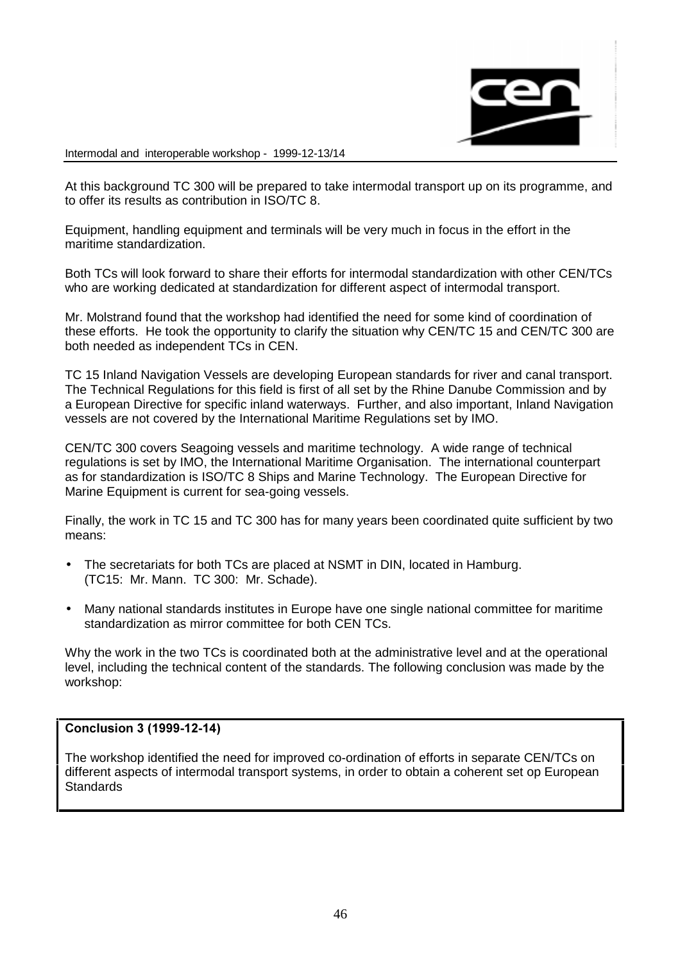

At this background TC 300 will be prepared to take intermodal transport up on its programme, and to offer its results as contribution in ISO/TC 8.

Equipment, handling equipment and terminals will be very much in focus in the effort in the maritime standardization.

Both TCs will look forward to share their efforts for intermodal standardization with other CEN/TCs who are working dedicated at standardization for different aspect of intermodal transport.

Mr. Molstrand found that the workshop had identified the need for some kind of coordination of these efforts. He took the opportunity to clarify the situation why CEN/TC 15 and CEN/TC 300 are both needed as independent TCs in CEN.

TC 15 Inland Navigation Vessels are developing European standards for river and canal transport. The Technical Regulations for this field is first of all set by the Rhine Danube Commission and by a European Directive for specific inland waterways. Further, and also important, Inland Navigation vessels are not covered by the International Maritime Regulations set by IMO.

CEN/TC 300 covers Seagoing vessels and maritime technology. A wide range of technical regulations is set by IMO, the International Maritime Organisation. The international counterpart as for standardization is ISO/TC 8 Ships and Marine Technology. The European Directive for Marine Equipment is current for sea-going vessels.

Finally, the work in TC 15 and TC 300 has for many years been coordinated quite sufficient by two means:

- The secretariats for both TCs are placed at NSMT in DIN, located in Hamburg. (TC15: Mr. Mann. TC 300: Mr. Schade).
- Many national standards institutes in Europe have one single national committee for maritime standardization as mirror committee for both CEN TCs.

Why the work in the two TCs is coordinated both at the administrative level and at the operational level, including the technical content of the standards. The following conclusion was made by the workshop:

### Conclusion 3 (1999-12-14)

The workshop identified the need for improved co-ordination of efforts in separate CEN/TCs on different aspects of intermodal transport systems, in order to obtain a coherent set op European **Standards**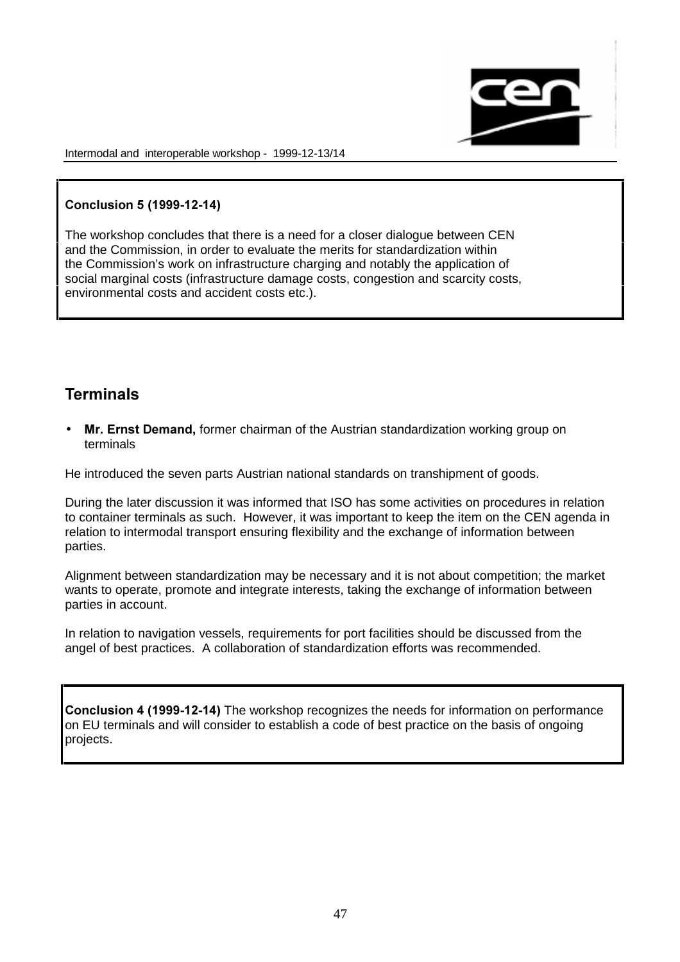

# Conclusion 5 (1999-12-14)

The workshop concludes that there is a need for a closer dialogue between CEN and the Commission, in order to evaluate the merits for standardization within the Commission's work on infrastructure charging and notably the application of social marginal costs (infrastructure damage costs, congestion and scarcity costs, environmental costs and accident costs etc.).

# **Terminals**

• Mr. Ernst Demand, former chairman of the Austrian standardization working group on terminals

He introduced the seven parts Austrian national standards on transhipment of goods.

During the later discussion it was informed that ISO has some activities on procedures in relation to container terminals as such. However, it was important to keep the item on the CEN agenda in relation to intermodal transport ensuring flexibility and the exchange of information between parties.

Alignment between standardization may be necessary and it is not about competition; the market wants to operate, promote and integrate interests, taking the exchange of information between parties in account.

In relation to navigation vessels, requirements for port facilities should be discussed from the angel of best practices. A collaboration of standardization efforts was recommended.

**Conclusion 4 (1999-12-14)** The workshop recognizes the needs for information on performance on EU terminals and will consider to establish a code of best practice on the basis of ongoing projects.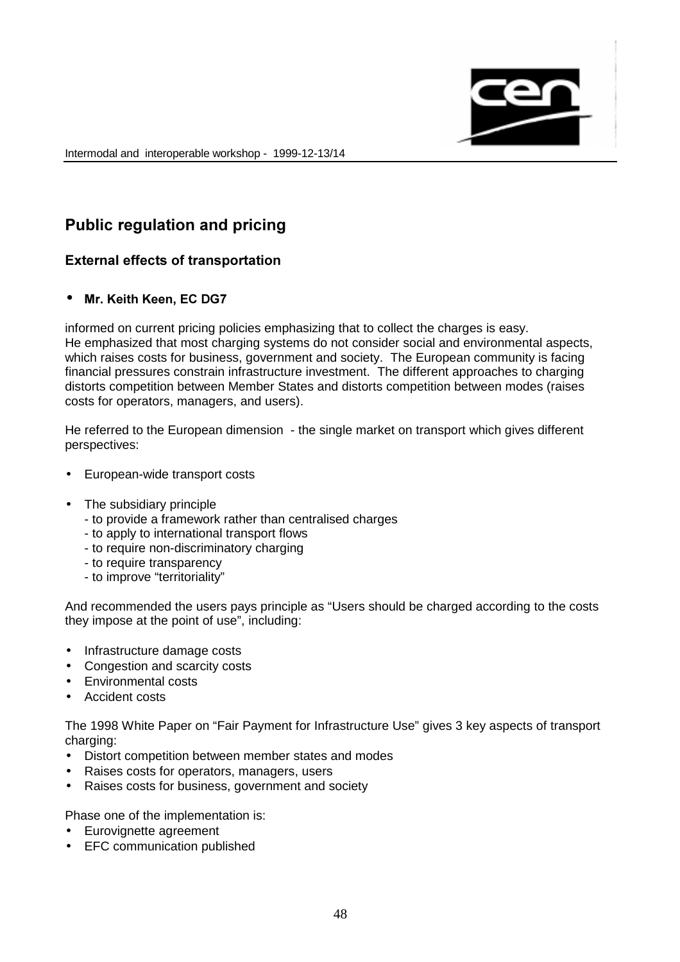

# Public regulation and pricing

# External effects of transportation

# • Mr. Keith Keen. EC DG7

informed on current pricing policies emphasizing that to collect the charges is easy. He emphasized that most charging systems do not consider social and environmental aspects, which raises costs for business, government and society. The European community is facing financial pressures constrain infrastructure investment. The different approaches to charging distorts competition between Member States and distorts competition between modes (raises costs for operators, managers, and users).

He referred to the European dimension - the single market on transport which gives different perspectives:

- European-wide transport costs
- The subsidiary principle
	- to provide a framework rather than centralised charges
	- to apply to international transport flows
	- to require non-discriminatory charging
	- to require transparency
	- to improve "territoriality"

And recommended the users pays principle as "Users should be charged according to the costs they impose at the point of use", including:

- Infrastructure damage costs
- Congestion and scarcity costs
- Environmental costs
- Accident costs

The 1998 White Paper on "Fair Payment for Infrastructure Use" gives 3 key aspects of transport charging:

- Distort competition between member states and modes
- Raises costs for operators, managers, users
- Raises costs for business, government and society

Phase one of the implementation is:

- Eurovignette agreement
- EFC communication published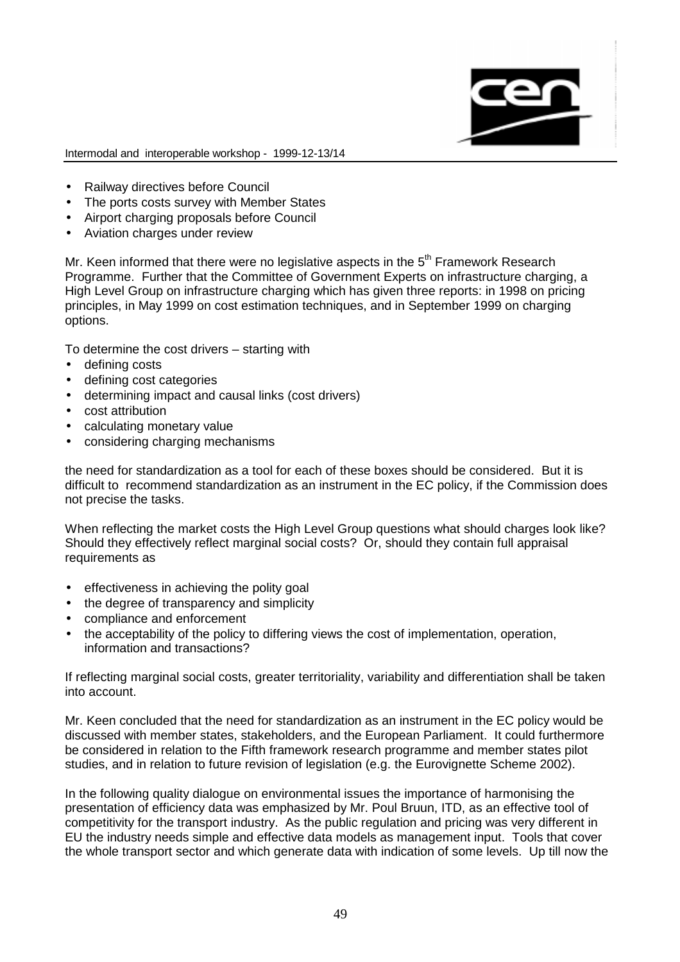

- Railway directives before Council
- The ports costs survey with Member States
- Airport charging proposals before Council
- Aviation charges under review

Mr. Keen informed that there were no legislative aspects in the  $5<sup>th</sup>$  Framework Research Programme. Further that the Committee of Government Experts on infrastructure charging, a High Level Group on infrastructure charging which has given three reports: in 1998 on pricing principles, in May 1999 on cost estimation techniques, and in September 1999 on charging options.

To determine the cost drivers – starting with

- defining costs
- defining cost categories
- determining impact and causal links (cost drivers)
- cost attribution
- calculating monetary value
- considering charging mechanisms

the need for standardization as a tool for each of these boxes should be considered. But it is difficult to recommend standardization as an instrument in the EC policy, if the Commission does not precise the tasks.

When reflecting the market costs the High Level Group questions what should charges look like? Should they effectively reflect marginal social costs? Or, should they contain full appraisal requirements as

- effectiveness in achieving the polity goal
- the degree of transparency and simplicity
- compliance and enforcement
- the acceptability of the policy to differing views the cost of implementation, operation, information and transactions?

If reflecting marginal social costs, greater territoriality, variability and differentiation shall be taken into account.

Mr. Keen concluded that the need for standardization as an instrument in the EC policy would be discussed with member states, stakeholders, and the European Parliament. It could furthermore be considered in relation to the Fifth framework research programme and member states pilot studies, and in relation to future revision of legislation (e.g. the Eurovignette Scheme 2002).

In the following quality dialogue on environmental issues the importance of harmonising the presentation of efficiency data was emphasized by Mr. Poul Bruun, ITD, as an effective tool of competitivity for the transport industry. As the public regulation and pricing was very different in EU the industry needs simple and effective data models as management input. Tools that cover the whole transport sector and which generate data with indication of some levels. Up till now the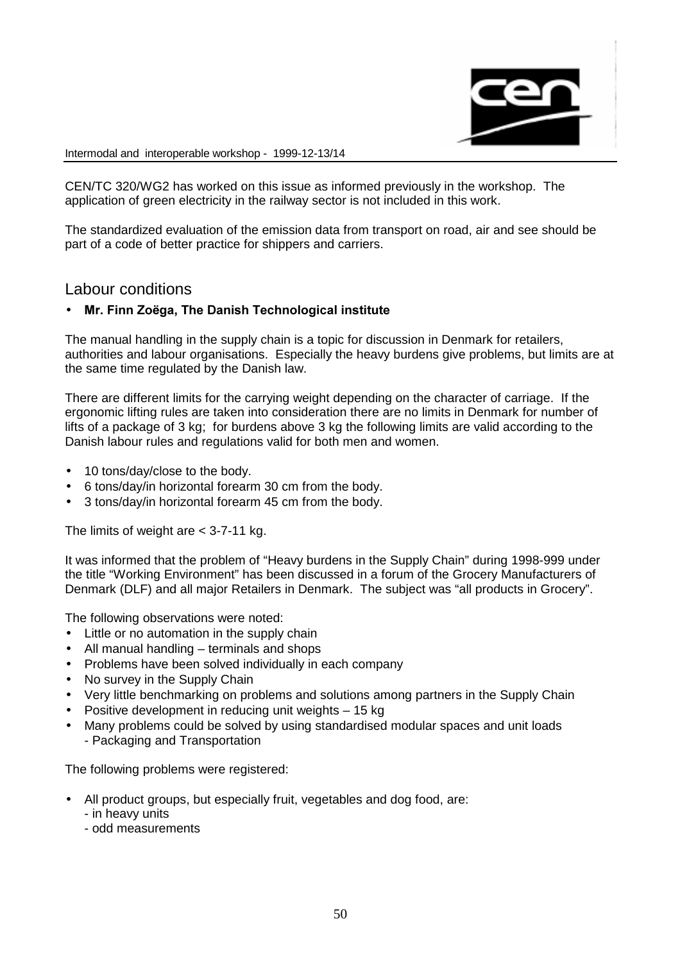

CEN/TC 320/WG2 has worked on this issue as informed previously in the workshop. The application of green electricity in the railway sector is not included in this work.

The standardized evaluation of the emission data from transport on road, air and see should be part of a code of better practice for shippers and carriers.

# Labour conditions

### Mr. Finn Zoëga, The Danish Technological institute

The manual handling in the supply chain is a topic for discussion in Denmark for retailers, authorities and labour organisations. Especially the heavy burdens give problems, but limits are at the same time regulated by the Danish law.

There are different limits for the carrying weight depending on the character of carriage. If the ergonomic lifting rules are taken into consideration there are no limits in Denmark for number of lifts of a package of 3 kg; for burdens above 3 kg the following limits are valid according to the Danish labour rules and regulations valid for both men and women.

- 10 tons/day/close to the body.
- 6 tons/day/in horizontal forearm 30 cm from the body.
- 3 tons/day/in horizontal forearm 45 cm from the body.

The limits of weight are  $<$  3-7-11 kg.

It was informed that the problem of "Heavy burdens in the Supply Chain" during 1998-999 under the title "Working Environment" has been discussed in a forum of the Grocery Manufacturers of Denmark (DLF) and all major Retailers in Denmark. The subject was "all products in Grocery".

The following observations were noted:

- Little or no automation in the supply chain
- All manual handling terminals and shops
- Problems have been solved individually in each company
- No survey in the Supply Chain
- Very little benchmarking on problems and solutions among partners in the Supply Chain
- Positive development in reducing unit weights 15 kg
- Many problems could be solved by using standardised modular spaces and unit loads - Packaging and Transportation

The following problems were registered:

- All product groups, but especially fruit, vegetables and dog food, are:
	- in heavy units
	- odd measurements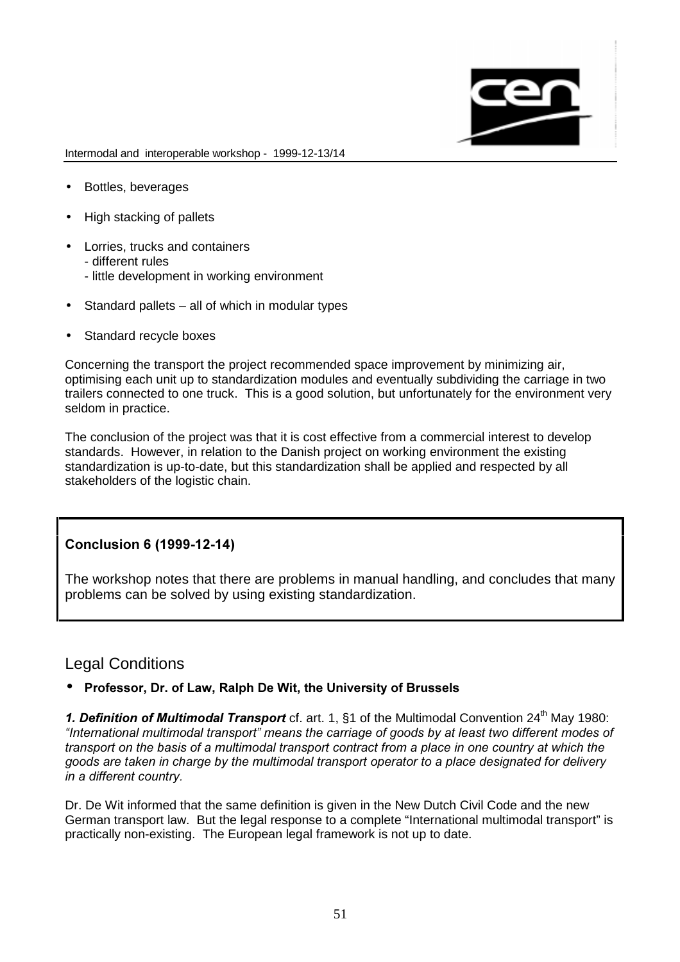

- Bottles, beverages
- High stacking of pallets
- Lorries, trucks and containers
	- different rules
	- little development in working environment
- Standard pallets all of which in modular types
- Standard recycle boxes

Concerning the transport the project recommended space improvement by minimizing air, optimising each unit up to standardization modules and eventually subdividing the carriage in two trailers connected to one truck. This is a good solution, but unfortunately for the environment very seldom in practice.

The conclusion of the project was that it is cost effective from a commercial interest to develop standards. However, in relation to the Danish project on working environment the existing standardization is up-to-date, but this standardization shall be applied and respected by all stakeholders of the logistic chain.

# Conclusion 6 (1999-12-14)

The workshop notes that there are problems in manual handling, and concludes that many problems can be solved by using existing standardization.

# Legal Conditions

# • Professor, Dr. of Law, Ralph De Wit, the University of Brussels

1. Definition of Multimodal Transport cf. art. 1, §1 of the Multimodal Convention 24<sup>th</sup> May 1980: "International multimodal transport" means the carriage of goods by at least two different modes of transport on the basis of a multimodal transport contract from a place in one country at which the goods are taken in charge by the multimodal transport operator to a place designated for delivery in a different country.

Dr. De Wit informed that the same definition is given in the New Dutch Civil Code and the new German transport law. But the legal response to a complete "International multimodal transport" is practically non-existing. The European legal framework is not up to date.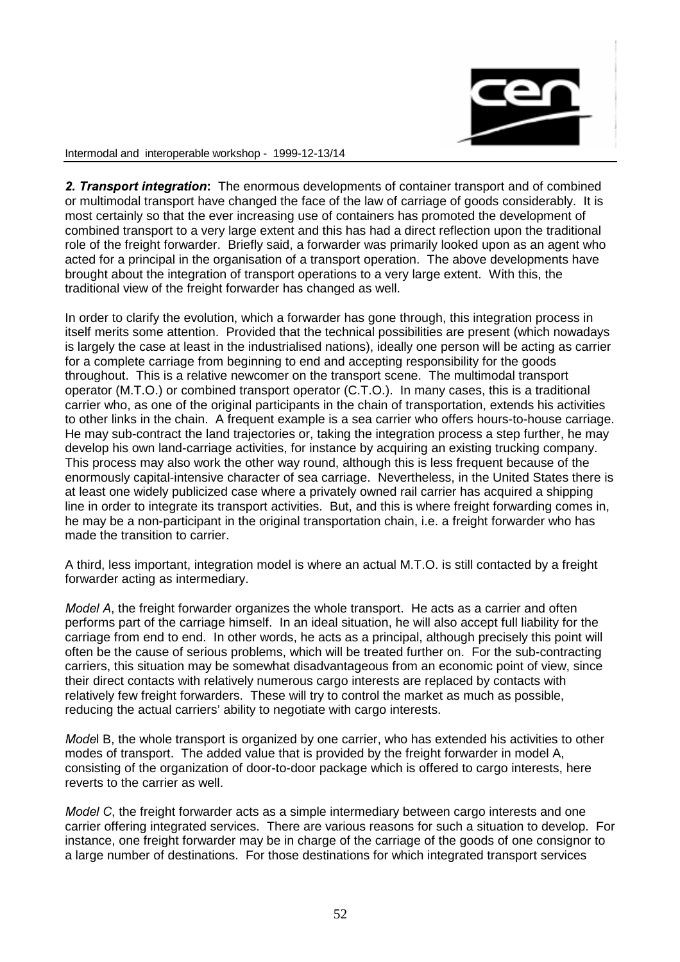

2. Transport integration: The enormous developments of container transport and of combined or multimodal transport have changed the face of the law of carriage of goods considerably. It is most certainly so that the ever increasing use of containers has promoted the development of combined transport to a very large extent and this has had a direct reflection upon the traditional role of the freight forwarder. Briefly said, a forwarder was primarily looked upon as an agent who acted for a principal in the organisation of a transport operation. The above developments have brought about the integration of transport operations to a very large extent. With this, the traditional view of the freight forwarder has changed as well.

In order to clarify the evolution, which a forwarder has gone through, this integration process in itself merits some attention. Provided that the technical possibilities are present (which nowadays is largely the case at least in the industrialised nations), ideally one person will be acting as carrier for a complete carriage from beginning to end and accepting responsibility for the goods throughout. This is a relative newcomer on the transport scene. The multimodal transport operator (M.T.O.) or combined transport operator (C.T.O.). In many cases, this is a traditional carrier who, as one of the original participants in the chain of transportation, extends his activities to other links in the chain. A frequent example is a sea carrier who offers hours-to-house carriage. He may sub-contract the land trajectories or, taking the integration process a step further, he may develop his own land-carriage activities, for instance by acquiring an existing trucking company. This process may also work the other way round, although this is less frequent because of the enormously capital-intensive character of sea carriage. Nevertheless, in the United States there is at least one widely publicized case where a privately owned rail carrier has acquired a shipping line in order to integrate its transport activities. But, and this is where freight forwarding comes in, he may be a non-participant in the original transportation chain, i.e. a freight forwarder who has made the transition to carrier.

A third, less important, integration model is where an actual M.T.O. is still contacted by a freight forwarder acting as intermediary.

Model A, the freight forwarder organizes the whole transport. He acts as a carrier and often performs part of the carriage himself. In an ideal situation, he will also accept full liability for the carriage from end to end. In other words, he acts as a principal, although precisely this point will often be the cause of serious problems, which will be treated further on. For the sub-contracting carriers, this situation may be somewhat disadvantageous from an economic point of view, since their direct contacts with relatively numerous cargo interests are replaced by contacts with relatively few freight forwarders. These will try to control the market as much as possible, reducing the actual carriers' ability to negotiate with cargo interests.

Model B, the whole transport is organized by one carrier, who has extended his activities to other modes of transport. The added value that is provided by the freight forwarder in model A, consisting of the organization of door-to-door package which is offered to cargo interests, here reverts to the carrier as well.

Model C, the freight forwarder acts as a simple intermediary between cargo interests and one carrier offering integrated services. There are various reasons for such a situation to develop. For instance, one freight forwarder may be in charge of the carriage of the goods of one consignor to a large number of destinations. For those destinations for which integrated transport services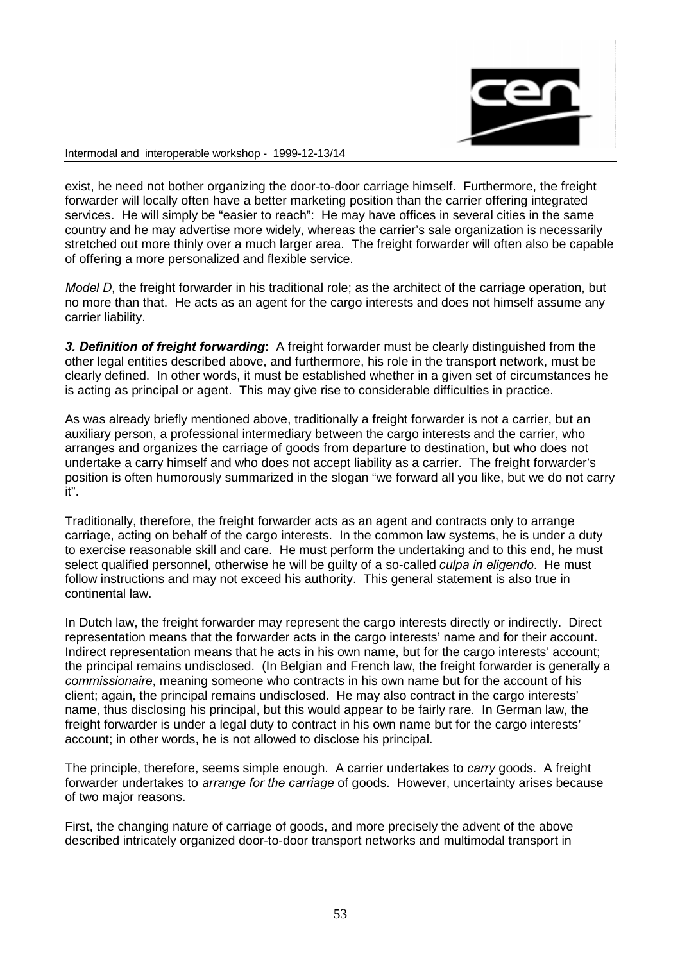

exist, he need not bother organizing the door-to-door carriage himself. Furthermore, the freight forwarder will locally often have a better marketing position than the carrier offering integrated services. He will simply be "easier to reach": He may have offices in several cities in the same country and he may advertise more widely, whereas the carrier's sale organization is necessarily stretched out more thinly over a much larger area. The freight forwarder will often also be capable of offering a more personalized and flexible service.

Model D, the freight forwarder in his traditional role; as the architect of the carriage operation, but no more than that. He acts as an agent for the cargo interests and does not himself assume any carrier liability.

3. Definition of freight forwarding: A freight forwarder must be clearly distinguished from the other legal entities described above, and furthermore, his role in the transport network, must be clearly defined. In other words, it must be established whether in a given set of circumstances he is acting as principal or agent. This may give rise to considerable difficulties in practice.

As was already briefly mentioned above, traditionally a freight forwarder is not a carrier, but an auxiliary person, a professional intermediary between the cargo interests and the carrier, who arranges and organizes the carriage of goods from departure to destination, but who does not undertake a carry himself and who does not accept liability as a carrier. The freight forwarder's position is often humorously summarized in the slogan "we forward all you like, but we do not carry it".

Traditionally, therefore, the freight forwarder acts as an agent and contracts only to arrange carriage, acting on behalf of the cargo interests. In the common law systems, he is under a duty to exercise reasonable skill and care. He must perform the undertaking and to this end, he must select qualified personnel, otherwise he will be quilty of a so-called *culpa in eligendo*. He must follow instructions and may not exceed his authority. This general statement is also true in continental law.

In Dutch law, the freight forwarder may represent the cargo interests directly or indirectly. Direct representation means that the forwarder acts in the cargo interests' name and for their account. Indirect representation means that he acts in his own name, but for the cargo interests' account; the principal remains undisclosed. (In Belgian and French law, the freight forwarder is generally a commissionaire, meaning someone who contracts in his own name but for the account of his client; again, the principal remains undisclosed. He may also contract in the cargo interests' name, thus disclosing his principal, but this would appear to be fairly rare. In German law, the freight forwarder is under a legal duty to contract in his own name but for the cargo interests' account; in other words, he is not allowed to disclose his principal.

The principle, therefore, seems simple enough. A carrier undertakes to carry goods. A freight forwarder undertakes to *arrange for the carriage* of goods. However, uncertainty arises because of two major reasons.

First, the changing nature of carriage of goods, and more precisely the advent of the above described intricately organized door-to-door transport networks and multimodal transport in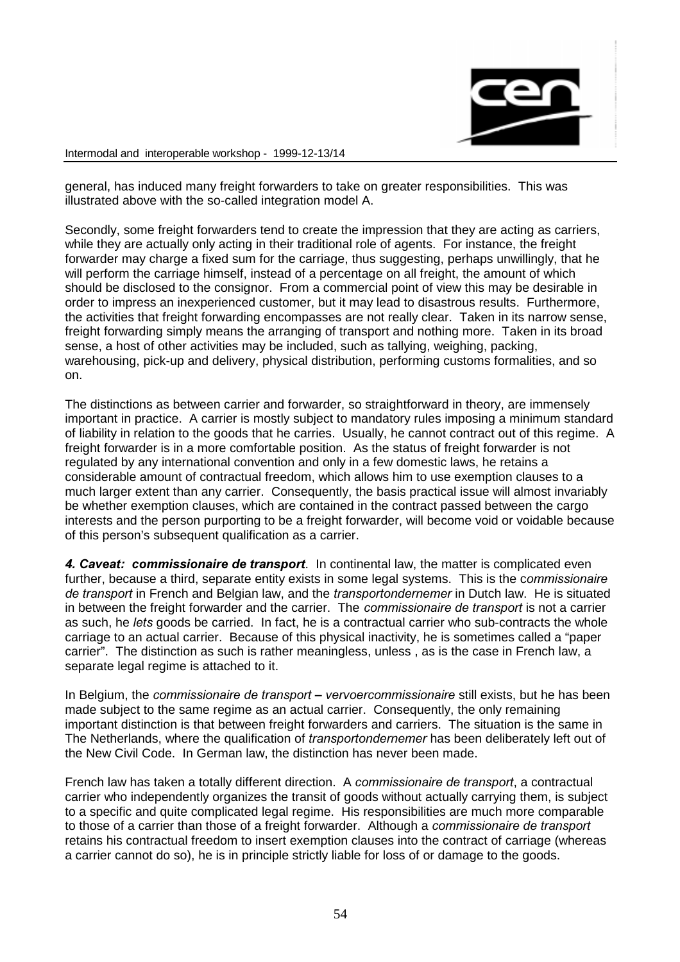

general, has induced many freight forwarders to take on greater responsibilities. This was illustrated above with the so-called integration model A.

Secondly, some freight forwarders tend to create the impression that they are acting as carriers, while they are actually only acting in their traditional role of agents. For instance, the freight forwarder may charge a fixed sum for the carriage, thus suggesting, perhaps unwillingly, that he will perform the carriage himself, instead of a percentage on all freight, the amount of which should be disclosed to the consignor. From a commercial point of view this may be desirable in order to impress an inexperienced customer, but it may lead to disastrous results. Furthermore, the activities that freight forwarding encompasses are not really clear. Taken in its narrow sense, freight forwarding simply means the arranging of transport and nothing more. Taken in its broad sense, a host of other activities may be included, such as tallying, weighing, packing, warehousing, pick-up and delivery, physical distribution, performing customs formalities, and so on.

The distinctions as between carrier and forwarder, so straightforward in theory, are immensely important in practice. A carrier is mostly subject to mandatory rules imposing a minimum standard of liability in relation to the goods that he carries. Usually, he cannot contract out of this regime. A freight forwarder is in a more comfortable position. As the status of freight forwarder is not regulated by any international convention and only in a few domestic laws, he retains a considerable amount of contractual freedom, which allows him to use exemption clauses to a much larger extent than any carrier. Consequently, the basis practical issue will almost invariably be whether exemption clauses, which are contained in the contract passed between the cargo interests and the person purporting to be a freight forwarder, will become void or voidable because of this person's subsequent qualification as a carrier.

4. Caveat: commissionaire de transport. In continental law, the matter is complicated even further, because a third, separate entity exists in some legal systems. This is the commissionaire de transport in French and Belgian law, and the transportondernemer in Dutch law. He is situated in between the freight forwarder and the carrier. The *commissionaire de transport* is not a carrier as such, he lets goods be carried. In fact, he is a contractual carrier who sub-contracts the whole carriage to an actual carrier. Because of this physical inactivity, he is sometimes called a "paper carrier". The distinction as such is rather meaningless, unless , as is the case in French law, a separate legal regime is attached to it.

In Belgium, the *commissionaire de transport – vervoercommissionaire* still exists, but he has been made subject to the same regime as an actual carrier. Consequently, the only remaining important distinction is that between freight forwarders and carriers. The situation is the same in The Netherlands, where the qualification of *transportondernemer* has been deliberately left out of the New Civil Code. In German law, the distinction has never been made.

French law has taken a totally different direction. A commissionaire de transport, a contractual carrier who independently organizes the transit of goods without actually carrying them, is subject to a specific and quite complicated legal regime. His responsibilities are much more comparable to those of a carrier than those of a freight forwarder. Although a *commissionaire de transport* retains his contractual freedom to insert exemption clauses into the contract of carriage (whereas a carrier cannot do so), he is in principle strictly liable for loss of or damage to the goods.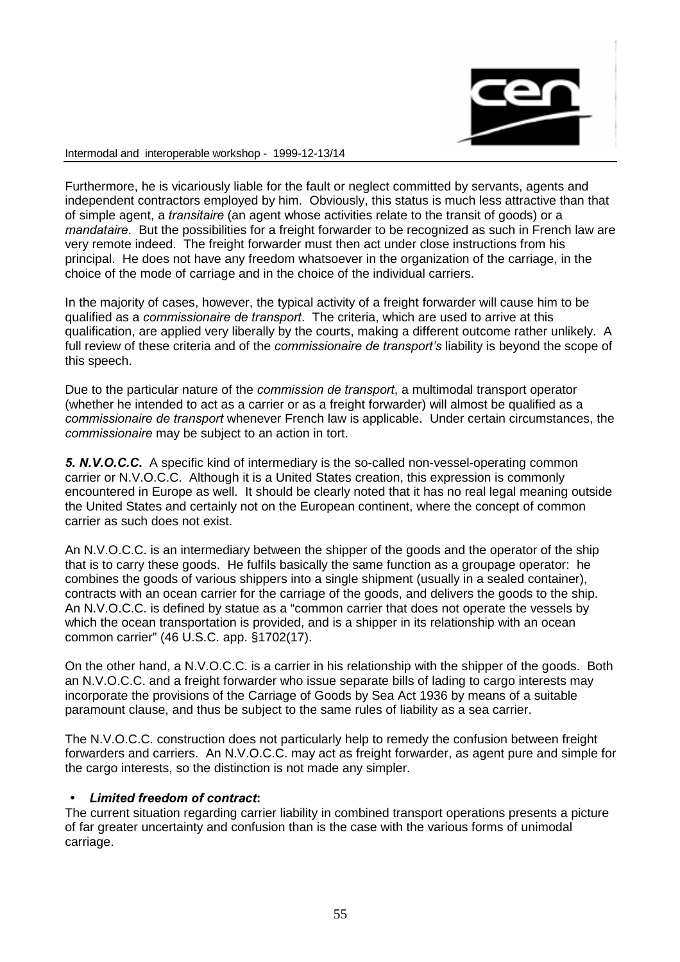

Furthermore, he is vicariously liable for the fault or neglect committed by servants, agents and independent contractors employed by him. Obviously, this status is much less attractive than that of simple agent, a *transitaire* (an agent whose activities relate to the transit of goods) or a mandataire. But the possibilities for a freight forwarder to be recognized as such in French law are very remote indeed. The freight forwarder must then act under close instructions from his principal. He does not have any freedom whatsoever in the organization of the carriage, in the choice of the mode of carriage and in the choice of the individual carriers.

In the majority of cases, however, the typical activity of a freight forwarder will cause him to be qualified as a *commissionaire de transport*. The criteria, which are used to arrive at this qualification, are applied very liberally by the courts, making a different outcome rather unlikely. A full review of these criteria and of the commissionaire de transport's liability is beyond the scope of this speech.

Due to the particular nature of the commission de transport, a multimodal transport operator (whether he intended to act as a carrier or as a freight forwarder) will almost be qualified as a commissionaire de transport whenever French law is applicable. Under certain circumstances, the commissionaire may be subject to an action in tort.

5. N.V.O.C.C. A specific kind of intermediary is the so-called non-vessel-operating common carrier or N.V.O.C.C. Although it is a United States creation, this expression is commonly encountered in Europe as well. It should be clearly noted that it has no real legal meaning outside the United States and certainly not on the European continent, where the concept of common carrier as such does not exist.

An N.V.O.C.C. is an intermediary between the shipper of the goods and the operator of the ship that is to carry these goods. He fulfils basically the same function as a groupage operator: he combines the goods of various shippers into a single shipment (usually in a sealed container), contracts with an ocean carrier for the carriage of the goods, and delivers the goods to the ship. An N.V.O.C.C. is defined by statue as a "common carrier that does not operate the vessels by which the ocean transportation is provided, and is a shipper in its relationship with an ocean common carrier" (46 U.S.C. app. §1702(17).

On the other hand, a N.V.O.C.C. is a carrier in his relationship with the shipper of the goods. Both an N.V.O.C.C. and a freight forwarder who issue separate bills of lading to cargo interests may incorporate the provisions of the Carriage of Goods by Sea Act 1936 by means of a suitable paramount clause, and thus be subject to the same rules of liability as a sea carrier.

The N.V.O.C.C. construction does not particularly help to remedy the confusion between freight forwarders and carriers. An N.V.O.C.C. may act as freight forwarder, as agent pure and simple for the cargo interests, so the distinction is not made any simpler.

### Limited freedom of contract:

The current situation regarding carrier liability in combined transport operations presents a picture of far greater uncertainty and confusion than is the case with the various forms of unimodal carriage.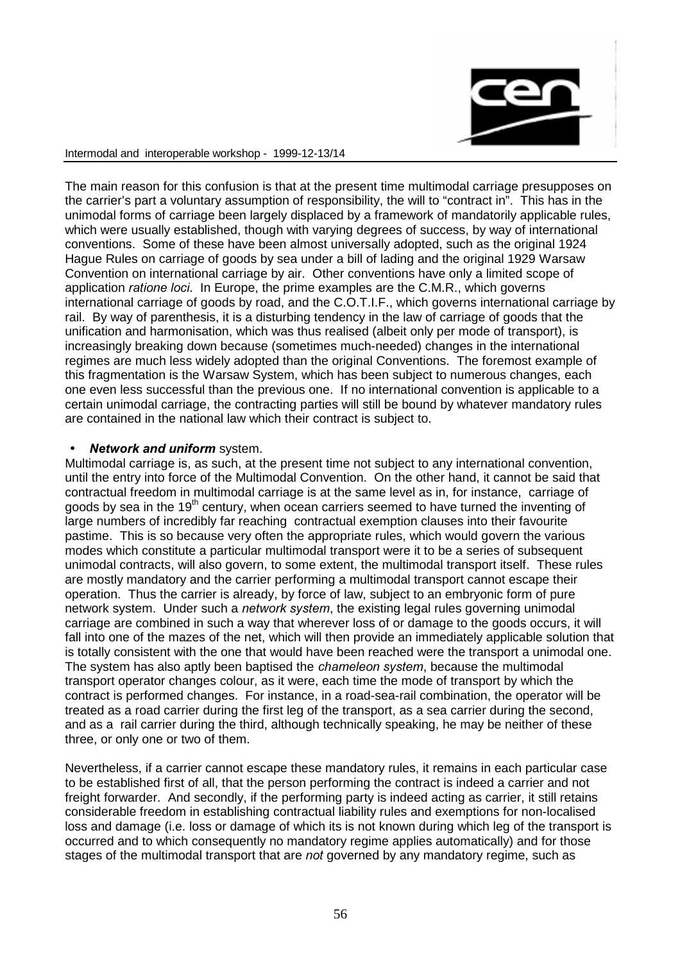

The main reason for this confusion is that at the present time multimodal carriage presupposes on the carrier's part a voluntary assumption of responsibility, the will to "contract in". This has in the unimodal forms of carriage been largely displaced by a framework of mandatorily applicable rules, which were usually established, though with varying degrees of success, by way of international conventions. Some of these have been almost universally adopted, such as the original 1924 Hague Rules on carriage of goods by sea under a bill of lading and the original 1929 Warsaw Convention on international carriage by air. Other conventions have only a limited scope of application *ratione loci*. In Europe, the prime examples are the C.M.R., which governs international carriage of goods by road, and the C.O.T.I.F., which governs international carriage by rail. By way of parenthesis, it is a disturbing tendency in the law of carriage of goods that the unification and harmonisation, which was thus realised (albeit only per mode of transport), is increasingly breaking down because (sometimes much-needed) changes in the international regimes are much less widely adopted than the original Conventions. The foremost example of this fragmentation is the Warsaw System, which has been subject to numerous changes, each one even less successful than the previous one. If no international convention is applicable to a certain unimodal carriage, the contracting parties will still be bound by whatever mandatory rules are contained in the national law which their contract is subject to.

### **Network and uniform system.**

Multimodal carriage is, as such, at the present time not subject to any international convention, until the entry into force of the Multimodal Convention. On the other hand, it cannot be said that contractual freedom in multimodal carriage is at the same level as in, for instance, carriage of goods by sea in the  $19<sup>th</sup>$  century, when ocean carriers seemed to have turned the inventing of large numbers of incredibly far reaching contractual exemption clauses into their favourite pastime. This is so because very often the appropriate rules, which would govern the various modes which constitute a particular multimodal transport were it to be a series of subsequent unimodal contracts, will also govern, to some extent, the multimodal transport itself. These rules are mostly mandatory and the carrier performing a multimodal transport cannot escape their operation. Thus the carrier is already, by force of law, subject to an embryonic form of pure network system. Under such a *network system*, the existing legal rules governing unimodal carriage are combined in such a way that wherever loss of or damage to the goods occurs, it will fall into one of the mazes of the net, which will then provide an immediately applicable solution that is totally consistent with the one that would have been reached were the transport a unimodal one. The system has also aptly been baptised the *chameleon system*, because the multimodal transport operator changes colour, as it were, each time the mode of transport by which the contract is performed changes. For instance, in a road-sea-rail combination, the operator will be treated as a road carrier during the first leg of the transport, as a sea carrier during the second, and as a rail carrier during the third, although technically speaking, he may be neither of these three, or only one or two of them.

Nevertheless, if a carrier cannot escape these mandatory rules, it remains in each particular case to be established first of all, that the person performing the contract is indeed a carrier and not freight forwarder. And secondly, if the performing party is indeed acting as carrier, it still retains considerable freedom in establishing contractual liability rules and exemptions for non-localised loss and damage (i.e. loss or damage of which its is not known during which leg of the transport is occurred and to which consequently no mandatory regime applies automatically) and for those stages of the multimodal transport that are not governed by any mandatory regime, such as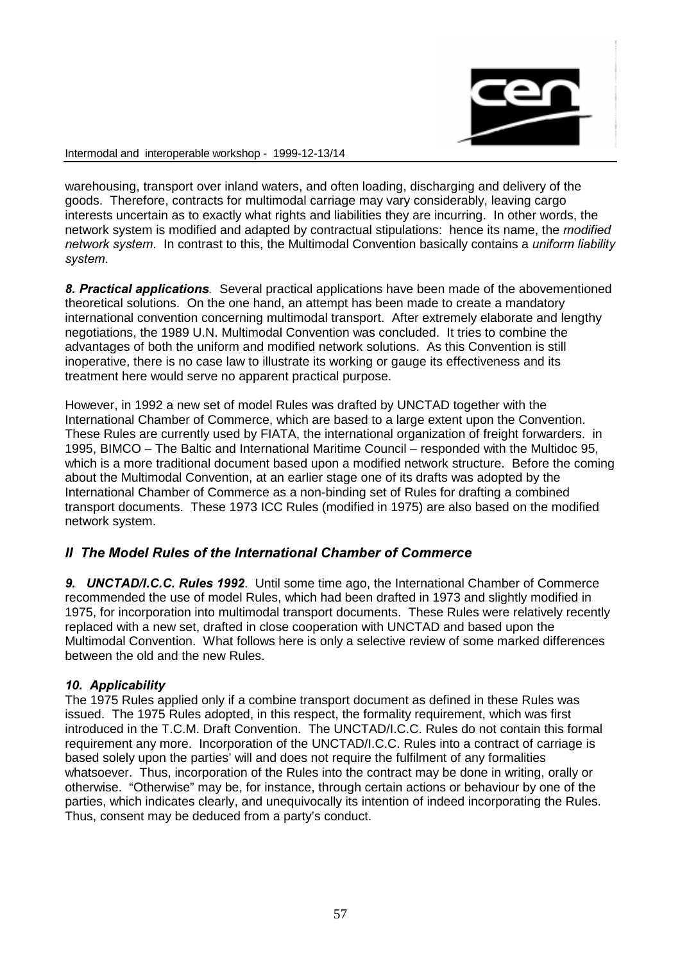

warehousing, transport over inland waters, and often loading, discharging and delivery of the goods. Therefore, contracts for multimodal carriage may vary considerably, leaving cargo interests uncertain as to exactly what rights and liabilities they are incurring. In other words, the network system is modified and adapted by contractual stipulations: hence its name, the modified network system. In contrast to this, the Multimodal Convention basically contains a *uniform liability* svstem.

8. Practical applications. Several practical applications have been made of the abovementioned theoretical solutions. On the one hand, an attempt has been made to create a mandatory international convention concerning multimodal transport. After extremely elaborate and lengthy negotiations, the 1989 U.N. Multimodal Convention was concluded. It tries to combine the advantages of both the uniform and modified network solutions. As this Convention is still inoperative, there is no case law to illustrate its working or gauge its effectiveness and its treatment here would serve no apparent practical purpose.

However, in 1992 a new set of model Rules was drafted by UNCTAD together with the International Chamber of Commerce, which are based to a large extent upon the Convention. These Rules are currently used by FIATA, the international organization of freight forwarders. in 1995, BIMCO – The Baltic and International Maritime Council – responded with the Multidoc 95, which is a more traditional document based upon a modified network structure. Before the coming about the Multimodal Convention, at an earlier stage one of its drafts was adopted by the International Chamber of Commerce as a non-binding set of Rules for drafting a combined transport documents. These 1973 ICC Rules (modified in 1975) are also based on the modified network system.

# II The Model Rules of the International Chamber of Commerce

9. **UNCTAD/I.C.C. Rules 1992**. Until some time ago, the International Chamber of Commerce recommended the use of model Rules, which had been drafted in 1973 and slightly modified in 1975, for incorporation into multimodal transport documents. These Rules were relatively recently replaced with a new set, drafted in close cooperation with UNCTAD and based upon the Multimodal Convention. What follows here is only a selective review of some marked differences between the old and the new Rules.

# 10. Applicability

The 1975 Rules applied only if a combine transport document as defined in these Rules was issued. The 1975 Rules adopted, in this respect, the formality requirement, which was first introduced in the T.C.M. Draft Convention. The UNCTAD/I.C.C. Rules do not contain this formal requirement any more. Incorporation of the UNCTAD/I.C.C. Rules into a contract of carriage is based solely upon the parties' will and does not require the fulfilment of any formalities whatsoever. Thus, incorporation of the Rules into the contract may be done in writing, orally or otherwise. "Otherwise" may be, for instance, through certain actions or behaviour by one of the parties, which indicates clearly, and unequivocally its intention of indeed incorporating the Rules. Thus, consent may be deduced from a party's conduct.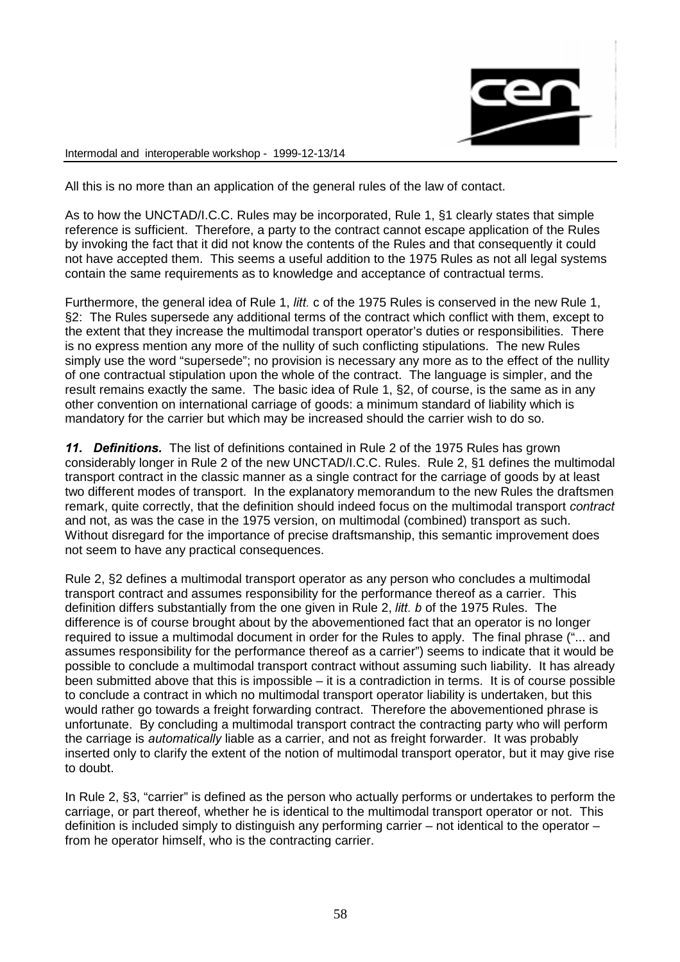

All this is no more than an application of the general rules of the law of contact.

As to how the UNCTAD/I.C.C. Rules may be incorporated, Rule 1, §1 clearly states that simple reference is sufficient. Therefore, a party to the contract cannot escape application of the Rules by invoking the fact that it did not know the contents of the Rules and that consequently it could not have accepted them. This seems a useful addition to the 1975 Rules as not all legal systems contain the same requirements as to knowledge and acceptance of contractual terms.

Furthermore, the general idea of Rule 1, *litt.* c of the 1975 Rules is conserved in the new Rule 1, §2: The Rules supersede any additional terms of the contract which conflict with them, except to the extent that they increase the multimodal transport operator's duties or responsibilities. There is no express mention any more of the nullity of such conflicting stipulations. The new Rules simply use the word "supersede"; no provision is necessary any more as to the effect of the nullity of one contractual stipulation upon the whole of the contract. The language is simpler, and the result remains exactly the same. The basic idea of Rule 1, §2, of course, is the same as in any other convention on international carriage of goods: a minimum standard of liability which is mandatory for the carrier but which may be increased should the carrier wish to do so.

11. Definitions. The list of definitions contained in Rule 2 of the 1975 Rules has grown considerably longer in Rule 2 of the new UNCTAD/I.C.C. Rules. Rule 2, §1 defines the multimodal transport contract in the classic manner as a single contract for the carriage of goods by at least two different modes of transport. In the explanatory memorandum to the new Rules the draftsmen remark, quite correctly, that the definition should indeed focus on the multimodal transport contract and not, as was the case in the 1975 version, on multimodal (combined) transport as such. Without disregard for the importance of precise draftsmanship, this semantic improvement does not seem to have any practical consequences.

Rule 2, §2 defines a multimodal transport operator as any person who concludes a multimodal transport contract and assumes responsibility for the performance thereof as a carrier. This definition differs substantially from the one given in Rule 2, *litt. b* of the 1975 Rules. The difference is of course brought about by the abovementioned fact that an operator is no longer required to issue a multimodal document in order for the Rules to apply. The final phrase ("... and assumes responsibility for the performance thereof as a carrier") seems to indicate that it would be possible to conclude a multimodal transport contract without assuming such liability. It has already been submitted above that this is impossible – it is a contradiction in terms. It is of course possible to conclude a contract in which no multimodal transport operator liability is undertaken, but this would rather go towards a freight forwarding contract. Therefore the abovementioned phrase is unfortunate. By concluding a multimodal transport contract the contracting party who will perform the carriage is automatically liable as a carrier, and not as freight forwarder. It was probably inserted only to clarify the extent of the notion of multimodal transport operator, but it may give rise to doubt.

In Rule 2, §3, "carrier" is defined as the person who actually performs or undertakes to perform the carriage, or part thereof, whether he is identical to the multimodal transport operator or not. This definition is included simply to distinguish any performing carrier – not identical to the operator – from he operator himself, who is the contracting carrier.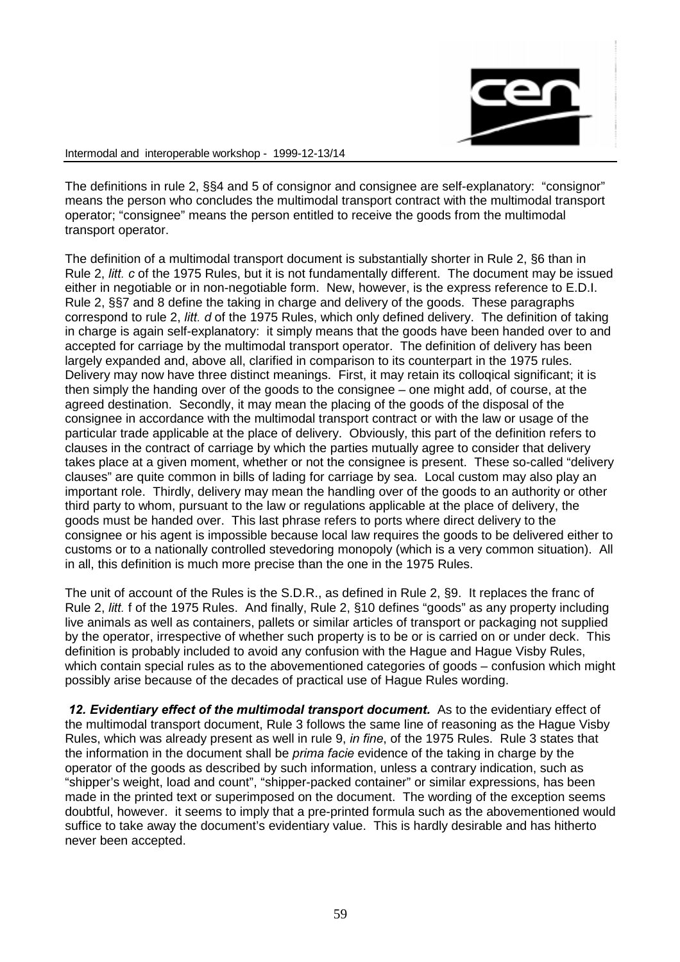

The definitions in rule 2, §§4 and 5 of consignor and consignee are self-explanatory: "consignor" means the person who concludes the multimodal transport contract with the multimodal transport operator; "consignee" means the person entitled to receive the goods from the multimodal transport operator.

The definition of a multimodal transport document is substantially shorter in Rule 2, §6 than in Rule 2, *litt.* c of the 1975 Rules, but it is not fundamentally different. The document may be issued either in negotiable or in non-negotiable form. New, however, is the express reference to E.D.I. Rule 2, §§7 and 8 define the taking in charge and delivery of the goods. These paragraphs correspond to rule 2, *litt. d* of the 1975 Rules, which only defined delivery. The definition of taking in charge is again self-explanatory: it simply means that the goods have been handed over to and accepted for carriage by the multimodal transport operator. The definition of delivery has been largely expanded and, above all, clarified in comparison to its counterpart in the 1975 rules. Delivery may now have three distinct meanings. First, it may retain its colloqical significant; it is then simply the handing over of the goods to the consignee – one might add, of course, at the agreed destination. Secondly, it may mean the placing of the goods of the disposal of the consignee in accordance with the multimodal transport contract or with the law or usage of the particular trade applicable at the place of delivery. Obviously, this part of the definition refers to clauses in the contract of carriage by which the parties mutually agree to consider that delivery takes place at a given moment, whether or not the consignee is present. These so-called "delivery clauses" are quite common in bills of lading for carriage by sea. Local custom may also play an important role. Thirdly, delivery may mean the handling over of the goods to an authority or other third party to whom, pursuant to the law or regulations applicable at the place of delivery, the goods must be handed over. This last phrase refers to ports where direct delivery to the consignee or his agent is impossible because local law requires the goods to be delivered either to customs or to a nationally controlled stevedoring monopoly (which is a very common situation). All in all, this definition is much more precise than the one in the 1975 Rules.

The unit of account of the Rules is the S.D.R., as defined in Rule 2, §9. It replaces the franc of Rule 2, *litt.* f of the 1975 Rules. And finally, Rule 2, §10 defines "goods" as any property including live animals as well as containers, pallets or similar articles of transport or packaging not supplied by the operator, irrespective of whether such property is to be or is carried on or under deck. This definition is probably included to avoid any confusion with the Hague and Hague Visby Rules, which contain special rules as to the abovementioned categories of goods – confusion which might possibly arise because of the decades of practical use of Hague Rules wording.

12. Evidentiary effect of the multimodal transport document. As to the evidentiary effect of the multimodal transport document, Rule 3 follows the same line of reasoning as the Hague Visby Rules, which was already present as well in rule 9, in fine, of the 1975 Rules. Rule 3 states that the information in the document shall be *prima facie* evidence of the taking in charge by the operator of the goods as described by such information, unless a contrary indication, such as "shipper's weight, load and count", "shipper-packed container" or similar expressions, has been made in the printed text or superimposed on the document. The wording of the exception seems doubtful, however. it seems to imply that a pre-printed formula such as the abovementioned would suffice to take away the document's evidentiary value. This is hardly desirable and has hitherto never been accepted.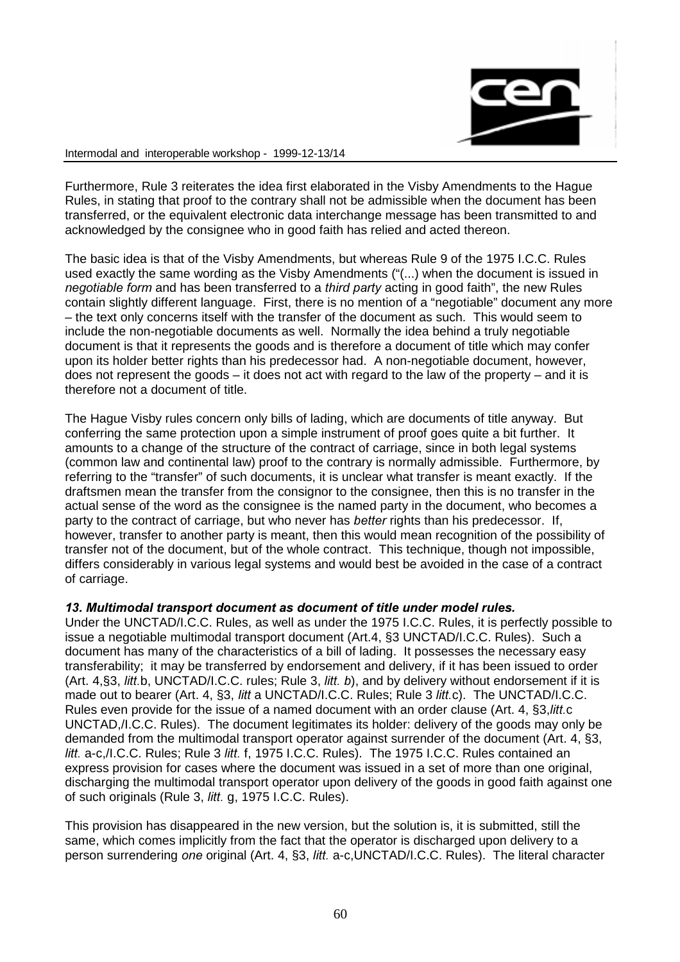

Furthermore, Rule 3 reiterates the idea first elaborated in the Visby Amendments to the Hague Rules, in stating that proof to the contrary shall not be admissible when the document has been transferred, or the equivalent electronic data interchange message has been transmitted to and acknowledged by the consignee who in good faith has relied and acted thereon.

The basic idea is that of the Visby Amendments, but whereas Rule 9 of the 1975 I.C.C. Rules used exactly the same wording as the Visby Amendments ("(...) when the document is issued in negotiable form and has been transferred to a third party acting in good faith", the new Rules contain slightly different language. First, there is no mention of a "negotiable" document any more – the text only concerns itself with the transfer of the document as such. This would seem to include the non-negotiable documents as well. Normally the idea behind a truly negotiable document is that it represents the goods and is therefore a document of title which may confer upon its holder better rights than his predecessor had. A non-negotiable document, however, does not represent the goods  $-$  it does not act with regard to the law of the property  $-$  and it is therefore not a document of title.

The Hague Visby rules concern only bills of lading, which are documents of title anyway. But conferring the same protection upon a simple instrument of proof goes quite a bit further. It amounts to a change of the structure of the contract of carriage, since in both legal systems (common law and continental law) proof to the contrary is normally admissible. Furthermore, by referring to the "transfer" of such documents, it is unclear what transfer is meant exactly. If the draftsmen mean the transfer from the consignor to the consignee, then this is no transfer in the actual sense of the word as the consignee is the named party in the document, who becomes a party to the contract of carriage, but who never has better rights than his predecessor. If, however, transfer to another party is meant, then this would mean recognition of the possibility of transfer not of the document, but of the whole contract. This technique, though not impossible, differs considerably in various legal systems and would best be avoided in the case of a contract of carriage.

# 13. Multimodal transport document as document of title under model rules.

Under the UNCTAD/I.C.C. Rules, as well as under the 1975 I.C.C. Rules, it is perfectly possible to issue a negotiable multimodal transport document (Art.4, §3 UNCTAD/I.C.C. Rules). Such a document has many of the characteristics of a bill of lading. It possesses the necessary easy transferability; it may be transferred by endorsement and delivery, if it has been issued to order (Art. 4, §3, *litt.b*, UNCTAD/I.C.C. rules; Rule 3, *litt. b*), and by delivery without endorsement if it is made out to bearer (Art. 4, §3, *litt* a UNCTAD/I.C.C. Rules: Rule 3 *litt.c*). The UNCTAD/I.C.C. Rules even provide for the issue of a named document with an order clause (Art. 4, §3, litt.c UNCTAD,/I.C.C. Rules). The document legitimates its holder: delivery of the goods may only be demanded from the multimodal transport operator against surrender of the document (Art. 4, §3, litt. a-c./I.C.C. Rules; Rule 3 litt. f, 1975 I.C.C. Rules). The 1975 I.C.C. Rules contained an express provision for cases where the document was issued in a set of more than one original, discharging the multimodal transport operator upon delivery of the goods in good faith against one of such originals (Rule 3, *litt.* g, 1975 I.C.C. Rules).

This provision has disappeared in the new version, but the solution is, it is submitted, still the same, which comes implicitly from the fact that the operator is discharged upon delivery to a person surrendering one original (Art. 4, §3, *litt.* a-c,UNCTAD/I.C.C. Rules). The literal character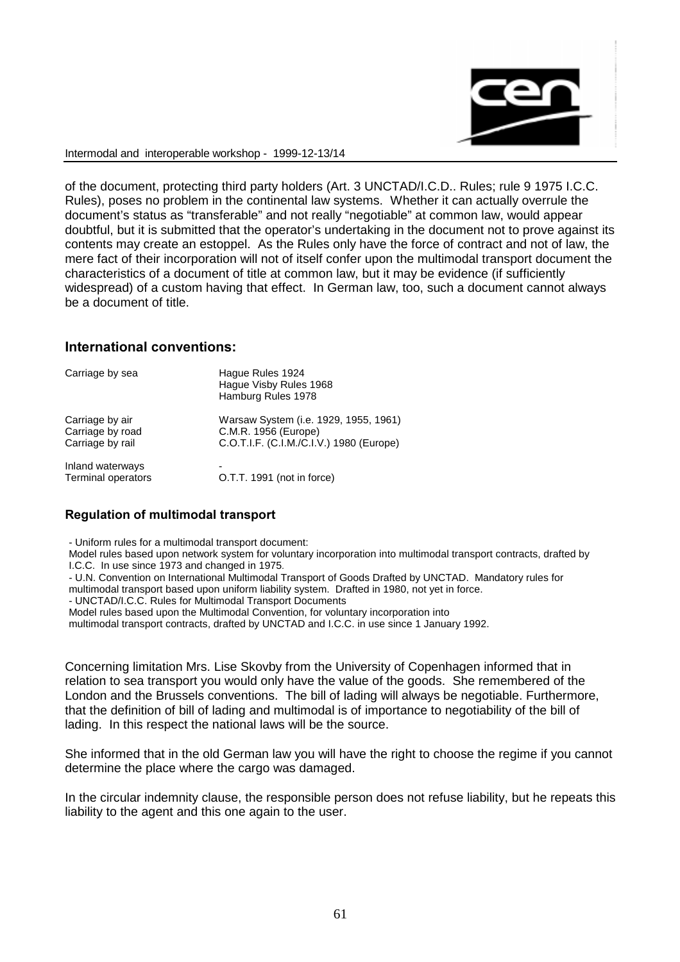

of the document, protecting third party holders (Art. 3 UNCTAD/I.C.D.. Rules; rule 9 1975 I.C.C. Rules), poses no problem in the continental law systems. Whether it can actually overrule the document's status as "transferable" and not really "negotiable" at common law, would appear doubtful, but it is submitted that the operator's undertaking in the document not to prove against its contents may create an estoppel. As the Rules only have the force of contract and not of law, the mere fact of their incorporation will not of itself confer upon the multimodal transport document the characteristics of a document of title at common law, but it may be evidence (if sufficiently widespread) of a custom having that effect. In German law, too, such a document cannot always be a document of title.

### International conventions:

| Carriage by sea    | Hague Rules 1924<br>Hague Visby Rules 1968<br>Hamburg Rules 1978 |
|--------------------|------------------------------------------------------------------|
| Carriage by air    | Warsaw System (i.e. 1929, 1955, 1961)                            |
| Carriage by road   | C.M.R. 1956 (Europe)                                             |
| Carriage by rail   | C.O.T.I.F. (C.I.M./C.I.V.) 1980 (Europe)                         |
| Inland waterways   | -                                                                |
| Terminal operators | O.T.T. 1991 (not in force)                                       |

### Regulation of multimodal transport

- Uniform rules for a multimodal transport document:

Model rules based upon network system for voluntary incorporation into multimodal transport contracts, drafted by I.C.C. In use since 1973 and changed in 1975

- U.N. Convention on International Multimodal Transport of Goods Drafted by UNCTAD. Mandatory rules for

multimodal transport based upon uniform liability system. Drafted in 1980, not yet in force.

- UNCTAD/I.C.C. Rules for Multimodal Transport Documents

Model rules based upon the Multimodal Convention, for voluntary incorporation into

multimodal transport contracts, drafted by UNCTAD and I.C.C. in use since 1 January 1992.

Concerning limitation Mrs. Lise Skovby from the University of Copenhagen informed that in relation to sea transport you would only have the value of the goods. She remembered of the London and the Brussels conventions. The bill of lading will always be negotiable. Furthermore, that the definition of bill of lading and multimodal is of importance to negotiability of the bill of lading. In this respect the national laws will be the source.

She informed that in the old German law you will have the right to choose the regime if you cannot determine the place where the cargo was damaged.

In the circular indemnity clause, the responsible person does not refuse liability, but he repeats this liability to the agent and this one again to the user.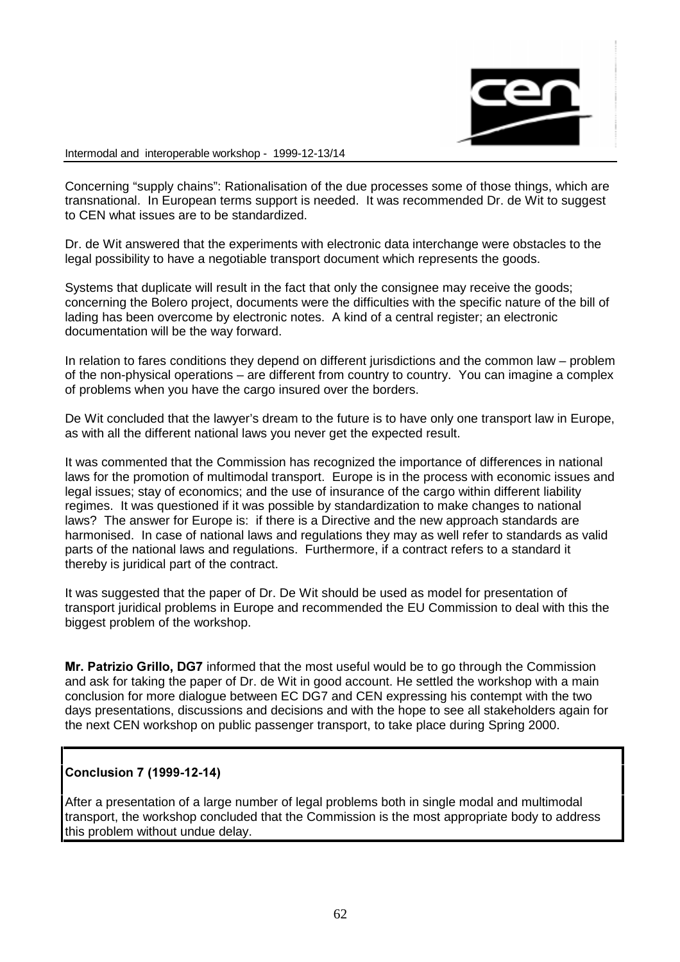

Concerning "supply chains": Rationalisation of the due processes some of those things, which are transnational. In European terms support is needed. It was recommended Dr. de Wit to suggest to CEN what issues are to be standardized.

Dr. de Wit answered that the experiments with electronic data interchange were obstacles to the legal possibility to have a negotiable transport document which represents the goods.

Systems that duplicate will result in the fact that only the consignee may receive the goods; concerning the Bolero project, documents were the difficulties with the specific nature of the bill of lading has been overcome by electronic notes. A kind of a central register; an electronic documentation will be the way forward.

In relation to fares conditions they depend on different jurisdictions and the common law – problem of the non-physical operations – are different from country to country. You can imagine a complex of problems when you have the cargo insured over the borders.

De Wit concluded that the lawyer's dream to the future is to have only one transport law in Europe, as with all the different national laws you never get the expected result.

It was commented that the Commission has recognized the importance of differences in national laws for the promotion of multimodal transport. Europe is in the process with economic issues and legal issues; stay of economics; and the use of insurance of the cargo within different liability regimes. It was questioned if it was possible by standardization to make changes to national laws? The answer for Europe is: if there is a Directive and the new approach standards are harmonised. In case of national laws and regulations they may as well refer to standards as valid parts of the national laws and regulations. Furthermore, if a contract refers to a standard it thereby is juridical part of the contract.

It was suggested that the paper of Dr. De Wit should be used as model for presentation of transport juridical problems in Europe and recommended the EU Commission to deal with this the biggest problem of the workshop.

Mr. Patrizio Grillo, DG7 informed that the most useful would be to go through the Commission and ask for taking the paper of Dr. de Wit in good account. He settled the workshop with a main conclusion for more dialogue between EC DG7 and CEN expressing his contempt with the two days presentations, discussions and decisions and with the hope to see all stakeholders again for the next CEN workshop on public passenger transport, to take place during Spring 2000.

# Conclusion 7 (1999-12-14)

After a presentation of a large number of legal problems both in single modal and multimodal transport, the workshop concluded that the Commission is the most appropriate body to address this problem without undue delay.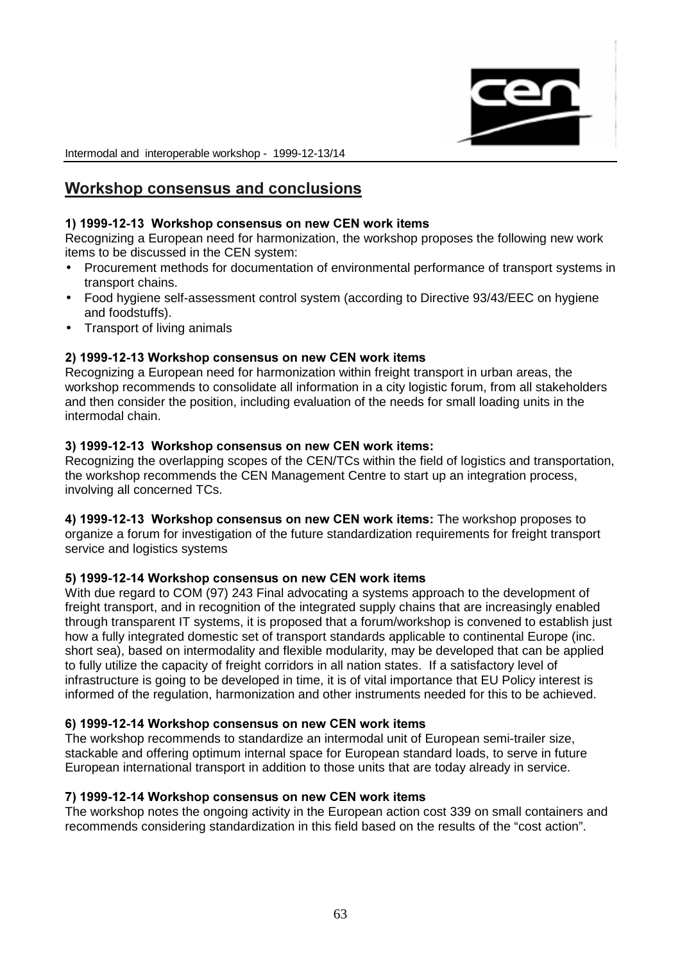

# Workshop consensus and conclusions

# 1) 1999-12-13 Workshop consensus on new CEN work items

Recognizing a European need for harmonization, the workshop proposes the following new work items to be discussed in the CEN system:

- Procurement methods for documentation of environmental performance of transport systems in transport chains.
- Food hygiene self-assessment control system (according to Directive 93/43/EEC on hygiene and foodstuffs).
- Transport of living animals

# 2) 1999-12-13 Workshop consensus on new CEN work items

Recognizing a European need for harmonization within freight transport in urban areas, the workshop recommends to consolidate all information in a city logistic forum, from all stakeholders and then consider the position, including evaluation of the needs for small loading units in the intermodal chain.

# 3) 1999-12-13 Workshop consensus on new CEN work items:

Recognizing the overlapping scopes of the CEN/TCs within the field of logistics and transportation, the workshop recommends the CEN Management Centre to start up an integration process, involving all concerned TCs.

4) 1999-12-13 Workshop consensus on new CEN work items: The workshop proposes to organize a forum for investigation of the future standardization requirements for freight transport service and logistics systems

# 5) 1999-12-14 Workshop consensus on new CEN work items

With due regard to COM (97) 243 Final advocating a systems approach to the development of freight transport, and in recognition of the integrated supply chains that are increasingly enabled through transparent IT systems, it is proposed that a forum/workshop is convened to establish just how a fully integrated domestic set of transport standards applicable to continental Europe (inc. short sea), based on intermodality and flexible modularity, may be developed that can be applied to fully utilize the capacity of freight corridors in all nation states. If a satisfactory level of infrastructure is going to be developed in time, it is of vital importance that EU Policy interest is informed of the regulation, harmonization and other instruments needed for this to be achieved.

# 6) 1999-12-14 Workshop consensus on new CEN work items

The workshop recommends to standardize an intermodal unit of European semi-trailer size, stackable and offering optimum internal space for European standard loads, to serve in future European international transport in addition to those units that are today already in service.

# 7) 1999-12-14 Workshop consensus on new CEN work items

The workshop notes the ongoing activity in the European action cost 339 on small containers and recommends considering standardization in this field based on the results of the "cost action".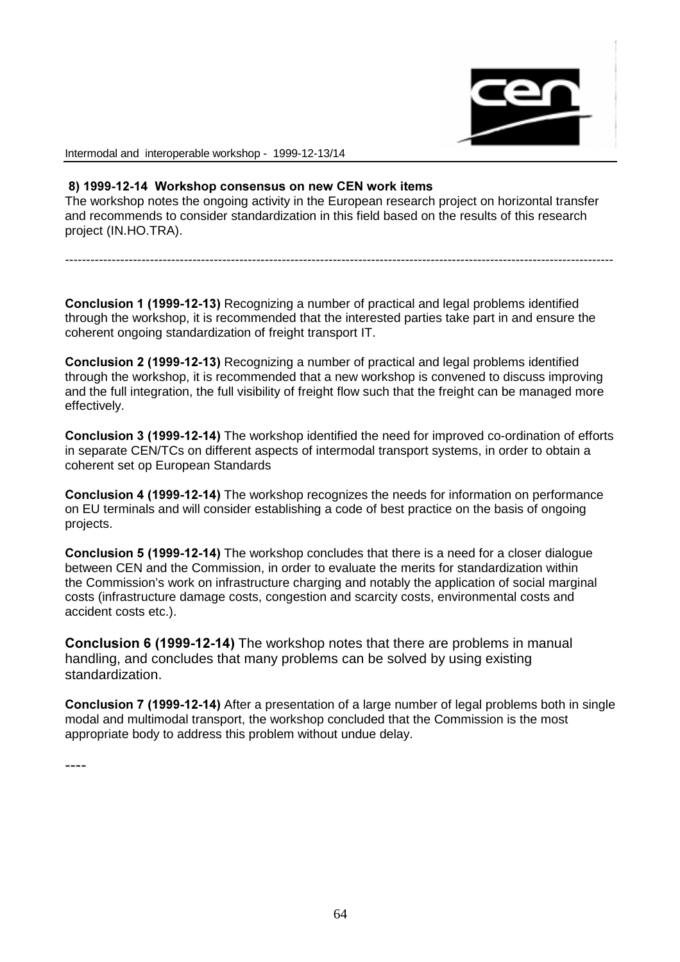

### 8) 1999-12-14 Workshop consensus on new CEN work items

The workshop notes the ongoing activity in the European research project on horizontal transfer and recommends to consider standardization in this field based on the results of this research project (IN.HO.TRA).

---------------------------------------------------------------------------------------------------------------------------------

Conclusion 1 (1999-12-13) Recognizing a number of practical and legal problems identified through the workshop, it is recommended that the interested parties take part in and ensure the coherent ongoing standardization of freight transport IT.

**Conclusion 2 (1999-12-13)** Recognizing a number of practical and legal problems identified through the workshop, it is recommended that a new workshop is convened to discuss improving and the full integration, the full visibility of freight flow such that the freight can be managed more effectively.

**Conclusion 3 (1999-12-14)** The workshop identified the need for improved co-ordination of efforts in separate CEN/TCs on different aspects of intermodal transport systems, in order to obtain a coherent set op European Standards

**Conclusion 4 (1999-12-14)** The workshop recognizes the needs for information on performance on EU terminals and will consider establishing a code of best practice on the basis of ongoing projects.

Conclusion 5 (1999-12-14) The workshop concludes that there is a need for a closer dialogue between CEN and the Commission, in order to evaluate the merits for standardization within the Commission's work on infrastructure charging and notably the application of social marginal costs (infrastructure damage costs, congestion and scarcity costs, environmental costs and accident costs etc.).

Conclusion 6 (1999-12-14) The workshop notes that there are problems in manual handling, and concludes that many problems can be solved by using existing standardization.

**Conclusion 7 (1999-12-14)** After a presentation of a large number of legal problems both in single modal and multimodal transport, the workshop concluded that the Commission is the most appropriate body to address this problem without undue delay.

----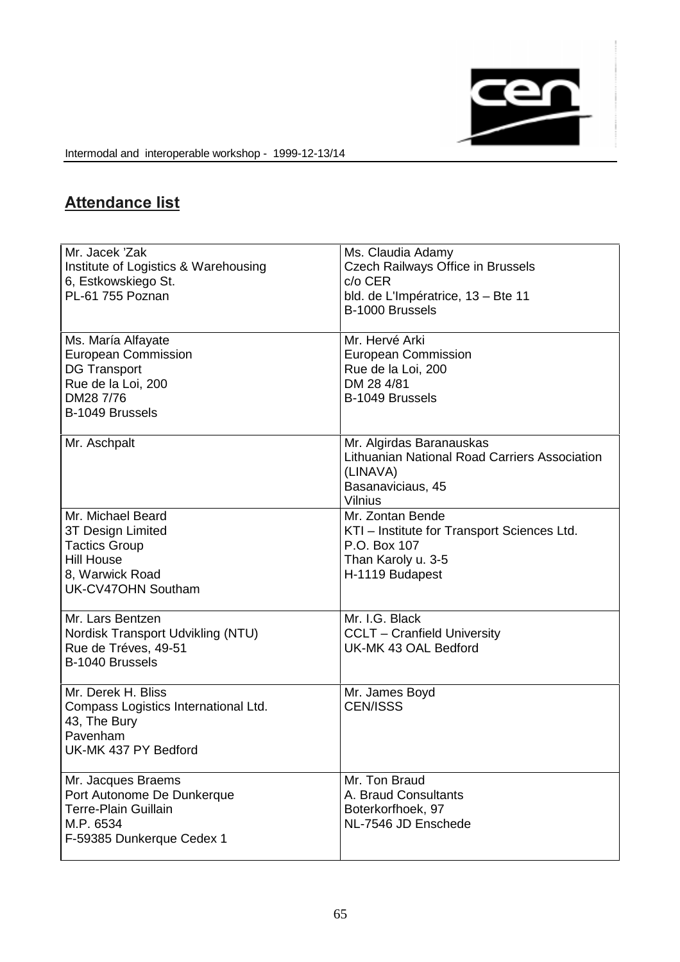

# **Attendance list**

| Mr. Jacek 'Zak<br>Institute of Logistics & Warehousing<br>6, Estkowskiego St.<br>PL-61 755 Poznan                             | Ms. Claudia Adamy<br><b>Czech Railways Office in Brussels</b><br>c/o CER<br>bld. de L'Impératrice, 13 - Bte 11<br>B-1000 Brussels |
|-------------------------------------------------------------------------------------------------------------------------------|-----------------------------------------------------------------------------------------------------------------------------------|
| Ms. María Alfayate<br><b>European Commission</b><br><b>DG Transport</b><br>Rue de la Loi, 200<br>DM28 7/76<br>B-1049 Brussels | Mr. Hervé Arki<br><b>European Commission</b><br>Rue de la Loi, 200<br>DM 28 4/81<br>B-1049 Brussels                               |
| Mr. Aschpalt                                                                                                                  | Mr. Algirdas Baranauskas<br>Lithuanian National Road Carriers Association<br>(LINAVA)<br>Basanaviciaus, 45<br><b>Vilnius</b>      |
| Mr. Michael Beard<br>3T Design Limited<br><b>Tactics Group</b><br><b>Hill House</b><br>8, Warwick Road<br>UK-CV47OHN Southam  | Mr. Zontan Bende<br>KTI - Institute for Transport Sciences Ltd.<br>P.O. Box 107<br>Than Karoly u. 3-5<br>H-1119 Budapest          |
| Mr. Lars Bentzen<br>Nordisk Transport Udvikling (NTU)<br>Rue de Tréves, 49-51<br>B-1040 Brussels                              | Mr. I.G. Black<br><b>CCLT</b> – Cranfield University<br>UK-MK 43 OAL Bedford                                                      |
| Mr. Derek H. Bliss<br>Compass Logistics International Ltd.<br>43, The Bury<br>Pavenham<br>UK-MK 437 PY Bedford                | Mr. James Boyd<br><b>CEN/ISSS</b>                                                                                                 |
| Mr. Jacques Braems<br>Port Autonome De Dunkerque<br><b>Terre-Plain Guillain</b><br>M.P. 6534<br>F-59385 Dunkerque Cedex 1     | Mr. Ton Braud<br>A. Braud Consultants<br>Boterkorfhoek, 97<br>NL-7546 JD Enschede                                                 |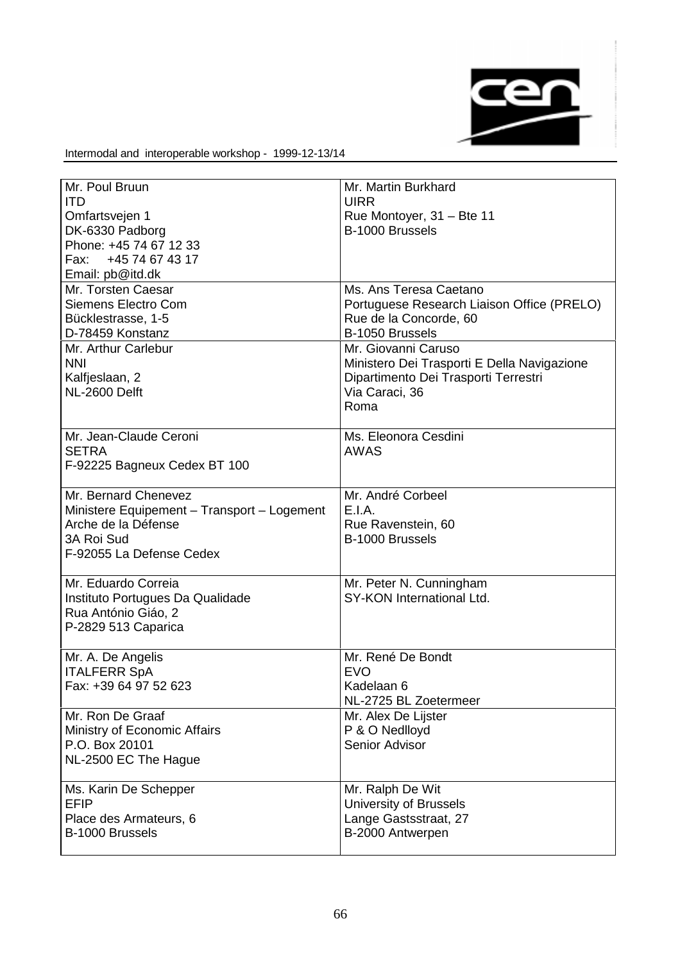

| Mr. Poul Bruun                              | Mr. Martin Burkhard                         |
|---------------------------------------------|---------------------------------------------|
| <b>ITD</b>                                  | <b>UIRR</b>                                 |
| Omfartsvejen 1                              | Rue Montoyer, 31 - Bte 11                   |
| DK-6330 Padborg                             | B-1000 Brussels                             |
| Phone: +45 74 67 12 33                      |                                             |
| Fax: +45 74 67 43 17                        |                                             |
| Email: pb@itd.dk                            |                                             |
| Mr. Torsten Caesar                          | Ms. Ans Teresa Caetano                      |
| Siemens Electro Com                         | Portuguese Research Liaison Office (PRELO)  |
| Bücklestrasse, 1-5                          | Rue de la Concorde, 60                      |
| D-78459 Konstanz                            | B-1050 Brussels                             |
| Mr. Arthur Carlebur                         | Mr. Giovanni Caruso                         |
| <b>NNI</b>                                  | Ministero Dei Trasporti E Della Navigazione |
| Kalfjeslaan, 2                              | Dipartimento Dei Trasporti Terrestri        |
| NL-2600 Delft                               | Via Caraci, 36                              |
|                                             | Roma                                        |
|                                             |                                             |
|                                             |                                             |
| Mr. Jean-Claude Ceroni                      | Ms. Eleonora Cesdini                        |
| <b>SETRA</b>                                | <b>AWAS</b>                                 |
| F-92225 Bagneux Cedex BT 100                |                                             |
|                                             |                                             |
| Mr. Bernard Chenevez                        | Mr. André Corbeel                           |
| Ministere Equipement - Transport - Logement | E.I.A.                                      |
| Arche de la Défense                         | Rue Ravenstein, 60                          |
| 3A Roi Sud                                  | B-1000 Brussels                             |
| F-92055 La Defense Cedex                    |                                             |
|                                             |                                             |
| Mr. Eduardo Correia                         | Mr. Peter N. Cunningham                     |
| Instituto Portugues Da Qualidade            | SY-KON International Ltd.                   |
| Rua António Giáo, 2                         |                                             |
| P-2829 513 Caparica                         |                                             |
|                                             |                                             |
| Mr. A. De Angelis                           | Mr. René De Bondt                           |
| <b>ITALFERR SpA</b>                         | <b>EVO</b>                                  |
| Fax: +39 64 97 52 623                       | Kadelaan 6                                  |
|                                             | NL-2725 BL Zoetermeer                       |
| Mr. Ron De Graaf                            | Mr. Alex De Lijster                         |
| Ministry of Economic Affairs                | P & O Nedlloyd                              |
|                                             |                                             |
| P.O. Box 20101                              | Senior Advisor                              |
| NL-2500 EC The Hague                        |                                             |
|                                             |                                             |
| Ms. Karin De Schepper                       | Mr. Ralph De Wit                            |
| <b>EFIP</b>                                 | University of Brussels                      |
| Place des Armateurs, 6                      | Lange Gastsstraat, 27                       |
| B-1000 Brussels                             | B-2000 Antwerpen                            |
|                                             |                                             |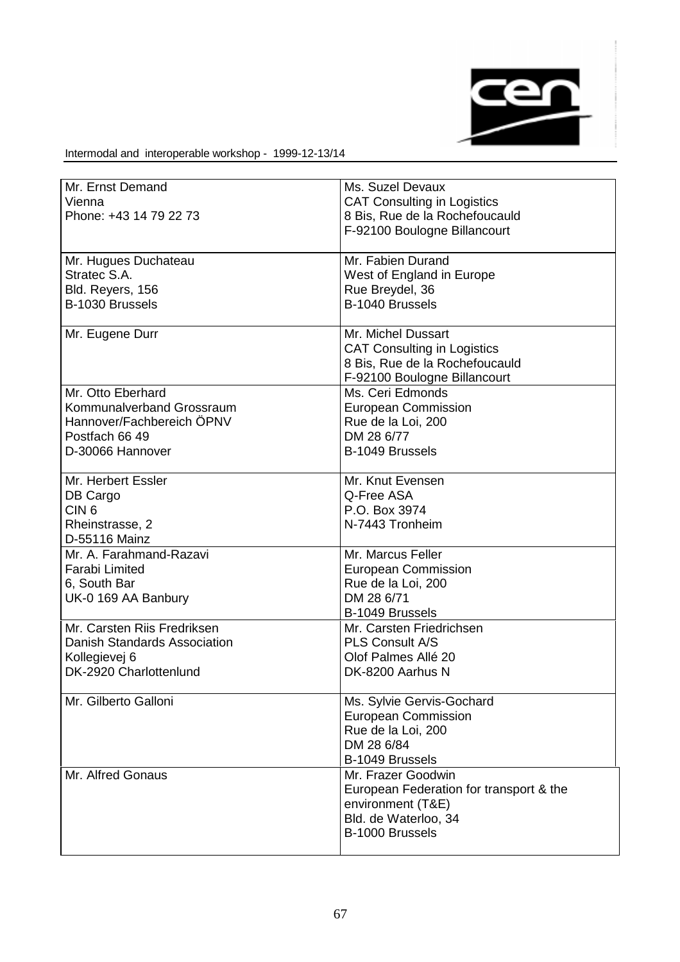

| Mr. Ernst Demand             | Ms. Suzel Devaux                        |
|------------------------------|-----------------------------------------|
| Vienna                       | <b>CAT Consulting in Logistics</b>      |
| Phone: +43 14 79 22 73       | 8 Bis, Rue de la Rochefoucauld          |
|                              | F-92100 Boulogne Billancourt            |
|                              |                                         |
| Mr. Hugues Duchateau         | Mr. Fabien Durand                       |
| Stratec S.A.                 | West of England in Europe               |
| Bld. Reyers, 156             | Rue Breydel, 36                         |
| B-1030 Brussels              | B-1040 Brussels                         |
|                              |                                         |
| Mr. Eugene Durr              | Mr. Michel Dussart                      |
|                              | <b>CAT Consulting in Logistics</b>      |
|                              | 8 Bis, Rue de la Rochefoucauld          |
|                              | F-92100 Boulogne Billancourt            |
| Mr. Otto Eberhard            | Ms. Ceri Edmonds                        |
| Kommunalverband Grossraum    | <b>European Commission</b>              |
| Hannover/Fachbereich ÖPNV    | Rue de la Loi, 200                      |
| Postfach 66 49               | DM 28 6/77                              |
| D-30066 Hannover             | B-1049 Brussels                         |
|                              |                                         |
| Mr. Herbert Essler           | Mr. Knut Evensen                        |
| DB Cargo                     | Q-Free ASA                              |
| CIN <sub>6</sub>             | P.O. Box 3974                           |
| Rheinstrasse, 2              | N-7443 Tronheim                         |
| D-55116 Mainz                |                                         |
| Mr. A. Farahmand-Razavi      | Mr. Marcus Feller                       |
| <b>Farabi Limited</b>        | <b>European Commission</b>              |
| 6, South Bar                 | Rue de la Loi, 200                      |
| UK-0 169 AA Banbury          | DM 28 6/71                              |
|                              | B-1049 Brussels                         |
| Mr. Carsten Riis Fredriksen  | Mr. Carsten Friedrichsen                |
| Danish Standards Association | <b>PLS Consult A/S</b>                  |
| Kollegievej 6                | Olof Palmes Allé 20                     |
| DK-2920 Charlottenlund       | DK-8200 Aarhus N                        |
|                              |                                         |
| Mr. Gilberto Galloni         | Ms. Sylvie Gervis-Gochard               |
|                              | <b>European Commission</b>              |
|                              | Rue de la Loi, 200                      |
|                              | DM 28 6/84                              |
|                              | B-1049 Brussels                         |
| Mr. Alfred Gonaus            | Mr. Frazer Goodwin                      |
|                              | European Federation for transport & the |
|                              | environment (T&E)                       |
|                              | Bld. de Waterloo, 34                    |
|                              | B-1000 Brussels                         |
|                              |                                         |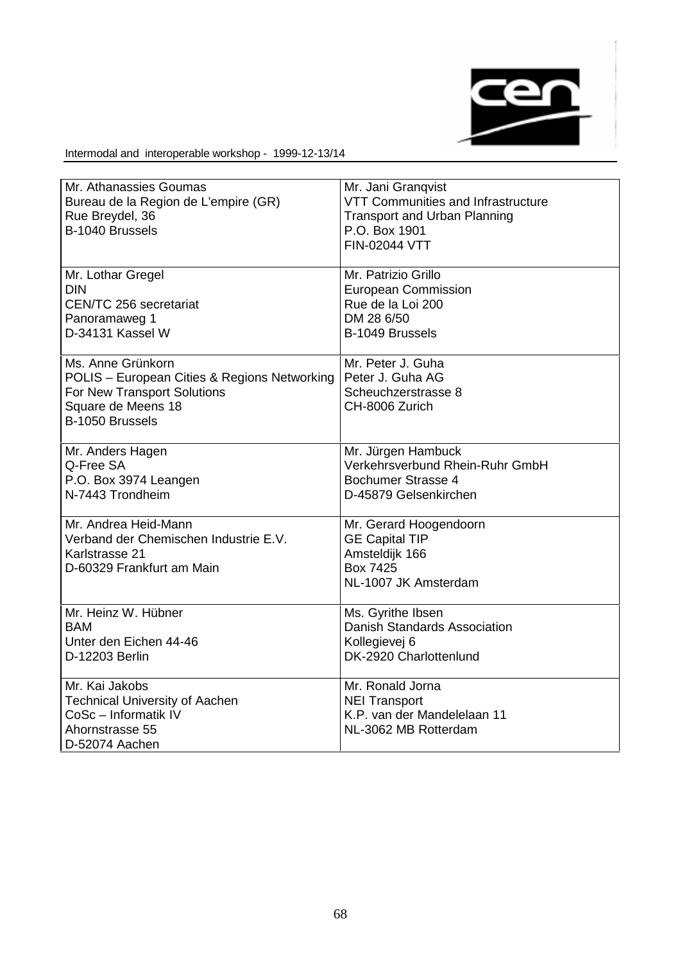

| Mr. Athanassies Goumas<br>Bureau de la Region de L'empire (GR)<br>Rue Breydel, 36<br>B-1040 Brussels                                      | Mr. Jani Granqvist<br>VTT Communities and Infrastructure<br><b>Transport and Urban Planning</b><br>P.O. Box 1901<br><b>FIN-02044 VTT</b> |
|-------------------------------------------------------------------------------------------------------------------------------------------|------------------------------------------------------------------------------------------------------------------------------------------|
| Mr. Lothar Gregel<br><b>DIN</b><br>CEN/TC 256 secretariat<br>Panoramaweg 1<br>D-34131 Kassel W                                            | Mr. Patrizio Grillo<br><b>European Commission</b><br>Rue de la Loi 200<br>DM 28 6/50<br>B-1049 Brussels                                  |
| Ms. Anne Grünkorn<br>POLIS - European Cities & Regions Networking<br>For New Transport Solutions<br>Square de Meens 18<br>B-1050 Brussels | Mr. Peter J. Guha<br>Peter J. Guha AG<br>Scheuchzerstrasse 8<br>CH-8006 Zurich                                                           |
| Mr. Anders Hagen<br>Q-Free SA<br>P.O. Box 3974 Leangen<br>N-7443 Trondheim                                                                | Mr. Jürgen Hambuck<br>Verkehrsverbund Rhein-Ruhr GmbH<br>Bochumer Strasse 4<br>D-45879 Gelsenkirchen                                     |
| Mr. Andrea Heid-Mann<br>Verband der Chemischen Industrie E.V.<br>Karlstrasse 21<br>D-60329 Frankfurt am Main                              | Mr. Gerard Hoogendoorn<br><b>GE Capital TIP</b><br>Amsteldijk 166<br>Box 7425<br>NL-1007 JK Amsterdam                                    |
| Mr. Heinz W. Hübner<br><b>BAM</b><br>Unter den Eichen 44-46<br>D-12203 Berlin                                                             | Ms. Gyrithe Ibsen<br>Danish Standards Association<br>Kollegievej 6<br>DK-2920 Charlottenlund                                             |
| Mr. Kai Jakobs<br><b>Technical University of Aachen</b><br>CoSc - Informatik IV<br>Ahornstrasse 55<br>D-52074 Aachen                      | Mr. Ronald Jorna<br><b>NEI Transport</b><br>K.P. van der Mandelelaan 11<br>NL-3062 MB Rotterdam                                          |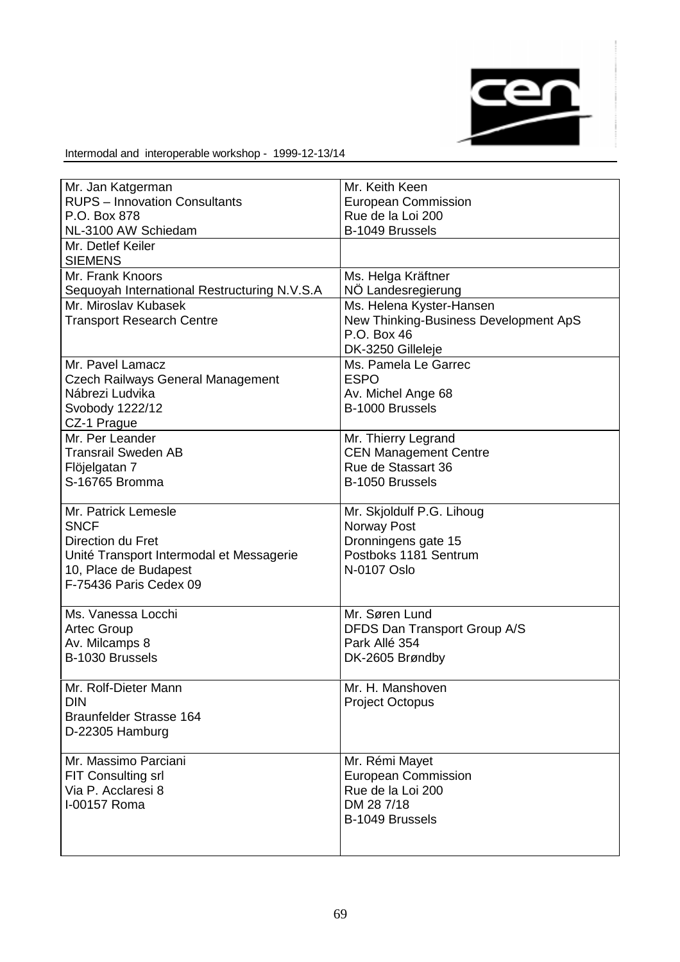

| Mr. Jan Katgerman                            | Mr. Keith Keen                        |
|----------------------------------------------|---------------------------------------|
| <b>RUPS - Innovation Consultants</b>         | <b>European Commission</b>            |
| P.O. Box 878                                 | Rue de la Loi 200                     |
| NL-3100 AW Schiedam                          | B-1049 Brussels                       |
| Mr. Detlef Keiler                            |                                       |
| <b>SIEMENS</b>                               |                                       |
| Mr. Frank Knoors                             | Ms. Helga Kräftner                    |
| Sequoyah International Restructuring N.V.S.A | NÖ Landesregierung                    |
| Mr. Miroslav Kubasek                         | Ms. Helena Kyster-Hansen              |
| <b>Transport Research Centre</b>             | New Thinking-Business Development ApS |
|                                              | P.O. Box 46                           |
|                                              | DK-3250 Gilleleje                     |
| Mr. Pavel Lamacz                             | Ms. Pamela Le Garrec                  |
| <b>Czech Railways General Management</b>     | <b>ESPO</b>                           |
| Nábrezi Ludvika                              | Av. Michel Ange 68                    |
| Svobody 1222/12                              | B-1000 Brussels                       |
| CZ-1 Prague                                  |                                       |
| Mr. Per Leander                              | Mr. Thierry Legrand                   |
| <b>Transrail Sweden AB</b>                   | <b>CEN Management Centre</b>          |
| Flöjelgatan 7                                | Rue de Stassart 36                    |
| S-16765 Bromma                               | B-1050 Brussels                       |
|                                              |                                       |
| Mr. Patrick Lemesle                          | Mr. Skjoldulf P.G. Lihoug             |
| <b>SNCF</b>                                  | Norway Post                           |
| Direction du Fret                            | Dronningens gate 15                   |
| Unité Transport Intermodal et Messagerie     | Postboks 1181 Sentrum                 |
| 10, Place de Budapest                        | N-0107 Oslo                           |
| F-75436 Paris Cedex 09                       |                                       |
|                                              |                                       |
| Ms. Vanessa Locchi                           | Mr. Søren Lund                        |
| <b>Artec Group</b>                           | DFDS Dan Transport Group A/S          |
| Av. Milcamps 8                               | Park Allé 354                         |
| B-1030 Brussels                              | DK-2605 Brøndby                       |
|                                              |                                       |
| Mr. Rolf-Dieter Mann                         | Mr. H. Manshoven                      |
| <b>DIN</b>                                   | <b>Project Octopus</b>                |
| <b>Braunfelder Strasse 164</b>               |                                       |
| D-22305 Hamburg                              |                                       |
|                                              |                                       |
| Mr. Massimo Parciani                         | Mr. Rémi Mayet                        |
| <b>FIT Consulting srl</b>                    | <b>European Commission</b>            |
| Via P. Acclaresi 8                           | Rue de la Loi 200                     |
| I-00157 Roma                                 | DM 28 7/18                            |
|                                              | B-1049 Brussels                       |
|                                              |                                       |
|                                              |                                       |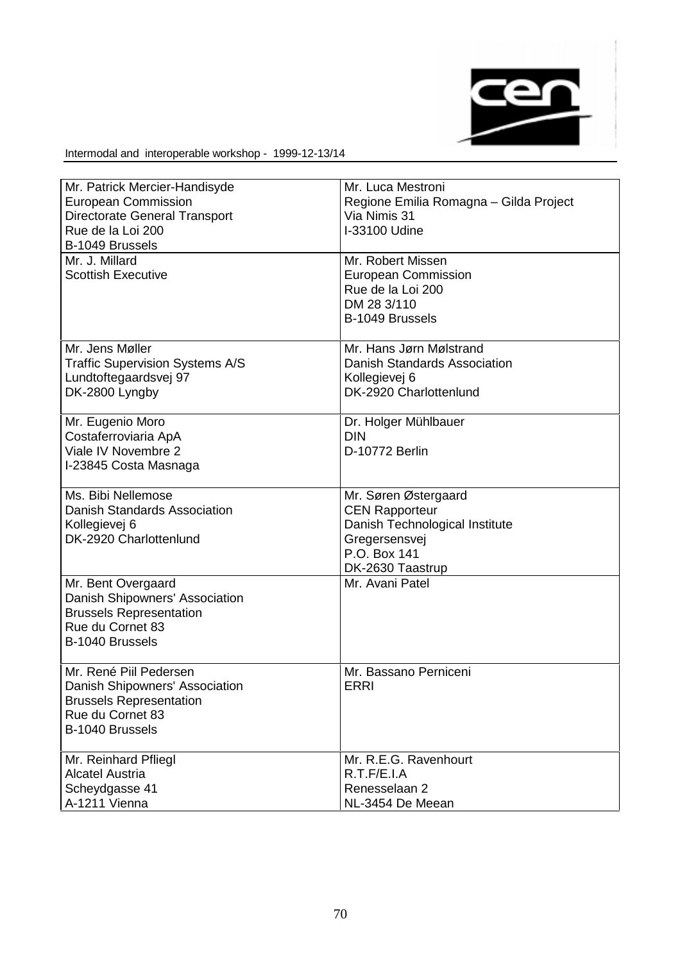

| Mr. Patrick Mercier-Handisyde        | Mr. Luca Mestroni                      |
|--------------------------------------|----------------------------------------|
| <b>European Commission</b>           | Regione Emilia Romagna - Gilda Project |
| <b>Directorate General Transport</b> | Via Nimis 31                           |
| Rue de la Loi 200                    | I-33100 Udine                          |
| B-1049 Brussels                      |                                        |
|                                      |                                        |
| Mr. J. Millard                       | Mr. Robert Missen                      |
| <b>Scottish Executive</b>            | <b>European Commission</b>             |
|                                      | Rue de la Loi 200                      |
|                                      | DM 28 3/110                            |
|                                      | B-1049 Brussels                        |
| Mr. Jens Møller                      | Mr. Hans Jørn Mølstrand                |
| Traffic Supervision Systems A/S      | Danish Standards Association           |
| Lundtoftegaardsvej 97                | Kollegievej 6                          |
| DK-2800 Lyngby                       | DK-2920 Charlottenlund                 |
|                                      |                                        |
| Mr. Eugenio Moro                     | Dr. Holger Mühlbauer                   |
| Costaferroviaria ApA                 | <b>DIN</b>                             |
| Viale IV Novembre 2                  | D-10772 Berlin                         |
| I-23845 Costa Masnaga                |                                        |
|                                      |                                        |
| Ms. Bibi Nellemose                   | Mr. Søren Østergaard                   |
| Danish Standards Association         | <b>CEN Rapporteur</b>                  |
| Kollegievej 6                        | Danish Technological Institute         |
| DK-2920 Charlottenlund               | Gregersensvej                          |
|                                      | P.O. Box 141                           |
|                                      | DK-2630 Taastrup                       |
|                                      | Mr. Avani Patel                        |
| Mr. Bent Overgaard                   |                                        |
| Danish Shipowners' Association       |                                        |
| <b>Brussels Representation</b>       |                                        |
| Rue du Cornet 83                     |                                        |
| B-1040 Brussels                      |                                        |
| Mr. René Piil Pedersen               | Mr. Bassano Perniceni                  |
| Danish Shipowners' Association       | <b>ERRI</b>                            |
| <b>Brussels Representation</b>       |                                        |
| Rue du Cornet 83                     |                                        |
|                                      |                                        |
| B-1040 Brussels                      |                                        |
| Mr. Reinhard Pfliegl                 | Mr. R.E.G. Ravenhourt                  |
| <b>Alcatel Austria</b>               | R.T.F/E.I.A                            |
| Scheydgasse 41                       | Renesselaan 2                          |
| A-1211 Vienna                        | NL-3454 De Meean                       |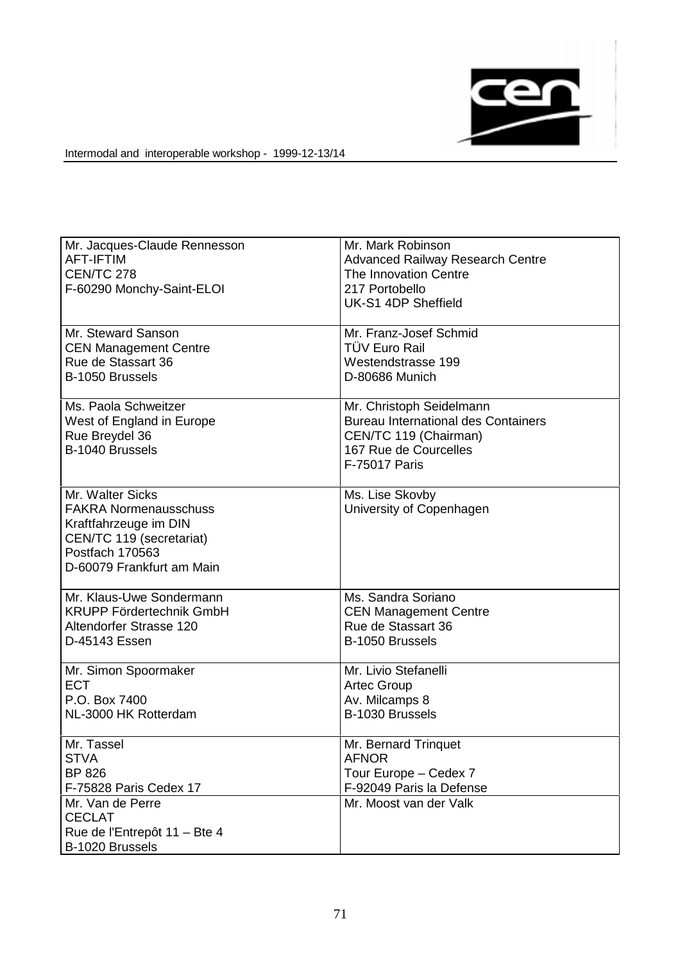

| Mr. Jacques-Claude Rennesson<br><b>AFT-IFTIM</b><br><b>CEN/TC 278</b><br>F-60290 Monchy-Saint-ELOI                                                    | Mr. Mark Robinson<br><b>Advanced Railway Research Centre</b><br>The Innovation Centre<br>217 Portobello<br>UK-S1 4DP Sheffield            |
|-------------------------------------------------------------------------------------------------------------------------------------------------------|-------------------------------------------------------------------------------------------------------------------------------------------|
| Mr. Steward Sanson                                                                                                                                    | Mr. Franz-Josef Schmid                                                                                                                    |
| <b>CEN Management Centre</b>                                                                                                                          | TÜV Euro Rail                                                                                                                             |
| Rue de Stassart 36                                                                                                                                    | Westendstrasse 199                                                                                                                        |
| B-1050 Brussels                                                                                                                                       | D-80686 Munich                                                                                                                            |
| Ms. Paola Schweitzer<br>West of England in Europe<br>Rue Breydel 36<br>B-1040 Brussels                                                                | Mr. Christoph Seidelmann<br><b>Bureau International des Containers</b><br>CEN/TC 119 (Chairman)<br>167 Rue de Courcelles<br>F-75017 Paris |
| Mr. Walter Sicks<br><b>FAKRA Normenausschuss</b><br>Kraftfahrzeuge im DIN<br>CEN/TC 119 (secretariat)<br>Postfach 170563<br>D-60079 Frankfurt am Main | Ms. Lise Skovby<br>University of Copenhagen                                                                                               |
| Mr. Klaus-Uwe Sondermann                                                                                                                              | Ms. Sandra Soriano                                                                                                                        |
| <b>KRUPP Fördertechnik GmbH</b>                                                                                                                       | <b>CEN Management Centre</b>                                                                                                              |
| Altendorfer Strasse 120                                                                                                                               | Rue de Stassart 36                                                                                                                        |
| D-45143 Essen                                                                                                                                         | B-1050 Brussels                                                                                                                           |
| Mr. Simon Spoormaker                                                                                                                                  | Mr. Livio Stefanelli                                                                                                                      |
| <b>ECT</b>                                                                                                                                            | <b>Artec Group</b>                                                                                                                        |
| P.O. Box 7400                                                                                                                                         | Av. Milcamps 8                                                                                                                            |
| NL-3000 HK Rotterdam                                                                                                                                  | B-1030 Brussels                                                                                                                           |
| Mr. Tassel                                                                                                                                            | Mr. Bernard Trinquet                                                                                                                      |
| <b>STVA</b>                                                                                                                                           | <b>AFNOR</b>                                                                                                                              |
| BP 826                                                                                                                                                | Tour Europe - Cedex 7                                                                                                                     |
| F-75828 Paris Cedex 17                                                                                                                                | F-92049 Paris la Defense                                                                                                                  |
| Mr. Van de Perre<br><b>CECLAT</b><br>Rue de l'Entrepôt 11 - Bte 4<br>B-1020 Brussels                                                                  | Mr. Moost van der Valk                                                                                                                    |